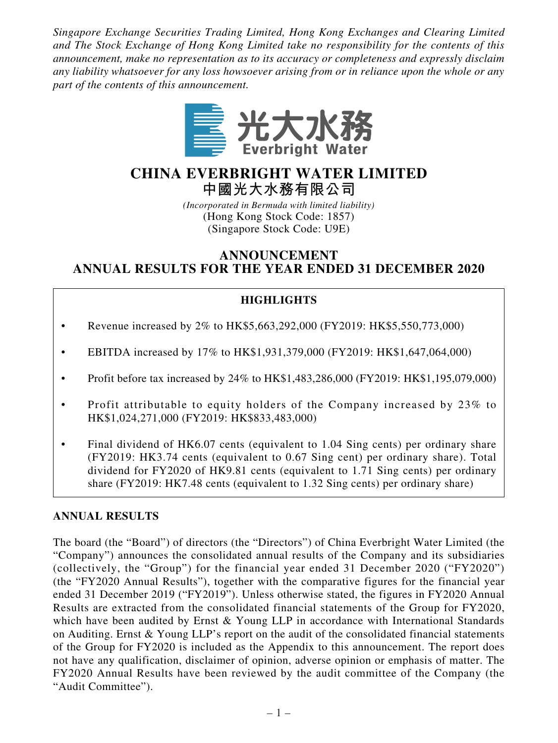*Singapore Exchange Securities Trading Limited, Hong Kong Exchanges and Clearing Limited and The Stock Exchange of Hong Kong Limited take no responsibility for the contents of this announcement, make no representation as to its accuracy or completeness and expressly disclaim any liability whatsoever for any loss howsoever arising from or in reliance upon the whole or any part of the contents of this announcement.*



# **CHINA EVERBRIGHT WATER LIMITED 中國光大水務有限公司**

*(Incorporated in Bermuda with limited liability)* (Hong Kong Stock Code: 1857) (Singapore Stock Code: U9E)

# **ANNOUNCEMENT ANNUAL RESULTS FOR THE YEAR ENDED 31 DECEMBER 2020**

# **HIGHLIGHTS**

- Revenue increased by 2% to HK\$5,663,292,000 (FY2019: HK\$5,550,773,000)
- EBITDA increased by 17% to HK\$1,931,379,000 (FY2019: HK\$1,647,064,000)
- Profit before tax increased by 24% to HK\$1,483,286,000 (FY2019: HK\$1,195,079,000)
- Profit attributable to equity holders of the Company increased by 23% to HK\$1,024,271,000 (FY2019: HK\$833,483,000)
- Final dividend of HK6.07 cents (equivalent to 1.04 Sing cents) per ordinary share (FY2019: HK3.74 cents (equivalent to 0.67 Sing cent) per ordinary share). Total dividend for FY2020 of HK9.81 cents (equivalent to 1.71 Sing cents) per ordinary share (FY2019: HK7.48 cents (equivalent to 1.32 Sing cents) per ordinary share)

# **ANNUAL RESULTS**

The board (the "Board") of directors (the "Directors") of China Everbright Water Limited (the "Company") announces the consolidated annual results of the Company and its subsidiaries (collectively, the "Group") for the financial year ended 31 December 2020 ("FY2020") (the "FY2020 Annual Results"), together with the comparative figures for the financial year ended 31 December 2019 ("FY2019"). Unless otherwise stated, the figures in FY2020 Annual Results are extracted from the consolidated financial statements of the Group for FY2020, which have been audited by Ernst & Young LLP in accordance with International Standards on Auditing. Ernst & Young LLP's report on the audit of the consolidated financial statements of the Group for FY2020 is included as the Appendix to this announcement. The report does not have any qualification, disclaimer of opinion, adverse opinion or emphasis of matter. The FY2020 Annual Results have been reviewed by the audit committee of the Company (the "Audit Committee").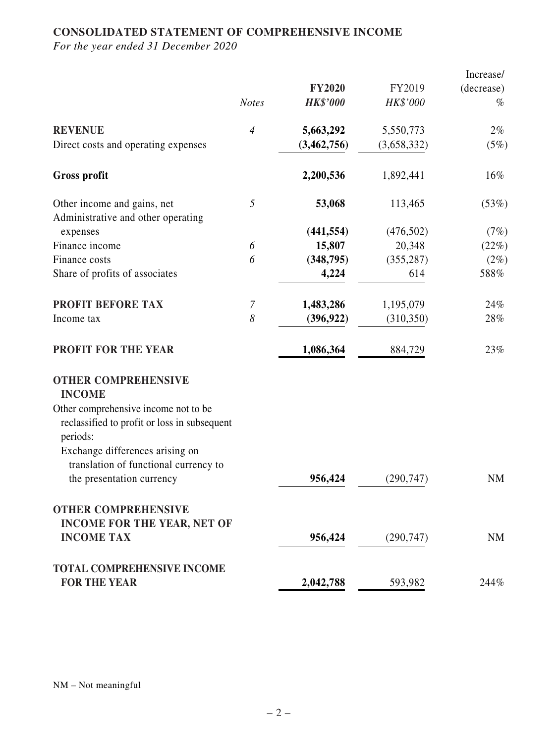# **CONSOLIDATED STATEMENT OF COMPREHENSIVE INCOME**

|                                                                                                                                                                                                                                                          |                |                 |             | Increase/  |
|----------------------------------------------------------------------------------------------------------------------------------------------------------------------------------------------------------------------------------------------------------|----------------|-----------------|-------------|------------|
|                                                                                                                                                                                                                                                          |                | <b>FY2020</b>   | FY2019      | (decrease) |
|                                                                                                                                                                                                                                                          | <b>Notes</b>   | <b>HK\$'000</b> | HK\$'000    | $\%$       |
| <b>REVENUE</b>                                                                                                                                                                                                                                           | $\overline{4}$ | 5,663,292       | 5,550,773   | $2\%$      |
| Direct costs and operating expenses                                                                                                                                                                                                                      |                | (3, 462, 756)   | (3,658,332) | (5%)       |
| <b>Gross profit</b>                                                                                                                                                                                                                                      |                | 2,200,536       | 1,892,441   | $16\%$     |
| Other income and gains, net<br>Administrative and other operating                                                                                                                                                                                        | 5              | 53,068          | 113,465     | (53%)      |
| expenses                                                                                                                                                                                                                                                 |                | (441, 554)      | (476,502)   | (7%)       |
| Finance income                                                                                                                                                                                                                                           | 6              | 15,807          | 20,348      | (22%)      |
| Finance costs                                                                                                                                                                                                                                            | 6              | (348, 795)      | (355, 287)  | $(2\%)$    |
| Share of profits of associates                                                                                                                                                                                                                           |                | 4,224           | 614         | 588%       |
| PROFIT BEFORE TAX                                                                                                                                                                                                                                        | $\overline{7}$ | 1,483,286       | 1,195,079   | 24%        |
| Income tax                                                                                                                                                                                                                                               | 8              | (396, 922)      | (310, 350)  | 28%        |
| <b>PROFIT FOR THE YEAR</b>                                                                                                                                                                                                                               |                | 1,086,364       | 884,729     | 23%        |
| <b>OTHER COMPREHENSIVE</b><br><b>INCOME</b><br>Other comprehensive income not to be<br>reclassified to profit or loss in subsequent<br>periods:<br>Exchange differences arising on<br>translation of functional currency to<br>the presentation currency |                | 956,424         | (290, 747)  | <b>NM</b>  |
|                                                                                                                                                                                                                                                          |                |                 |             |            |
| <b>OTHER COMPREHENSIVE</b><br><b>INCOME FOR THE YEAR, NET OF</b>                                                                                                                                                                                         |                |                 |             |            |
| <b>INCOME TAX</b>                                                                                                                                                                                                                                        |                | 956,424         | (290, 747)  | <b>NM</b>  |
| <b>TOTAL COMPREHENSIVE INCOME</b>                                                                                                                                                                                                                        |                |                 |             |            |
| <b>FOR THE YEAR</b>                                                                                                                                                                                                                                      |                | 2,042,788       | 593,982     | 244%       |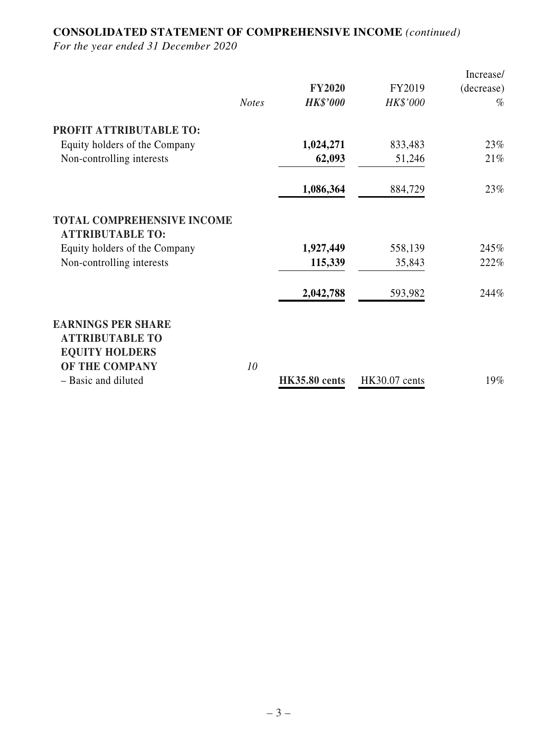# **CONSOLIDATED STATEMENT OF COMPREHENSIVE INCOME** *(continued)*

|                                                              |              |                      |               | Increase/  |
|--------------------------------------------------------------|--------------|----------------------|---------------|------------|
|                                                              |              | <b>FY2020</b>        | FY2019        | (decrease) |
|                                                              | <b>Notes</b> | <b>HK\$'000</b>      | HK\$'000      | $\%$       |
| PROFIT ATTRIBUTABLE TO:                                      |              |                      |               |            |
| Equity holders of the Company                                |              | 1,024,271            | 833,483       | 23%        |
| Non-controlling interests                                    |              | 62,093               | 51,246        | 21%        |
|                                                              |              | 1,086,364            | 884,729       | 23%        |
| <b>TOTAL COMPREHENSIVE INCOME</b><br><b>ATTRIBUTABLE TO:</b> |              |                      |               |            |
| Equity holders of the Company                                |              | 1,927,449            | 558,139       | 245%       |
| Non-controlling interests                                    |              | 115,339              | 35,843        | 222%       |
|                                                              |              | 2,042,788            | 593,982       | 244%       |
| <b>EARNINGS PER SHARE</b><br><b>ATTRIBUTABLE TO</b>          |              |                      |               |            |
| <b>EQUITY HOLDERS</b>                                        |              |                      |               |            |
| OF THE COMPANY                                               | 10           |                      |               |            |
| - Basic and diluted                                          |              | <b>HK35.80 cents</b> | HK30.07 cents | 19%        |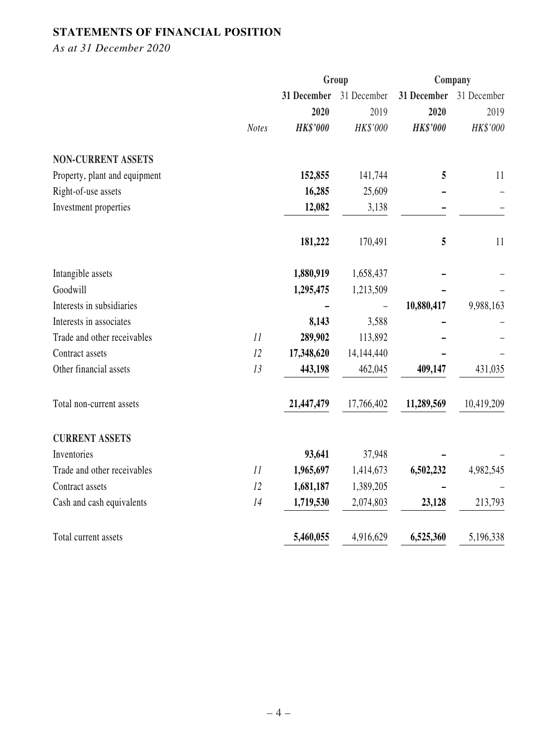# **STATEMENTS OF FINANCIAL POSITION**

*As at 31 December 2020*

|                               |              | Group           |             | Company         |             |
|-------------------------------|--------------|-----------------|-------------|-----------------|-------------|
|                               |              | 31 December     | 31 December | 31 December     | 31 December |
|                               |              | 2020            | 2019        | 2020            | 2019        |
|                               | <b>Notes</b> | <b>HK\$'000</b> | HK\$'000    | <b>HK\$'000</b> | HK\$'000    |
| <b>NON-CURRENT ASSETS</b>     |              |                 |             |                 |             |
| Property, plant and equipment |              | 152,855         | 141,744     | 5               | 11          |
| Right-of-use assets           |              | 16,285          | 25,609      |                 |             |
| Investment properties         |              | 12,082          | 3,138       |                 |             |
|                               |              | 181,222         | 170,491     | 5               | 11          |
| Intangible assets             |              | 1,880,919       | 1,658,437   |                 |             |
| Goodwill                      |              | 1,295,475       | 1,213,509   |                 |             |
| Interests in subsidiaries     |              |                 |             | 10,880,417      | 9,988,163   |
| Interests in associates       |              | 8,143           | 3,588       |                 |             |
| Trade and other receivables   | 11           | 289,902         | 113,892     |                 |             |
| Contract assets               | 12           | 17,348,620      | 14,144,440  |                 |             |
| Other financial assets        | 13           | 443,198         | 462,045     | 409,147         | 431,035     |
| Total non-current assets      |              | 21,447,479      | 17,766,402  | 11,289,569      | 10,419,209  |
| <b>CURRENT ASSETS</b>         |              |                 |             |                 |             |
| Inventories                   |              | 93,641          | 37,948      |                 |             |
| Trade and other receivables   | 11           | 1,965,697       | 1,414,673   | 6,502,232       | 4,982,545   |
| Contract assets               | 12           | 1,681,187       | 1,389,205   |                 |             |
| Cash and cash equivalents     | 14           | 1,719,530       | 2,074,803   | 23,128          | 213,793     |
| Total current assets          |              | 5,460,055       | 4,916,629   | 6,525,360       | 5,196,338   |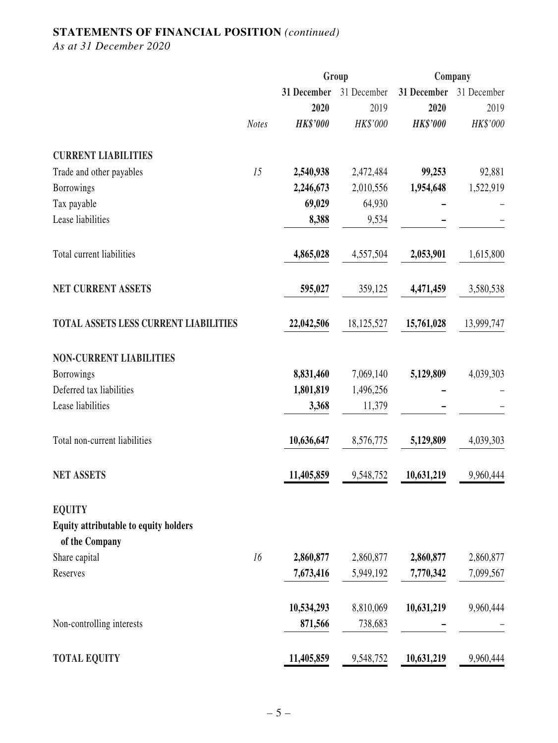# **STATEMENTS OF FINANCIAL POSITION** *(continued)*

*As at 31 December 2020*

|                                                                          |              |                 | Group       | Company         |             |  |
|--------------------------------------------------------------------------|--------------|-----------------|-------------|-----------------|-------------|--|
|                                                                          |              | 31 December     | 31 December | 31 December     | 31 December |  |
|                                                                          |              | 2020            | 2019        | 2020            | 2019        |  |
|                                                                          | <b>Notes</b> | <b>HK\$'000</b> | HK\$'000    | <b>HK\$'000</b> | HK\$'000    |  |
| <b>CURRENT LIABILITIES</b>                                               |              |                 |             |                 |             |  |
| Trade and other payables                                                 | 15           | 2,540,938       | 2,472,484   | 99,253          | 92,881      |  |
| <b>Borrowings</b>                                                        |              | 2,246,673       | 2,010,556   | 1,954,648       | 1,522,919   |  |
| Tax payable                                                              |              | 69,029          | 64,930      |                 |             |  |
| Lease liabilities                                                        |              | 8,388           | 9,534       |                 |             |  |
| Total current liabilities                                                |              | 4,865,028       | 4,557,504   | 2,053,901       | 1,615,800   |  |
| <b>NET CURRENT ASSETS</b>                                                |              | 595,027         | 359,125     | 4,471,459       | 3,580,538   |  |
| <b>TOTAL ASSETS LESS CURRENT LIABILITIES</b>                             |              | 22,042,506      | 18,125,527  | 15,761,028      | 13,999,747  |  |
| <b>NON-CURRENT LIABILITIES</b>                                           |              |                 |             |                 |             |  |
| <b>Borrowings</b>                                                        |              | 8,831,460       | 7,069,140   | 5,129,809       | 4,039,303   |  |
| Deferred tax liabilities                                                 |              | 1,801,819       | 1,496,256   |                 |             |  |
| Lease liabilities                                                        |              | 3,368           | 11,379      |                 |             |  |
| Total non-current liabilities                                            |              | 10,636,647      | 8,576,775   | 5,129,809       | 4,039,303   |  |
| <b>NET ASSETS</b>                                                        |              | 11,405,859      | 9,548,752   | 10,631,219      | 9,960,444   |  |
| <b>EQUITY</b><br>Equity attributable to equity holders<br>of the Company |              |                 |             |                 |             |  |
| Share capital                                                            | 16           | 2,860,877       | 2,860,877   | 2,860,877       | 2,860,877   |  |
| Reserves                                                                 |              | 7,673,416       | 5,949,192   | 7,770,342       | 7,099,567   |  |
|                                                                          |              | 10,534,293      | 8,810,069   | 10,631,219      | 9,960,444   |  |
| Non-controlling interests                                                |              | 871,566         | 738,683     |                 |             |  |
| <b>TOTAL EQUITY</b>                                                      |              | 11,405,859      | 9,548,752   | 10,631,219      | 9,960,444   |  |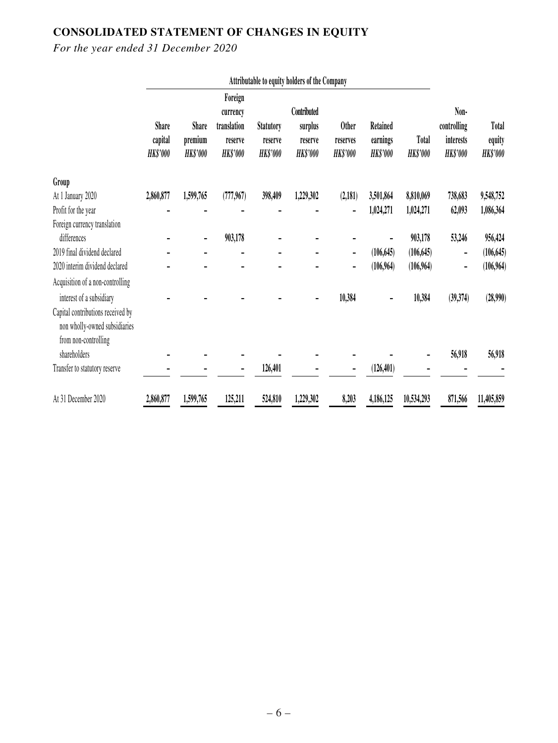# **CONSOLIDATED STATEMENT OF CHANGES IN EQUITY**

|                                                                                                                        | Attributable to equity holders of the Company |                                     |                                                                  |                                                |                                                      |                                             |                                                |                          |                                                     |                                           |
|------------------------------------------------------------------------------------------------------------------------|-----------------------------------------------|-------------------------------------|------------------------------------------------------------------|------------------------------------------------|------------------------------------------------------|---------------------------------------------|------------------------------------------------|--------------------------|-----------------------------------------------------|-------------------------------------------|
|                                                                                                                        | <b>Share</b><br>capital<br><b>HK\$'000</b>    | Share<br>premium<br><b>HK\$'000</b> | Foreign<br>currency<br>translation<br>reserve<br><b>HK\$'000</b> | <b>Statutory</b><br>reserve<br><b>HK\$'000</b> | Contributed<br>surplus<br>reserve<br><b>HK\$'000</b> | <b>Other</b><br>reserves<br><b>HK\$'000</b> | <b>Retained</b><br>earnings<br><b>HK\$'000</b> | Total<br><b>HK\$'000</b> | Non-<br>controlling<br>interests<br><b>HK\$'000</b> | <b>Total</b><br>equity<br><b>HK\$'000</b> |
| Group                                                                                                                  |                                               |                                     |                                                                  |                                                |                                                      |                                             |                                                |                          |                                                     |                                           |
| At 1 January 2020                                                                                                      | 2,860,877                                     | 1,599,765                           | (777, 967)                                                       | 398,409                                        | 1,229,302                                            | (2,181)                                     | 3,501,864                                      | 8,810,069                | 738,683                                             | 9,548,752                                 |
| Profit for the year                                                                                                    |                                               |                                     |                                                                  |                                                |                                                      |                                             | 1,024,271                                      | 1,024,271                | 62,093                                              | 1,086,364                                 |
| Foreign currency translation                                                                                           |                                               |                                     |                                                                  |                                                |                                                      |                                             |                                                |                          |                                                     |                                           |
| differences                                                                                                            |                                               | -                                   | 903,178                                                          |                                                |                                                      |                                             |                                                | 903,178                  | 53,246                                              | 956,424                                   |
| 2019 final dividend declared                                                                                           |                                               |                                     |                                                                  |                                                |                                                      | $\overline{\phantom{a}}$                    | (106, 645)                                     | (106, 645)               | -                                                   | (106, 645)                                |
| 2020 interim dividend declared                                                                                         |                                               |                                     |                                                                  |                                                |                                                      |                                             | (106, 964)                                     | (106,964)                | -                                                   | (106,964)                                 |
| Acquisition of a non-controlling                                                                                       |                                               |                                     |                                                                  |                                                |                                                      |                                             |                                                |                          |                                                     |                                           |
| interest of a subsidiary<br>Capital contributions received by<br>non wholly-owned subsidiaries<br>from non-controlling |                                               |                                     |                                                                  |                                                |                                                      | 10,384                                      |                                                | 10,384                   | (39,374)                                            | (28,990)                                  |
| shareholders                                                                                                           |                                               |                                     |                                                                  |                                                |                                                      |                                             |                                                |                          | 56,918                                              | 56,918                                    |
| Transfer to statutory reserve                                                                                          |                                               |                                     |                                                                  | 126,401                                        |                                                      |                                             | (126, 401)                                     |                          |                                                     |                                           |
| At 31 December 2020                                                                                                    | 2,860,877                                     | 1,599,765                           | 125,211                                                          | 524,810                                        | 1,229,302                                            | 8,203                                       | 4,186,125                                      | 10,534,293               | 871,566                                             | 11,405,859                                |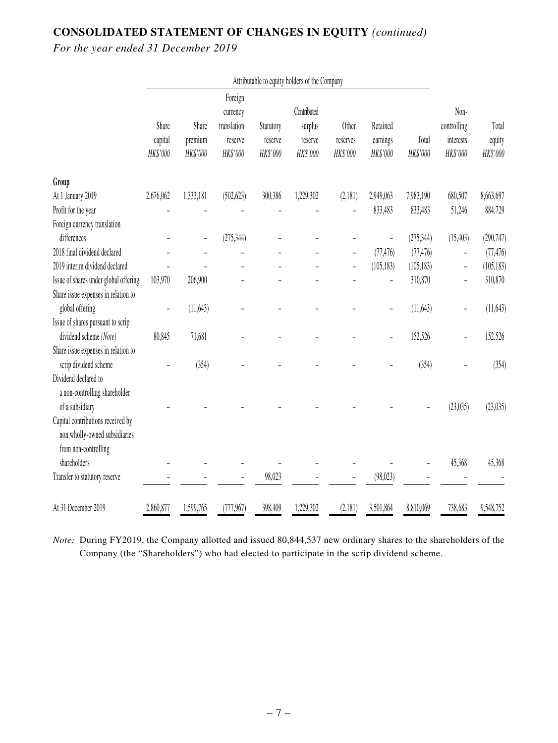# **CONSOLIDATED STATEMENT OF CHANGES IN EQUITY** *(continued)*

*For the year ended 31 December 2019*

|                                                                    | Attributable to equity holders of the Company |                              |                                                           |                                  |                                               |                               |                                  |                   |                                              |                             |
|--------------------------------------------------------------------|-----------------------------------------------|------------------------------|-----------------------------------------------------------|----------------------------------|-----------------------------------------------|-------------------------------|----------------------------------|-------------------|----------------------------------------------|-----------------------------|
|                                                                    | Share<br>capital<br>HK\$'000                  | Share<br>premium<br>HK\$'000 | Foreign<br>currency<br>translation<br>reserve<br>HK\$'000 | Statutory<br>reserve<br>HK\$'000 | Contributed<br>surplus<br>reserve<br>HK\$'000 | Other<br>reserves<br>HK\$'000 | Retained<br>earnings<br>HK\$'000 | Total<br>HK\$'000 | Non-<br>controlling<br>interests<br>HK\$'000 | Total<br>equity<br>HK\$'000 |
| Group                                                              |                                               |                              |                                                           |                                  |                                               |                               |                                  |                   |                                              |                             |
| At 1 January 2019                                                  | 2,676,062                                     | 1,333,181                    | (502, 623)                                                | 300,386                          | 1,229,302                                     | (2,181)                       | 2,949,063                        | 7,983,190         | 680,507                                      | 8,663,697                   |
| Profit for the year                                                |                                               |                              |                                                           |                                  |                                               |                               | 833,483                          | 833,483           | 51,246                                       | 884,729                     |
| Foreign currency translation                                       |                                               |                              |                                                           |                                  |                                               |                               |                                  |                   |                                              |                             |
| differences                                                        |                                               |                              | (275, 344)                                                |                                  |                                               |                               |                                  | (275, 344)        | (15, 403)                                    | (290, 747)                  |
| 2018 final dividend declared                                       |                                               |                              |                                                           |                                  |                                               |                               | (77, 476)                        | (77, 476)         | -                                            | (77, 476)                   |
| 2019 interim dividend declared                                     |                                               |                              |                                                           |                                  |                                               |                               | (105, 183)                       | (105, 183)        | -                                            | (105, 183)                  |
| Issue of shares under global offering                              | 103,970                                       | 206,900                      |                                                           |                                  |                                               |                               |                                  | 310,870           |                                              | 310,870                     |
| Share issue expenses in relation to                                |                                               |                              |                                                           |                                  |                                               |                               |                                  |                   |                                              |                             |
| global offering                                                    |                                               | (11, 643)                    |                                                           |                                  |                                               |                               |                                  | (11, 643)         | -                                            | (11, 643)                   |
| Issue of shares pursuant to scrip                                  |                                               |                              |                                                           |                                  |                                               |                               |                                  |                   |                                              |                             |
| dividend scheme (Note)                                             | 80,845                                        | 71,681                       |                                                           |                                  |                                               |                               |                                  | 152,526           |                                              | 152,526                     |
| Share issue expenses in relation to                                |                                               |                              |                                                           |                                  |                                               |                               |                                  |                   |                                              |                             |
| scrip dividend scheme                                              |                                               | (354)                        |                                                           |                                  |                                               |                               |                                  | (354)             |                                              | (354)                       |
| Dividend declared to<br>a non-controlling shareholder              |                                               |                              |                                                           |                                  |                                               |                               |                                  |                   |                                              |                             |
| of a subsidiary                                                    |                                               |                              |                                                           |                                  |                                               |                               |                                  |                   | (23, 035)                                    | (23, 035)                   |
| Capital contributions received by<br>non wholly-owned subsidiaries |                                               |                              |                                                           |                                  |                                               |                               |                                  |                   |                                              |                             |
| from non-controlling<br>shareholders                               |                                               |                              |                                                           |                                  |                                               |                               |                                  |                   | 45,368                                       | 45,368                      |
| Transfer to statutory reserve                                      |                                               |                              |                                                           | 98,023                           |                                               |                               | (98, 023)                        |                   |                                              |                             |
| At 31 December 2019                                                | 2,860,877                                     | 1,599,765                    | (777, 967)                                                | 398,409                          | 1,229,302                                     | (2,181)                       | 3,501,864                        | 8,810,069         | 738,683                                      | 9,548,752                   |

*Note:* During FY2019, the Company allotted and issued 80,844,537 new ordinary shares to the shareholders of the Company (the "Shareholders") who had elected to participate in the scrip dividend scheme.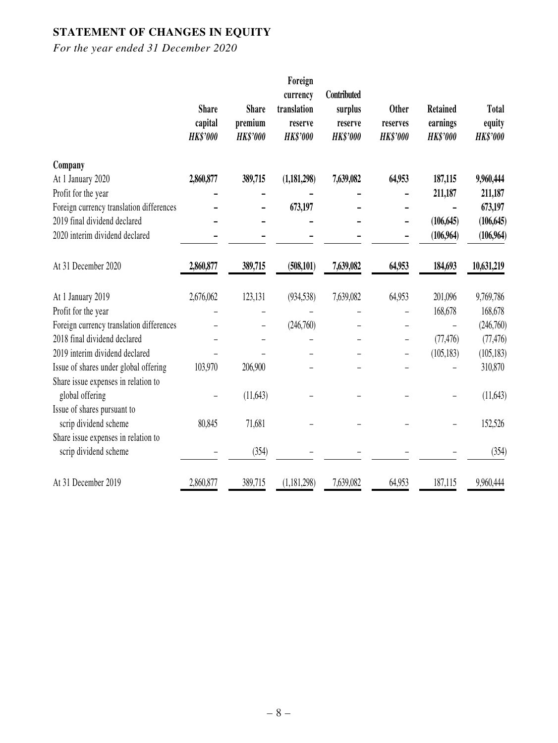# **STATEMENT OF CHANGES IN EQUITY**

|                                                        | <b>Share</b><br>capital<br><b>HK\$'000</b> | <b>Share</b><br>premium<br><b>HK\$'000</b> | Foreign<br>currency<br>translation<br>reserve<br><b>HK\$'000</b> | Contributed<br>surplus<br>reserve<br><b>HK\$'000</b> | <b>Other</b><br>reserves<br><b>HK\$'000</b> | <b>Retained</b><br>earnings<br><b>HK\$'000</b> | Total<br>equity<br><b>HK\$'000</b> |
|--------------------------------------------------------|--------------------------------------------|--------------------------------------------|------------------------------------------------------------------|------------------------------------------------------|---------------------------------------------|------------------------------------------------|------------------------------------|
| Company                                                |                                            |                                            |                                                                  |                                                      |                                             |                                                |                                    |
| At 1 January 2020                                      | 2,860,877                                  | 389,715                                    | (1,181,298)                                                      | 7,639,082                                            | 64,953                                      | 187,115                                        | 9,960,444                          |
| Profit for the year                                    |                                            |                                            |                                                                  |                                                      |                                             | 211,187                                        | 211,187                            |
| Foreign currency translation differences               |                                            |                                            | 673,197                                                          |                                                      |                                             |                                                | 673,197                            |
| 2019 final dividend declared                           |                                            |                                            |                                                                  |                                                      |                                             | (106, 645)                                     | (106, 645)                         |
| 2020 interim dividend declared                         |                                            |                                            |                                                                  |                                                      |                                             | (106,964)                                      | (106,964)                          |
| At 31 December 2020                                    | 2,860,877                                  | 389,715                                    | (508, 101)                                                       | 7,639,082                                            | 64,953                                      | 184,693                                        | 10,631,219                         |
| At 1 January 2019                                      | 2,676,062                                  | 123,131                                    | (934, 538)                                                       | 7,639,082                                            | 64,953                                      | 201,096                                        | 9,769,786                          |
| Profit for the year                                    |                                            |                                            |                                                                  |                                                      |                                             | 168,678                                        | 168,678                            |
| Foreign currency translation differences               |                                            |                                            | (246,760)                                                        |                                                      |                                             |                                                | (246,760)                          |
| 2018 final dividend declared                           |                                            |                                            |                                                                  |                                                      | -                                           | (77, 476)                                      | (77, 476)                          |
| 2019 interim dividend declared                         |                                            |                                            |                                                                  |                                                      |                                             | (105, 183)                                     | (105, 183)                         |
| Issue of shares under global offering                  | 103,970                                    | 206,900                                    |                                                                  |                                                      |                                             |                                                | 310,870                            |
| Share issue expenses in relation to<br>global offering |                                            | (11,643)                                   |                                                                  |                                                      |                                             |                                                | (11,643)                           |
| Issue of shares pursuant to                            |                                            |                                            |                                                                  |                                                      |                                             |                                                |                                    |
| scrip dividend scheme                                  | 80,845                                     | 71,681                                     |                                                                  |                                                      |                                             |                                                | 152,526                            |
| Share issue expenses in relation to                    |                                            |                                            |                                                                  |                                                      |                                             |                                                |                                    |
| scrip dividend scheme                                  |                                            | (354)                                      |                                                                  |                                                      |                                             |                                                | (354)                              |
| At 31 December 2019                                    | 2,860,877                                  | 389,715                                    | (1, 181, 298)                                                    | 7,639,082                                            | 64,953                                      | 187,115                                        | 9,960,444                          |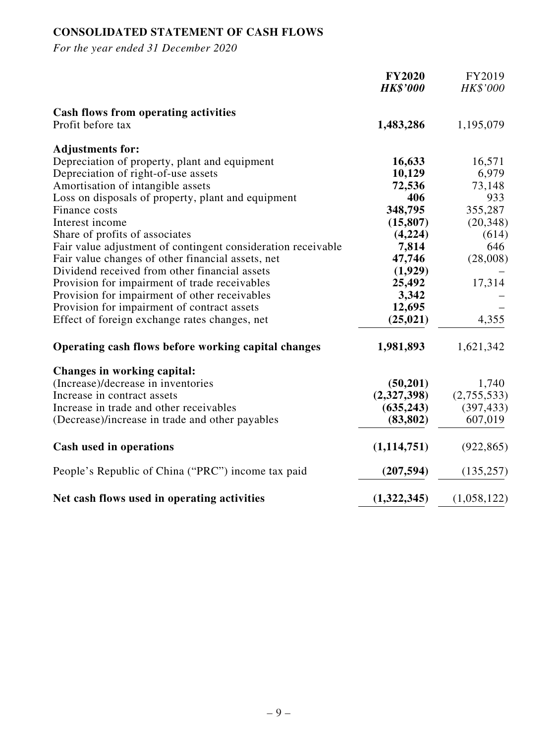# **CONSOLIDATED STATEMENT OF CASH FLOWS**

|                                                              | <b>FY2020</b><br><b>HK\$'000</b> | FY2019<br>HK\$'000 |
|--------------------------------------------------------------|----------------------------------|--------------------|
| <b>Cash flows from operating activities</b>                  |                                  |                    |
| Profit before tax                                            | 1,483,286                        | 1,195,079          |
| <b>Adjustments for:</b>                                      |                                  |                    |
| Depreciation of property, plant and equipment                | 16,633                           | 16,571             |
| Depreciation of right-of-use assets                          | 10,129                           | 6,979              |
| Amortisation of intangible assets                            | 72,536                           | 73,148             |
| Loss on disposals of property, plant and equipment           | 406                              | 933                |
| Finance costs                                                | 348,795                          | 355,287            |
| Interest income                                              | (15, 807)                        | (20, 348)          |
| Share of profits of associates                               | (4,224)                          | (614)              |
| Fair value adjustment of contingent consideration receivable | 7,814                            | 646                |
| Fair value changes of other financial assets, net            | 47,746                           | (28,008)           |
| Dividend received from other financial assets                | (1,929)                          |                    |
| Provision for impairment of trade receivables                | 25,492                           | 17,314             |
| Provision for impairment of other receivables                | 3,342                            |                    |
| Provision for impairment of contract assets                  | 12,695                           |                    |
| Effect of foreign exchange rates changes, net                | (25, 021)                        | 4,355              |
| Operating cash flows before working capital changes          | 1,981,893                        | 1,621,342          |
| Changes in working capital:                                  |                                  |                    |
| (Increase)/decrease in inventories                           | (50,201)                         | 1,740              |
| Increase in contract assets                                  | (2,327,398)                      | (2,755,533)        |
| Increase in trade and other receivables                      | (635, 243)                       | (397, 433)         |
| (Decrease)/increase in trade and other payables              | (83, 802)                        | 607,019            |
| <b>Cash used in operations</b>                               | (1,114,751)                      | (922, 865)         |
| People's Republic of China ("PRC") income tax paid           | (207, 594)                       | (135, 257)         |
| Net cash flows used in operating activities                  | (1,322,345)                      | (1,058,122)        |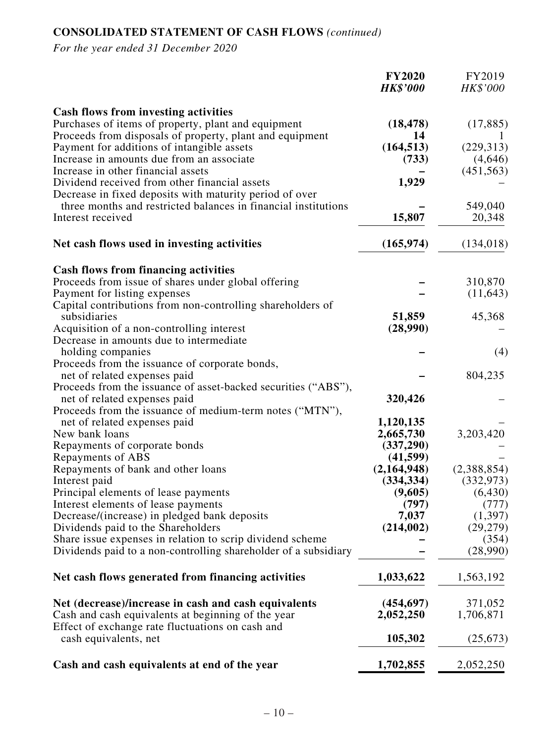# **CONSOLIDATED STATEMENT OF CASH FLOWS** *(continued)*

|                                                                 | <b>FY2020</b><br><b>HK\$'000</b> | FY2019<br>HK\$'000 |
|-----------------------------------------------------------------|----------------------------------|--------------------|
| <b>Cash flows from investing activities</b>                     |                                  |                    |
| Purchases of items of property, plant and equipment             | (18, 478)                        | (17, 885)          |
| Proceeds from disposals of property, plant and equipment        | 14                               |                    |
| Payment for additions of intangible assets                      | (164, 513)                       | (229, 313)         |
| Increase in amounts due from an associate                       | (733)                            | (4,646)            |
| Increase in other financial assets                              |                                  | (451, 563)         |
| Dividend received from other financial assets                   | 1,929                            |                    |
| Decrease in fixed deposits with maturity period of over         |                                  |                    |
| three months and restricted balances in financial institutions  |                                  | 549,040            |
| Interest received                                               | 15,807                           | 20,348             |
| Net cash flows used in investing activities                     | (165, 974)                       | (134, 018)         |
| <b>Cash flows from financing activities</b>                     |                                  |                    |
| Proceeds from issue of shares under global offering             |                                  | 310,870            |
| Payment for listing expenses                                    |                                  | (11, 643)          |
| Capital contributions from non-controlling shareholders of      |                                  |                    |
| subsidiaries                                                    | 51,859                           | 45,368             |
| Acquisition of a non-controlling interest                       | (28,990)                         |                    |
| Decrease in amounts due to intermediate                         |                                  |                    |
| holding companies                                               |                                  | (4)                |
| Proceeds from the issuance of corporate bonds,                  |                                  |                    |
| net of related expenses paid                                    |                                  | 804,235            |
| Proceeds from the issuance of asset-backed securities ("ABS"),  |                                  |                    |
| net of related expenses paid                                    | 320,426                          |                    |
| Proceeds from the issuance of medium-term notes ("MTN"),        |                                  |                    |
| net of related expenses paid                                    | 1,120,135                        |                    |
| New bank loans                                                  | 2,665,730                        | 3,203,420          |
| Repayments of corporate bonds                                   | (337,290)                        |                    |
| Repayments of ABS                                               | (41, 599)                        |                    |
| Repayments of bank and other loans                              | (2,164,948)                      | (2,388,854)        |
| Interest paid                                                   | (334, 334)                       | (332, 973)         |
| Principal elements of lease payments                            | (9,605)                          | (6, 430)           |
| Interest elements of lease payments                             | (797)                            | (777)              |
| Decrease/(increase) in pledged bank deposits                    | 7,037                            | (1,397)            |
| Dividends paid to the Shareholders                              | (214, 002)                       | (29, 279)          |
| Share issue expenses in relation to scrip dividend scheme       |                                  | (354)              |
| Dividends paid to a non-controlling shareholder of a subsidiary |                                  | (28,990)           |
| Net cash flows generated from financing activities              | 1,033,622                        | 1,563,192          |
| Net (decrease)/increase in cash and cash equivalents            | (454, 697)                       | 371,052            |
| Cash and cash equivalents at beginning of the year              | 2,052,250                        | 1,706,871          |
| Effect of exchange rate fluctuations on cash and                |                                  |                    |
| cash equivalents, net                                           | 105,302                          | (25, 673)          |
| Cash and cash equivalents at end of the year                    | 1,702,855                        | 2,052,250          |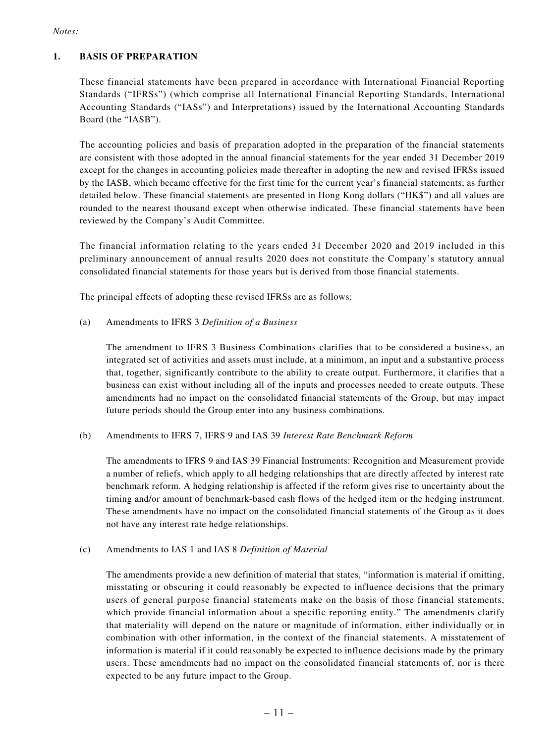#### *Notes:*

#### **1. BASIS OF PREPARATION**

These financial statements have been prepared in accordance with International Financial Reporting Standards ("IFRSs") (which comprise all International Financial Reporting Standards, International Accounting Standards ("IASs") and Interpretations) issued by the International Accounting Standards Board (the "IASB").

The accounting policies and basis of preparation adopted in the preparation of the financial statements are consistent with those adopted in the annual financial statements for the year ended 31 December 2019 except for the changes in accounting policies made thereafter in adopting the new and revised IFRSs issued by the IASB, which became effective for the first time for the current year's financial statements, as further detailed below. These financial statements are presented in Hong Kong dollars ("HK\$") and all values are rounded to the nearest thousand except when otherwise indicated. These financial statements have been reviewed by the Company's Audit Committee.

The financial information relating to the years ended 31 December 2020 and 2019 included in this preliminary announcement of annual results 2020 does not constitute the Company's statutory annual consolidated financial statements for those years but is derived from those financial statements.

The principal effects of adopting these revised IFRSs are as follows:

#### (a) Amendments to IFRS 3 *Definition of a Business*

The amendment to IFRS 3 Business Combinations clarifies that to be considered a business, an integrated set of activities and assets must include, at a minimum, an input and a substantive process that, together, significantly contribute to the ability to create output. Furthermore, it clarifies that a business can exist without including all of the inputs and processes needed to create outputs. These amendments had no impact on the consolidated financial statements of the Group, but may impact future periods should the Group enter into any business combinations.

#### (b) Amendments to IFRS 7, IFRS 9 and IAS 39 *Interest Rate Benchmark Reform*

The amendments to IFRS 9 and IAS 39 Financial Instruments: Recognition and Measurement provide a number of reliefs, which apply to all hedging relationships that are directly affected by interest rate benchmark reform. A hedging relationship is affected if the reform gives rise to uncertainty about the timing and/or amount of benchmark-based cash flows of the hedged item or the hedging instrument. These amendments have no impact on the consolidated financial statements of the Group as it does not have any interest rate hedge relationships.

#### (c) Amendments to IAS 1 and IAS 8 *Definition of Material*

The amendments provide a new definition of material that states, "information is material if omitting, misstating or obscuring it could reasonably be expected to influence decisions that the primary users of general purpose financial statements make on the basis of those financial statements, which provide financial information about a specific reporting entity." The amendments clarify that materiality will depend on the nature or magnitude of information, either individually or in combination with other information, in the context of the financial statements. A misstatement of information is material if it could reasonably be expected to influence decisions made by the primary users. These amendments had no impact on the consolidated financial statements of, nor is there expected to be any future impact to the Group.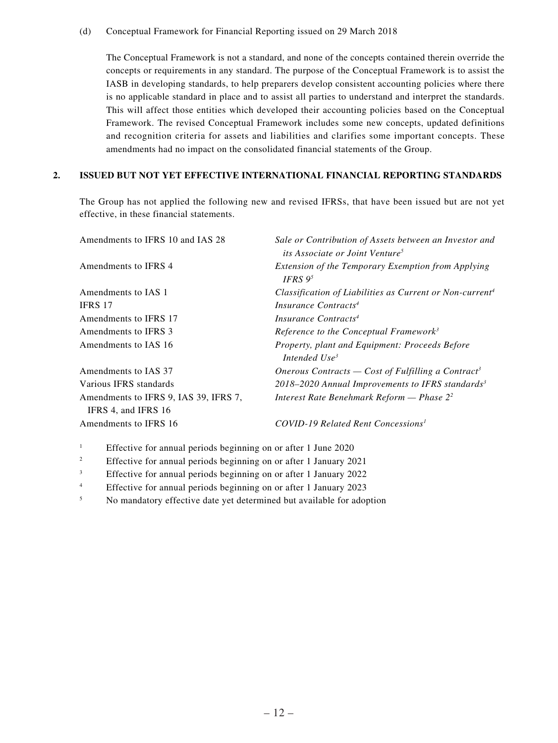(d) Conceptual Framework for Financial Reporting issued on 29 March 2018

The Conceptual Framework is not a standard, and none of the concepts contained therein override the concepts or requirements in any standard. The purpose of the Conceptual Framework is to assist the IASB in developing standards, to help preparers develop consistent accounting policies where there is no applicable standard in place and to assist all parties to understand and interpret the standards. This will affect those entities which developed their accounting policies based on the Conceptual Framework. The revised Conceptual Framework includes some new concepts, updated definitions and recognition criteria for assets and liabilities and clarifies some important concepts. These amendments had no impact on the consolidated financial statements of the Group.

#### **2. ISSUED BUT NOT YET EFFECTIVE INTERNATIONAL FINANCIAL REPORTING STANDARDS**

The Group has not applied the following new and revised IFRSs, that have been issued but are not yet effective, in these financial statements.

| Amendments to IFRS 10 and IAS 28                             | Sale or Contribution of Assets between an Investor and<br><i>its Associate or Joint Venture</i> <sup>5</sup> |
|--------------------------------------------------------------|--------------------------------------------------------------------------------------------------------------|
| Amendments to IFRS 4                                         | Extension of the Temporary Exemption from Applying<br>IFRS $9^5$                                             |
| Amendments to IAS 1                                          | Classification of Liabilities as Current or Non-current <sup>4</sup>                                         |
| <b>IFRS 17</b>                                               | Insurance Contracts <sup>4</sup>                                                                             |
| Amendments to IFRS 17                                        | Insurance Contracts <sup>4</sup>                                                                             |
| Amendments to IFRS 3                                         | Reference to the Conceptual Framework <sup>3</sup>                                                           |
| Amendments to IAS 16                                         | Property, plant and Equipment: Proceeds Before<br>Intended Use <sup>3</sup>                                  |
| Amendments to IAS 37                                         | Onerous Contracts — Cost of Fulfilling a Contract <sup>3</sup>                                               |
| Various IFRS standards                                       | $2018 - 2020$ Annual Improvements to IFRS standards <sup>3</sup>                                             |
| Amendments to IFRS 9, IAS 39, IFRS 7,<br>IFRS 4, and IFRS 16 | Interest Rate Benehmark Reform — Phase $2^2$                                                                 |
| Amendments to IFRS 16                                        | COVID-19 Related Rent Concessions <sup>1</sup>                                                               |

- <sup>1</sup> Effective for annual periods beginning on or after 1 June 2020
- <sup>2</sup> Effective for annual periods beginning on or after 1 January 2021
- <sup>3</sup> Effective for annual periods beginning on or after 1 January 2022
- <sup>4</sup> Effective for annual periods beginning on or after 1 January 2023
- <sup>5</sup> No mandatory effective date yet determined but available for adoption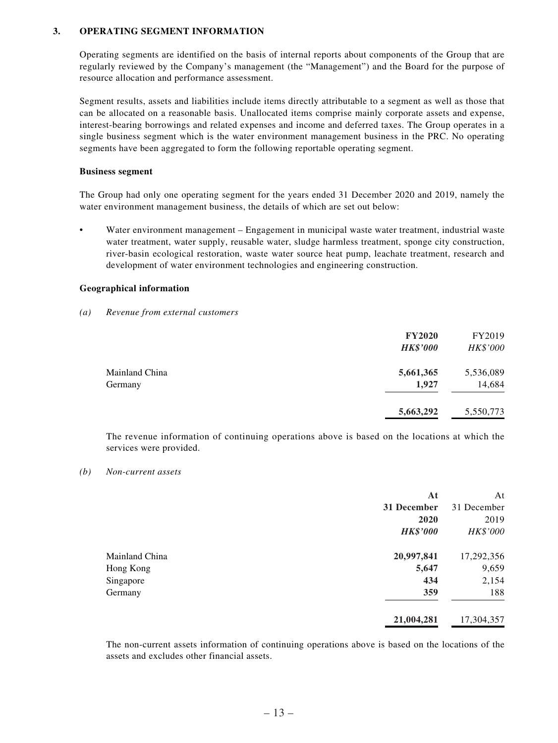#### **3. OPERATING SEGMENT INFORMATION**

Operating segments are identified on the basis of internal reports about components of the Group that are regularly reviewed by the Company's management (the "Management") and the Board for the purpose of resource allocation and performance assessment.

Segment results, assets and liabilities include items directly attributable to a segment as well as those that can be allocated on a reasonable basis. Unallocated items comprise mainly corporate assets and expense, interest-bearing borrowings and related expenses and income and deferred taxes. The Group operates in a single business segment which is the water environment management business in the PRC. No operating segments have been aggregated to form the following reportable operating segment.

#### **Business segment**

The Group had only one operating segment for the years ended 31 December 2020 and 2019, namely the water environment management business, the details of which are set out below:

• Water environment management – Engagement in municipal waste water treatment, industrial waste water treatment, water supply, reusable water, sludge harmless treatment, sponge city construction, river-basin ecological restoration, waste water source heat pump, leachate treatment, research and development of water environment technologies and engineering construction.

#### **Geographical information**

#### *(a) Revenue from external customers*

|                | <b>FY2020</b><br><b>HK\$'000</b> | FY2019<br>HK\$'000 |
|----------------|----------------------------------|--------------------|
| Mainland China | 5,661,365                        | 5,536,089          |
| Germany        | 1,927                            | 14,684             |
|                | 5,663,292                        | 5,550,773          |

The revenue information of continuing operations above is based on the locations at which the services were provided.

#### *(b) Non-current assets*

|                | At              | At          |
|----------------|-----------------|-------------|
|                | 31 December     | 31 December |
|                | 2020            | 2019        |
|                | <b>HK\$'000</b> | HK\$'000    |
| Mainland China | 20,997,841      | 17,292,356  |
| Hong Kong      | 5,647           | 9,659       |
| Singapore      | 434             | 2,154       |
| Germany        | 359             | 188         |
|                | 21,004,281      | 17,304,357  |

The non-current assets information of continuing operations above is based on the locations of the assets and excludes other financial assets.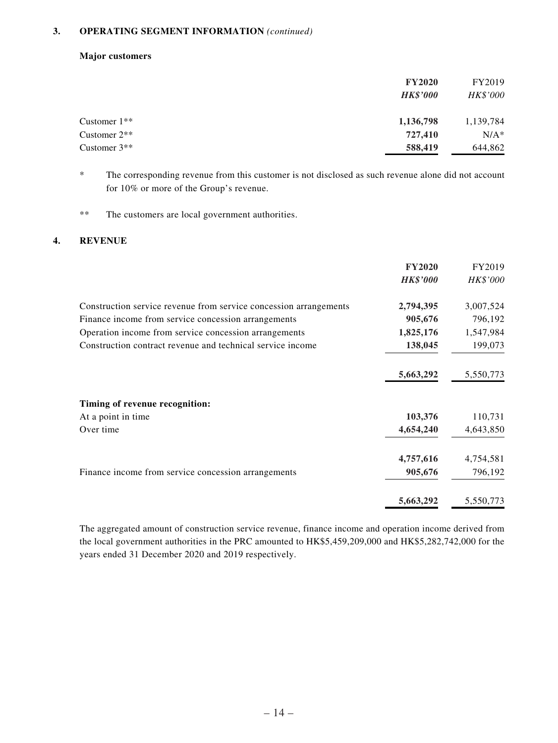#### **3. OPERATING SEGMENT INFORMATION** *(continued)*

#### **Major customers**

|                | <b>FY2020</b><br><b>HK\$'000</b> | FY2019<br><b>HK\$'000</b> |
|----------------|----------------------------------|---------------------------|
| Customer $1**$ | 1,136,798                        | 1,139,784                 |
| Customer $2**$ | 727,410                          | $N/A^*$                   |
| Customer $3**$ | 588,419                          | 644,862                   |

\* The corresponding revenue from this customer is not disclosed as such revenue alone did not account for 10% or more of the Group's revenue.

\*\* The customers are local government authorities.

#### **4. REVENUE**

|                                                                   | <b>FY2020</b>   | FY2019    |
|-------------------------------------------------------------------|-----------------|-----------|
|                                                                   | <b>HK\$'000</b> | HK\$'000  |
| Construction service revenue from service concession arrangements | 2,794,395       | 3,007,524 |
| Finance income from service concession arrangements               | 905,676         | 796,192   |
| Operation income from service concession arrangements             | 1,825,176       | 1,547,984 |
| Construction contract revenue and technical service income        | 138,045         | 199,073   |
|                                                                   | 5,663,292       | 5,550,773 |
| Timing of revenue recognition:                                    |                 |           |
| At a point in time                                                | 103,376         | 110,731   |
| Over time                                                         | 4,654,240       | 4,643,850 |
|                                                                   | 4,757,616       | 4,754,581 |
| Finance income from service concession arrangements               | 905,676         | 796,192   |
|                                                                   | 5,663,292       | 5,550,773 |

The aggregated amount of construction service revenue, finance income and operation income derived from the local government authorities in the PRC amounted to HK\$5,459,209,000 and HK\$5,282,742,000 for the years ended 31 December 2020 and 2019 respectively.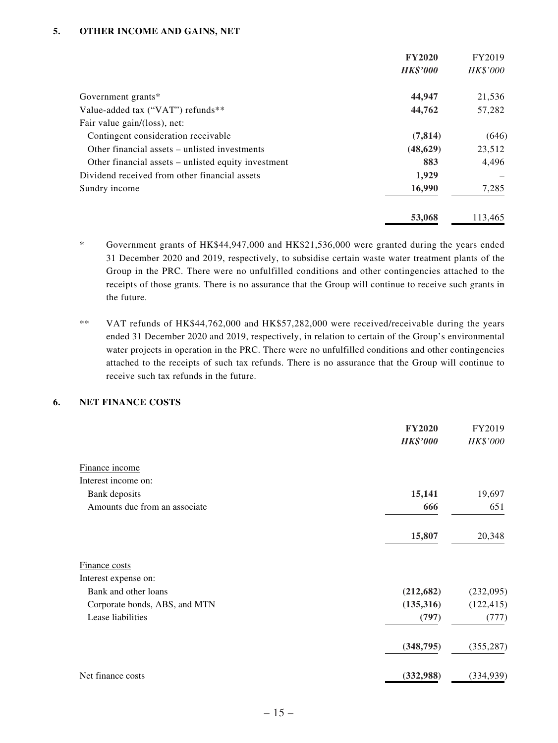#### **5. OTHER INCOME AND GAINS, NET**

|                                                     | <b>FY2020</b>   | FY2019   |
|-----------------------------------------------------|-----------------|----------|
|                                                     | <b>HK\$'000</b> | HK\$'000 |
| Government grants*                                  | 44,947          | 21,536   |
| Value-added tax ("VAT") refunds**                   | 44,762          | 57,282   |
| Fair value gain/(loss), net:                        |                 |          |
| Contingent consideration receivable                 | (7, 814)        | (646)    |
| Other financial assets – unlisted investments       | (48, 629)       | 23,512   |
| Other financial assets – unlisted equity investment | 883             | 4,496    |
| Dividend received from other financial assets       | 1,929           |          |
| 16,990<br>Sundry income                             |                 | 7,285    |
|                                                     | 53,068          | 113.465  |

- \* Government grants of HK\$44,947,000 and HK\$21,536,000 were granted during the years ended 31 December 2020 and 2019, respectively, to subsidise certain waste water treatment plants of the Group in the PRC. There were no unfulfilled conditions and other contingencies attached to the receipts of those grants. There is no assurance that the Group will continue to receive such grants in the future.
- \*\* VAT refunds of HK\$44,762,000 and HK\$57,282,000 were received/receivable during the years ended 31 December 2020 and 2019, respectively, in relation to certain of the Group's environmental water projects in operation in the PRC. There were no unfulfilled conditions and other contingencies attached to the receipts of such tax refunds. There is no assurance that the Group will continue to receive such tax refunds in the future.

#### **6. NET FINANCE COSTS**

|                               | <b>FY2020</b>   | FY2019     |
|-------------------------------|-----------------|------------|
|                               | <b>HK\$'000</b> | HK\$'000   |
| Finance income                |                 |            |
| Interest income on:           |                 |            |
| Bank deposits                 | 15,141          | 19,697     |
| Amounts due from an associate | 666             | 651        |
|                               | 15,807          | 20,348     |
| Finance costs                 |                 |            |
| Interest expense on:          |                 |            |
| Bank and other loans          | (212, 682)      | (232,095)  |
| Corporate bonds, ABS, and MTN | (135,316)       | (122, 415) |
| Lease liabilities             | (797)           | (777)      |
|                               | (348, 795)      | (355, 287) |
| Net finance costs             | (332,988)       | (334, 939) |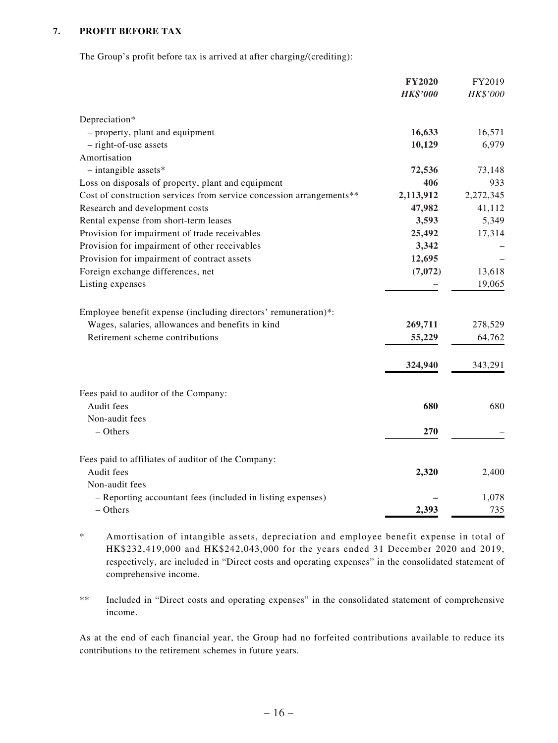#### **7. PROFIT BEFORE TAX**

The Group's profit before tax is arrived at after charging/(crediting):

|                                                                                     | <b>FY2020</b>   | FY2019    |
|-------------------------------------------------------------------------------------|-----------------|-----------|
|                                                                                     | <b>HK\$'000</b> | HK\$'000  |
| Depreciation*                                                                       |                 |           |
| - property, plant and equipment                                                     | 16,633          | 16,571    |
| - right-of-use assets                                                               | 10,129          | 6,979     |
| Amortisation                                                                        |                 |           |
| $-$ intangible assets*                                                              | 72,536          | 73,148    |
| Loss on disposals of property, plant and equipment                                  | 406             | 933       |
| Cost of construction services from service concession arrangements**                | 2,113,912       | 2,272,345 |
| Research and development costs                                                      | 47,982          | 41,112    |
| Rental expense from short-term leases                                               | 3,593           | 5,349     |
| Provision for impairment of trade receivables                                       | 25,492          | 17,314    |
| Provision for impairment of other receivables                                       | 3,342           |           |
| Provision for impairment of contract assets                                         | 12,695          |           |
| Foreign exchange differences, net                                                   | (7,072)         | 13,618    |
| Listing expenses                                                                    |                 | 19,065    |
|                                                                                     |                 |           |
| Employee benefit expense (including directors' remuneration)*:                      |                 |           |
| Wages, salaries, allowances and benefits in kind<br>Retirement scheme contributions | 269,711         | 278,529   |
|                                                                                     | 55,229          | 64,762    |
|                                                                                     | 324,940         | 343,291   |
| Fees paid to auditor of the Company:                                                |                 |           |
| Audit fees                                                                          | 680             | 680       |
| Non-audit fees                                                                      |                 |           |
| $-$ Others                                                                          | 270             |           |
| Fees paid to affiliates of auditor of the Company:                                  |                 |           |
| Audit fees                                                                          | 2,320           | 2,400     |
| Non-audit fees                                                                      |                 |           |
| - Reporting accountant fees (included in listing expenses)                          |                 | 1,078     |
| $-$ Others                                                                          | 2,393           | 735       |
|                                                                                     |                 |           |

\* Amortisation of intangible assets, depreciation and employee benefit expense in total of HK\$232,419,000 and HK\$242,043,000 for the years ended 31 December 2020 and 2019, respectively, are included in "Direct costs and operating expenses" in the consolidated statement of comprehensive income.

\*\* Included in "Direct costs and operating expenses" in the consolidated statement of comprehensive income.

As at the end of each financial year, the Group had no forfeited contributions available to reduce its contributions to the retirement schemes in future years.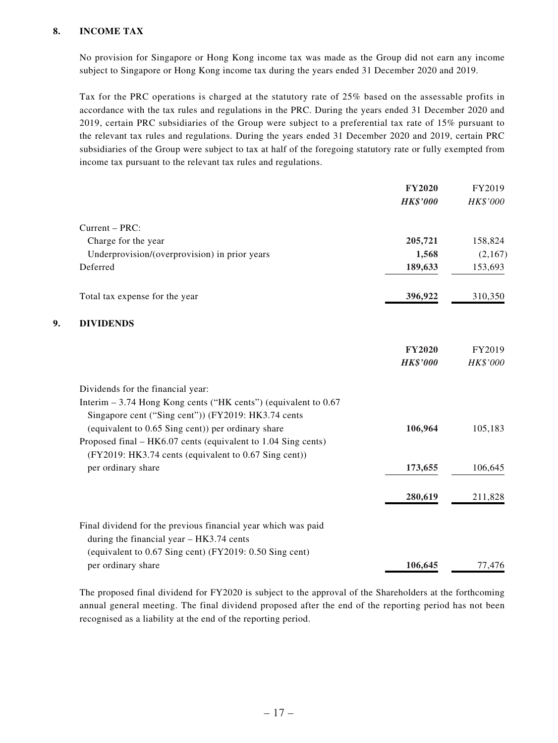#### **8. INCOME TAX**

No provision for Singapore or Hong Kong income tax was made as the Group did not earn any income subject to Singapore or Hong Kong income tax during the years ended 31 December 2020 and 2019.

Tax for the PRC operations is charged at the statutory rate of 25% based on the assessable profits in accordance with the tax rules and regulations in the PRC. During the years ended 31 December 2020 and 2019, certain PRC subsidiaries of the Group were subject to a preferential tax rate of 15% pursuant to the relevant tax rules and regulations. During the years ended 31 December 2020 and 2019, certain PRC subsidiaries of the Group were subject to tax at half of the foregoing statutory rate or fully exempted from income tax pursuant to the relevant tax rules and regulations.

|    |                                                                                                                     | <b>FY2020</b>   | FY2019   |
|----|---------------------------------------------------------------------------------------------------------------------|-----------------|----------|
|    |                                                                                                                     | <b>HK\$'000</b> | HK\$'000 |
|    | Current - PRC:                                                                                                      |                 |          |
|    | Charge for the year                                                                                                 | 205,721         | 158,824  |
|    | Underprovision/(overprovision) in prior years                                                                       | 1,568           | (2,167)  |
|    | Deferred                                                                                                            | 189,633         | 153,693  |
|    | Total tax expense for the year                                                                                      | 396,922         | 310,350  |
| 9. | <b>DIVIDENDS</b>                                                                                                    |                 |          |
|    |                                                                                                                     | <b>FY2020</b>   | FY2019   |
|    |                                                                                                                     | <b>HK\$'000</b> | HK\$'000 |
|    | Dividends for the financial year:                                                                                   |                 |          |
|    | Interim $-3.74$ Hong Kong cents ("HK cents") (equivalent to 0.67                                                    |                 |          |
|    | Singapore cent ("Sing cent")) (FY2019: HK3.74 cents                                                                 | 106,964         | 105,183  |
|    | (equivalent to 0.65 Sing cent)) per ordinary share<br>Proposed final – HK6.07 cents (equivalent to 1.04 Sing cents) |                 |          |
|    | (FY2019: HK3.74 cents (equivalent to 0.67 Sing cent))                                                               |                 |          |
|    | per ordinary share                                                                                                  | 173,655         | 106,645  |
|    |                                                                                                                     | 280,619         | 211,828  |
|    |                                                                                                                     |                 |          |
|    | Final dividend for the previous financial year which was paid                                                       |                 |          |
|    | during the financial year - HK3.74 cents<br>(equivalent to 0.67 Sing cent) (FY2019: 0.50 Sing cent)                 |                 |          |
|    |                                                                                                                     |                 |          |
|    | per ordinary share                                                                                                  | 106,645         | 77,476   |

The proposed final dividend for FY2020 is subject to the approval of the Shareholders at the forthcoming annual general meeting. The final dividend proposed after the end of the reporting period has not been recognised as a liability at the end of the reporting period.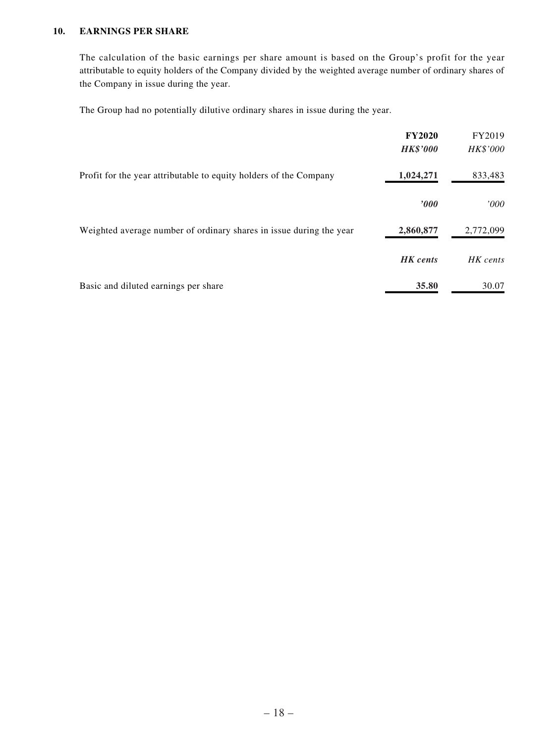#### **10. EARNINGS PER SHARE**

The calculation of the basic earnings per share amount is based on the Group's profit for the year attributable to equity holders of the Company divided by the weighted average number of ordinary shares of the Company in issue during the year.

The Group had no potentially dilutive ordinary shares in issue during the year.

|                                                                     | <b>FY2020</b><br><b>HK\$'000</b> | FY2019<br>HK\$'000 |
|---------------------------------------------------------------------|----------------------------------|--------------------|
| Profit for the year attributable to equity holders of the Company   | 1,024,271                        | 833,483            |
|                                                                     | $\bm{v}$                         | '000'              |
| Weighted average number of ordinary shares in issue during the year | 2,860,877                        | 2,772,099          |
|                                                                     | <b>HK</b> cents                  | HK cents           |
| Basic and diluted earnings per share                                | 35.80                            | 30.07              |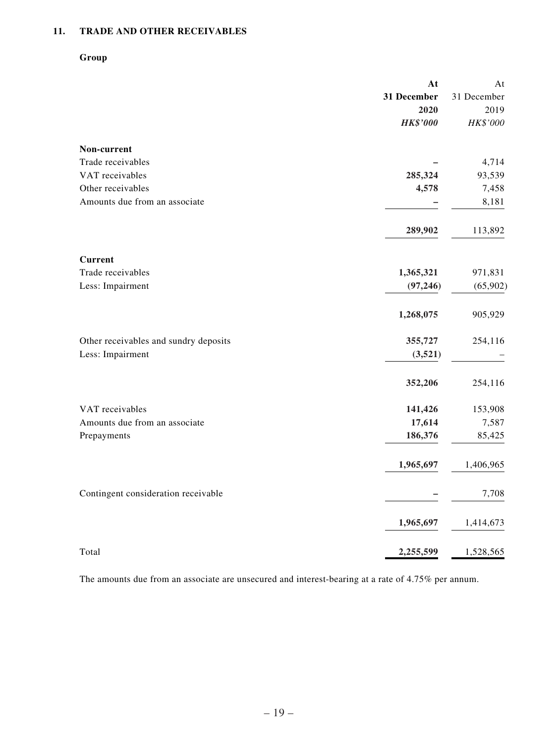### **11. TRADE AND OTHER RECEIVABLES**

#### **Group**

|                                       | At              | At          |
|---------------------------------------|-----------------|-------------|
|                                       | 31 December     | 31 December |
|                                       | 2020            | 2019        |
|                                       | <b>HK\$'000</b> | HK\$'000    |
| Non-current                           |                 |             |
| Trade receivables                     |                 | 4,714       |
| VAT receivables                       | 285,324         | 93,539      |
| Other receivables                     | 4,578           | 7,458       |
| Amounts due from an associate         |                 | 8,181       |
|                                       | 289,902         | 113,892     |
| <b>Current</b>                        |                 |             |
| Trade receivables                     | 1,365,321       | 971,831     |
| Less: Impairment                      | (97, 246)       | (65,902)    |
|                                       | 1,268,075       | 905,929     |
| Other receivables and sundry deposits | 355,727         | 254,116     |
| Less: Impairment                      | (3,521)         |             |
|                                       | 352,206         | 254,116     |
| VAT receivables                       | 141,426         | 153,908     |
| Amounts due from an associate         | 17,614          | 7,587       |
| Prepayments                           | 186,376         | 85,425      |
|                                       | 1,965,697       | 1,406,965   |
| Contingent consideration receivable   |                 | 7,708       |
|                                       | 1,965,697       | 1,414,673   |
| Total                                 | 2,255,599       | 1,528,565   |

The amounts due from an associate are unsecured and interest-bearing at a rate of 4.75% per annum.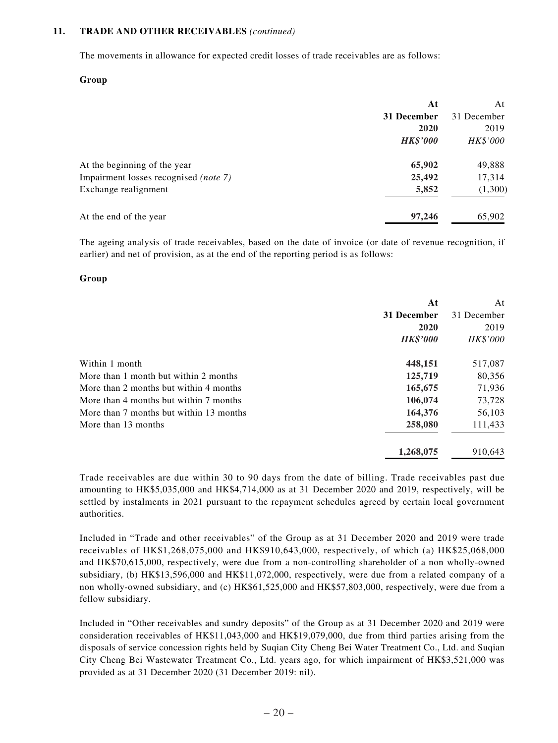#### **11. TRADE AND OTHER RECEIVABLES** *(continued)*

The movements in allowance for expected credit losses of trade receivables are as follows:

#### **Group**

|                                       | At              | At          |
|---------------------------------------|-----------------|-------------|
|                                       | 31 December     | 31 December |
|                                       | 2020            | 2019        |
|                                       | <b>HK\$'000</b> | HK\$'000    |
| At the beginning of the year          | 65,902          | 49,888      |
| Impairment losses recognised (note 7) | 25,492          | 17,314      |
| Exchange realignment                  | 5,852           | (1,300)     |
| At the end of the year                | 97,246          | 65,902      |

The ageing analysis of trade receivables, based on the date of invoice (or date of revenue recognition, if earlier) and net of provision, as at the end of the reporting period is as follows:

#### **Group**

|                                         | At              | At          |
|-----------------------------------------|-----------------|-------------|
|                                         | 31 December     | 31 December |
|                                         | 2020            | 2019        |
|                                         | <b>HK\$'000</b> | HK\$'000    |
| Within 1 month                          | 448,151         | 517,087     |
| More than 1 month but within 2 months   | 125,719         | 80,356      |
| More than 2 months but within 4 months  | 165,675         | 71,936      |
| More than 4 months but within 7 months  | 106,074         | 73,728      |
| More than 7 months but within 13 months | 164,376         | 56,103      |
| More than 13 months                     | 258,080         | 111,433     |
|                                         | 1,268,075       | 910,643     |

Trade receivables are due within 30 to 90 days from the date of billing. Trade receivables past due amounting to HK\$5,035,000 and HK\$4,714,000 as at 31 December 2020 and 2019, respectively, will be settled by instalments in 2021 pursuant to the repayment schedules agreed by certain local government authorities.

Included in "Trade and other receivables" of the Group as at 31 December 2020 and 2019 were trade receivables of HK\$1,268,075,000 and HK\$910,643,000, respectively, of which (a) HK\$25,068,000 and HK\$70,615,000, respectively, were due from a non-controlling shareholder of a non wholly-owned subsidiary, (b) HK\$13,596,000 and HK\$11,072,000, respectively, were due from a related company of a non wholly-owned subsidiary, and (c) HK\$61,525,000 and HK\$57,803,000, respectively, were due from a fellow subsidiary.

Included in "Other receivables and sundry deposits" of the Group as at 31 December 2020 and 2019 were consideration receivables of HK\$11,043,000 and HK\$19,079,000, due from third parties arising from the disposals of service concession rights held by Suqian City Cheng Bei Water Treatment Co., Ltd. and Suqian City Cheng Bei Wastewater Treatment Co., Ltd. years ago, for which impairment of HK\$3,521,000 was provided as at 31 December 2020 (31 December 2019: nil).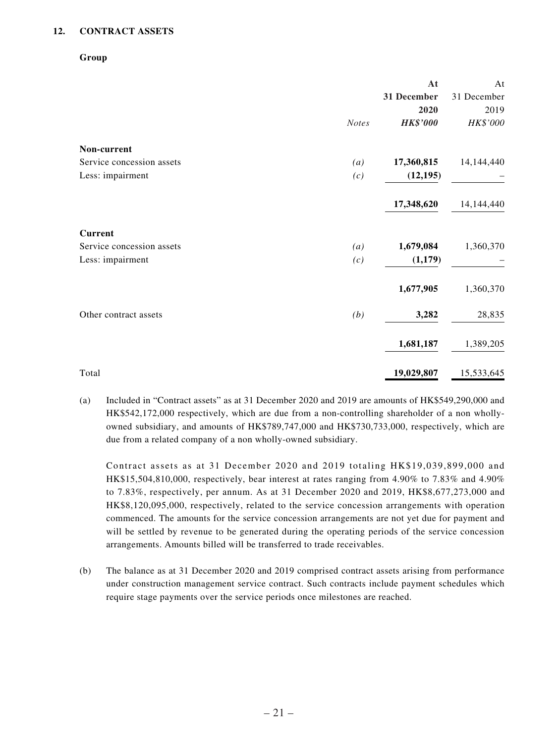#### **12. CONTRACT ASSETS**

#### **Group**

|                           |              | At              | At          |
|---------------------------|--------------|-----------------|-------------|
|                           |              | 31 December     | 31 December |
|                           |              | 2020            | 2019        |
|                           | <b>Notes</b> | <b>HK\$'000</b> | HK\$'000    |
| Non-current               |              |                 |             |
| Service concession assets | (a)          | 17,360,815      | 14,144,440  |
| Less: impairment          | (c)          | (12, 195)       |             |
|                           |              | 17,348,620      | 14,144,440  |
| <b>Current</b>            |              |                 |             |
| Service concession assets | (a)          | 1,679,084       | 1,360,370   |
| Less: impairment          | (c)          | (1,179)         |             |
|                           |              | 1,677,905       | 1,360,370   |
| Other contract assets     | (b)          | 3,282           | 28,835      |
|                           |              | 1,681,187       | 1,389,205   |
| Total                     |              | 19,029,807      | 15,533,645  |

(a) Included in "Contract assets" as at 31 December 2020 and 2019 are amounts of HK\$549,290,000 and HK\$542,172,000 respectively, which are due from a non-controlling shareholder of a non whollyowned subsidiary, and amounts of HK\$789,747,000 and HK\$730,733,000, respectively, which are due from a related company of a non wholly-owned subsidiary.

Contract assets as at 31 December 2020 and 2019 totaling HK\$19,039,899,000 and HK\$15,504,810,000, respectively, bear interest at rates ranging from 4.90% to 7.83% and 4.90% to 7.83%, respectively, per annum. As at 31 December 2020 and 2019, HK\$8,677,273,000 and HK\$8,120,095,000, respectively, related to the service concession arrangements with operation commenced. The amounts for the service concession arrangements are not yet due for payment and will be settled by revenue to be generated during the operating periods of the service concession arrangements. Amounts billed will be transferred to trade receivables.

(b) The balance as at 31 December 2020 and 2019 comprised contract assets arising from performance under construction management service contract. Such contracts include payment schedules which require stage payments over the service periods once milestones are reached.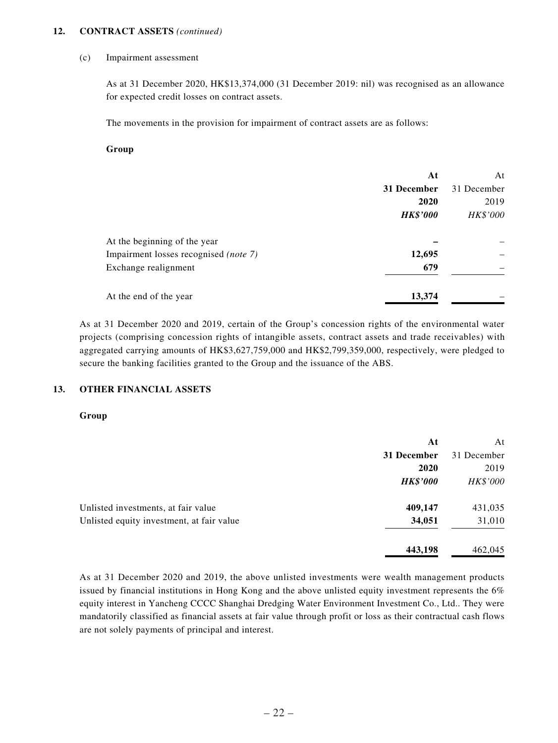#### **12. CONTRACT ASSETS** *(continued)*

#### (c) Impairment assessment

As at 31 December 2020, HK\$13,374,000 (31 December 2019: nil) was recognised as an allowance for expected credit losses on contract assets.

The movements in the provision for impairment of contract assets are as follows:

#### **Group**

|                                       | At              | At          |
|---------------------------------------|-----------------|-------------|
|                                       | 31 December     | 31 December |
|                                       | 2020            | 2019        |
|                                       | <b>HK\$'000</b> | HK\$'000    |
| At the beginning of the year          |                 |             |
| Impairment losses recognised (note 7) | 12,695          |             |
| Exchange realignment                  | 679             |             |
| At the end of the year                | 13,374          |             |

As at 31 December 2020 and 2019, certain of the Group's concession rights of the environmental water projects (comprising concession rights of intangible assets, contract assets and trade receivables) with aggregated carrying amounts of HK\$3,627,759,000 and HK\$2,799,359,000, respectively, were pledged to secure the banking facilities granted to the Group and the issuance of the ABS.

#### **13. OTHER FINANCIAL ASSETS**

#### **Group**

|                                           | At              | At          |
|-------------------------------------------|-----------------|-------------|
|                                           | 31 December     | 31 December |
|                                           | 2020            | 2019        |
|                                           | <b>HK\$'000</b> | HK\$'000    |
| Unlisted investments, at fair value       | 409,147         | 431,035     |
| Unlisted equity investment, at fair value | 34,051          | 31,010      |
|                                           | 443,198         | 462,045     |

As at 31 December 2020 and 2019, the above unlisted investments were wealth management products issued by financial institutions in Hong Kong and the above unlisted equity investment represents the 6% equity interest in Yancheng CCCC Shanghai Dredging Water Environment Investment Co., Ltd.. They were mandatorily classified as financial assets at fair value through profit or loss as their contractual cash flows are not solely payments of principal and interest.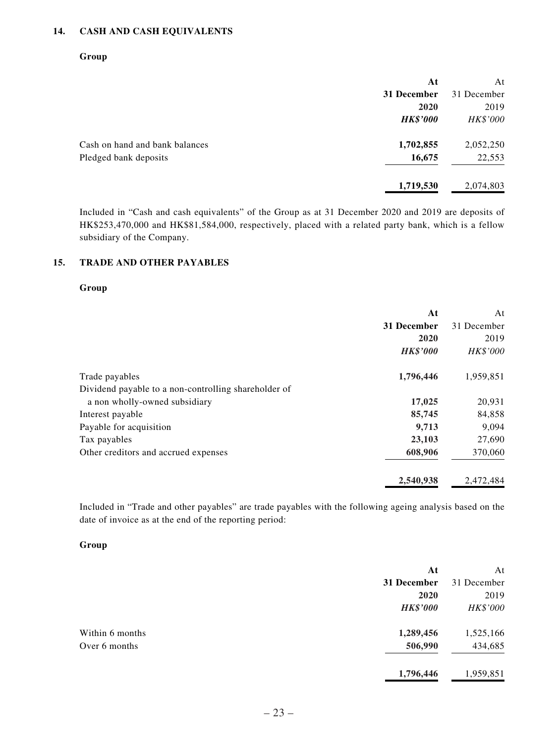#### **14. CASH AND CASH EQUIVALENTS**

#### **Group**

|                                | At              | At          |
|--------------------------------|-----------------|-------------|
|                                | 31 December     | 31 December |
|                                | 2020            | 2019        |
|                                | <b>HK\$'000</b> | HK\$'000    |
| Cash on hand and bank balances | 1,702,855       | 2,052,250   |
| Pledged bank deposits          | 16,675          | 22,553      |
|                                | 1,719,530       | 2,074,803   |

Included in "Cash and cash equivalents" of the Group as at 31 December 2020 and 2019 are deposits of HK\$253,470,000 and HK\$81,584,000, respectively, placed with a related party bank, which is a fellow subsidiary of the Company.

#### **15. TRADE AND OTHER PAYABLES**

#### **Group**

|                                                      | At              | At              |
|------------------------------------------------------|-----------------|-----------------|
|                                                      | 31 December     | 31 December     |
|                                                      | 2020            | 2019            |
|                                                      | <b>HK\$'000</b> | <b>HK\$'000</b> |
| Trade payables                                       | 1,796,446       | 1,959,851       |
| Dividend payable to a non-controlling shareholder of |                 |                 |
| a non wholly-owned subsidiary                        | 17,025          | 20,931          |
| Interest payable                                     | 85,745          | 84,858          |
| Payable for acquisition                              | 9,713           | 9,094           |
| Tax payables                                         | 23,103          | 27,690          |
| Other creditors and accrued expenses                 | 608,906         | 370,060         |
|                                                      | 2,540,938       | 2,472,484       |

Included in "Trade and other payables" are trade payables with the following ageing analysis based on the date of invoice as at the end of the reporting period:

#### **Group**

|                 | At              | At          |
|-----------------|-----------------|-------------|
|                 | 31 December     | 31 December |
|                 | 2020            | 2019        |
|                 | <b>HK\$'000</b> | HK\$'000    |
| Within 6 months | 1,289,456       | 1,525,166   |
| Over 6 months   | 506,990         | 434,685     |
|                 | 1,796,446       | 1,959,851   |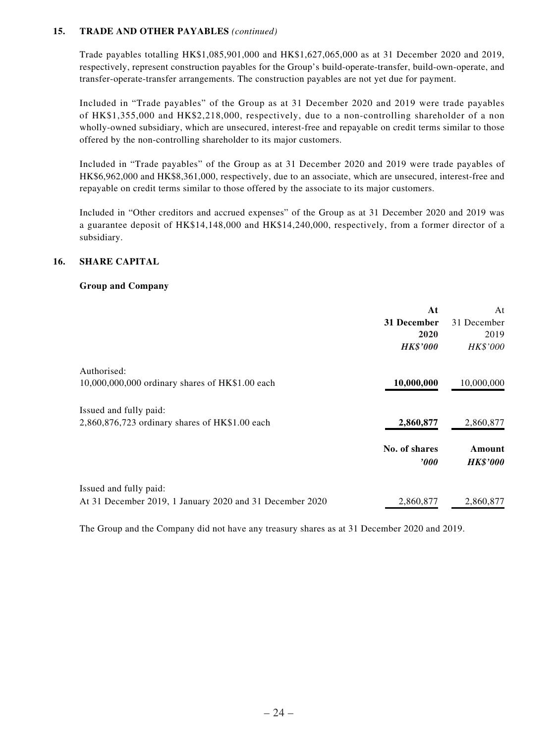#### **15. TRADE AND OTHER PAYABLES** *(continued)*

Trade payables totalling HK\$1,085,901,000 and HK\$1,627,065,000 as at 31 December 2020 and 2019, respectively, represent construction payables for the Group's build-operate-transfer, build-own-operate, and transfer-operate-transfer arrangements. The construction payables are not yet due for payment.

Included in "Trade payables" of the Group as at 31 December 2020 and 2019 were trade payables of HK\$1,355,000 and HK\$2,218,000, respectively, due to a non-controlling shareholder of a non wholly-owned subsidiary, which are unsecured, interest-free and repayable on credit terms similar to those offered by the non-controlling shareholder to its major customers.

Included in "Trade payables" of the Group as at 31 December 2020 and 2019 were trade payables of HK\$6,962,000 and HK\$8,361,000, respectively, due to an associate, which are unsecured, interest-free and repayable on credit terms similar to those offered by the associate to its major customers.

Included in "Other creditors and accrued expenses" of the Group as at 31 December 2020 and 2019 was a guarantee deposit of HK\$14,148,000 and HK\$14,240,000, respectively, from a former director of a subsidiary.

#### **16. SHARE CAPITAL**

#### **Group and Company**

|                                                          | At                        | At                        |
|----------------------------------------------------------|---------------------------|---------------------------|
|                                                          | 31 December               | 31 December               |
|                                                          | 2020                      | 2019                      |
|                                                          | <b>HK\$'000</b>           | HK\$'000                  |
| Authorised:                                              |                           |                           |
| 10,000,000,000 ordinary shares of HK\$1.00 each          | 10,000,000                | 10,000,000                |
| Issued and fully paid:                                   |                           |                           |
| $2,860,876,723$ ordinary shares of HK\$1.00 each         | 2,860,877                 | 2,860,877                 |
|                                                          | No. of shares<br>$\bm{v}$ | Amount<br><b>HK\$'000</b> |
| Issued and fully paid:                                   |                           |                           |
| At 31 December 2019, 1 January 2020 and 31 December 2020 | 2,860,877                 | 2,860,877                 |

The Group and the Company did not have any treasury shares as at 31 December 2020 and 2019.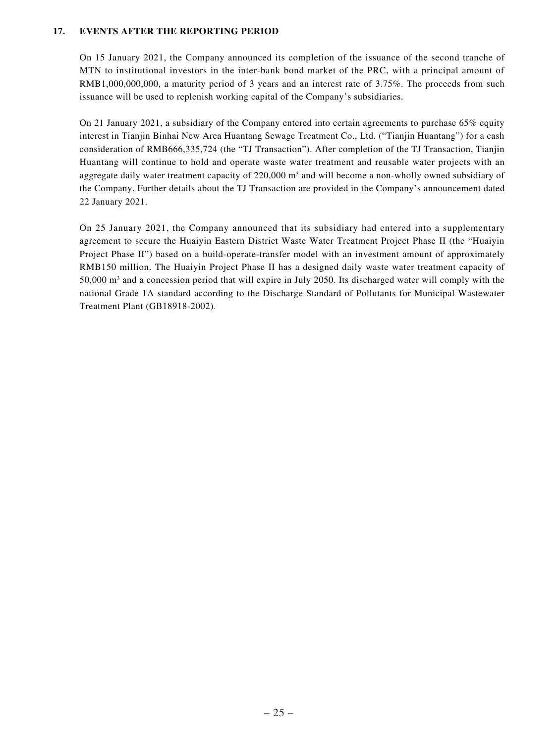#### **17. EVENTS AFTER THE REPORTING PERIOD**

On 15 January 2021, the Company announced its completion of the issuance of the second tranche of MTN to institutional investors in the inter-bank bond market of the PRC, with a principal amount of RMB1,000,000,000, a maturity period of 3 years and an interest rate of 3.75%. The proceeds from such issuance will be used to replenish working capital of the Company's subsidiaries.

On 21 January 2021, a subsidiary of the Company entered into certain agreements to purchase 65% equity interest in Tianjin Binhai New Area Huantang Sewage Treatment Co., Ltd. ("Tianjin Huantang") for a cash consideration of RMB666,335,724 (the "TJ Transaction"). After completion of the TJ Transaction, Tianjin Huantang will continue to hold and operate waste water treatment and reusable water projects with an aggregate daily water treatment capacity of  $220,000$  m<sup>3</sup> and will become a non-wholly owned subsidiary of the Company. Further details about the TJ Transaction are provided in the Company's announcement dated 22 January 2021.

On 25 January 2021, the Company announced that its subsidiary had entered into a supplementary agreement to secure the Huaiyin Eastern District Waste Water Treatment Project Phase II (the "Huaiyin Project Phase II") based on a build-operate-transfer model with an investment amount of approximately RMB150 million. The Huaiyin Project Phase II has a designed daily waste water treatment capacity of  $50,000$  m<sup>3</sup> and a concession period that will expire in July 2050. Its discharged water will comply with the national Grade 1A standard according to the Discharge Standard of Pollutants for Municipal Wastewater Treatment Plant (GB18918-2002).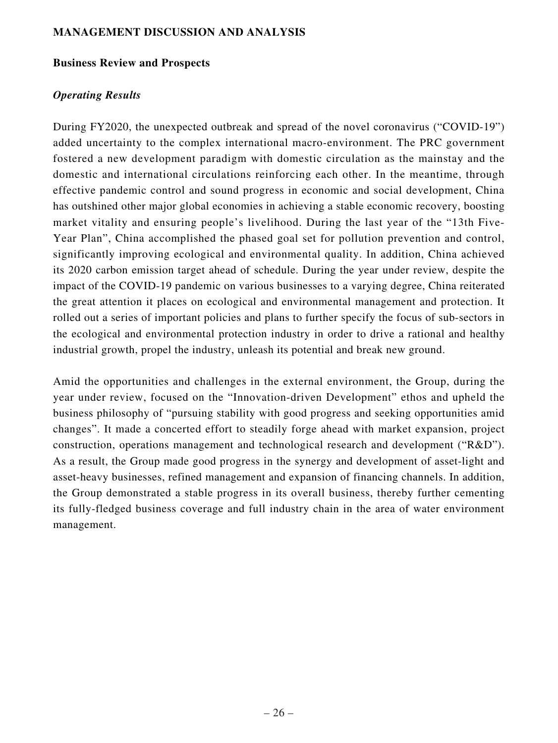#### **MANAGEMENT DISCUSSION AND ANALYSIS**

#### **Business Review and Prospects**

#### *Operating Results*

During FY2020, the unexpected outbreak and spread of the novel coronavirus ("COVID-19") added uncertainty to the complex international macro-environment. The PRC government fostered a new development paradigm with domestic circulation as the mainstay and the domestic and international circulations reinforcing each other. In the meantime, through effective pandemic control and sound progress in economic and social development, China has outshined other major global economies in achieving a stable economic recovery, boosting market vitality and ensuring people's livelihood. During the last year of the "13th Five-Year Plan", China accomplished the phased goal set for pollution prevention and control, significantly improving ecological and environmental quality. In addition, China achieved its 2020 carbon emission target ahead of schedule. During the year under review, despite the impact of the COVID-19 pandemic on various businesses to a varying degree, China reiterated the great attention it places on ecological and environmental management and protection. It rolled out a series of important policies and plans to further specify the focus of sub-sectors in the ecological and environmental protection industry in order to drive a rational and healthy industrial growth, propel the industry, unleash its potential and break new ground.

Amid the opportunities and challenges in the external environment, the Group, during the year under review, focused on the "Innovation-driven Development" ethos and upheld the business philosophy of "pursuing stability with good progress and seeking opportunities amid changes". It made a concerted effort to steadily forge ahead with market expansion, project construction, operations management and technological research and development ("R&D"). As a result, the Group made good progress in the synergy and development of asset-light and asset-heavy businesses, refined management and expansion of financing channels. In addition, the Group demonstrated a stable progress in its overall business, thereby further cementing its fully-fledged business coverage and full industry chain in the area of water environment management.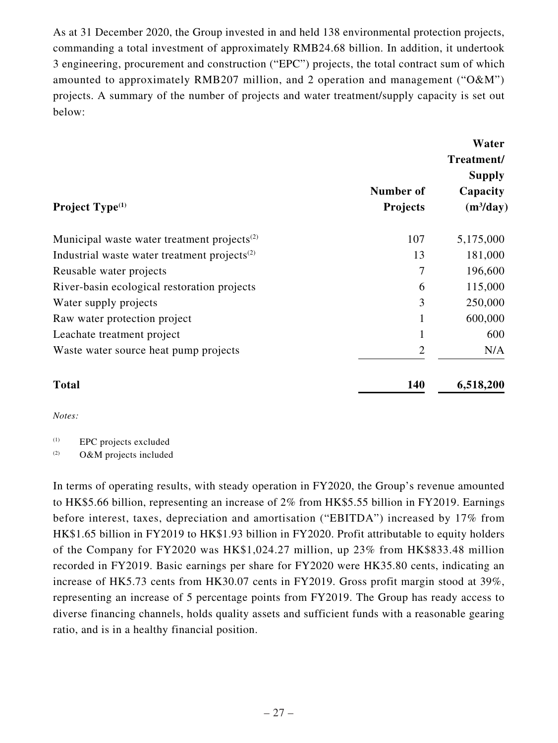As at 31 December 2020, the Group invested in and held 138 environmental protection projects, commanding a total investment of approximately RMB24.68 billion. In addition, it undertook 3 engineering, procurement and construction ("EPC") projects, the total contract sum of which amounted to approximately RMB207 million, and 2 operation and management ("O&M") projects. A summary of the number of projects and water treatment/supply capacity is set out below:

| Project Type <sup>(1)</sup>                              | Number of<br><b>Projects</b> | Water<br>Treatment/<br><b>Supply</b><br>Capacity<br>$(m^3/day)$ |
|----------------------------------------------------------|------------------------------|-----------------------------------------------------------------|
| Municipal waste water treatment projects <sup>(2)</sup>  | 107                          | 5,175,000                                                       |
| Industrial waste water treatment projects <sup>(2)</sup> | 13                           | 181,000                                                         |
| Reusable water projects                                  | 7                            | 196,600                                                         |
| River-basin ecological restoration projects              | 6                            | 115,000                                                         |
| Water supply projects                                    | 3                            | 250,000                                                         |
| Raw water protection project                             | $\mathbf{1}$                 | 600,000                                                         |
| Leachate treatment project                               | $\mathbf{1}$                 | 600                                                             |
| Waste water source heat pump projects                    | $\overline{2}$               | N/A                                                             |
| <b>Total</b>                                             | 140                          | 6,518,200                                                       |

*Notes:*

(1) EPC projects excluded

(2) O&M projects included

In terms of operating results, with steady operation in FY2020, the Group's revenue amounted to HK\$5.66 billion, representing an increase of 2% from HK\$5.55 billion in FY2019. Earnings before interest, taxes, depreciation and amortisation ("EBITDA") increased by 17% from HK\$1.65 billion in FY2019 to HK\$1.93 billion in FY2020. Profit attributable to equity holders of the Company for FY2020 was HK\$1,024.27 million, up 23% from HK\$833.48 million recorded in FY2019. Basic earnings per share for FY2020 were HK35.80 cents, indicating an increase of HK5.73 cents from HK30.07 cents in FY2019. Gross profit margin stood at 39%, representing an increase of 5 percentage points from FY2019. The Group has ready access to diverse financing channels, holds quality assets and sufficient funds with a reasonable gearing ratio, and is in a healthy financial position.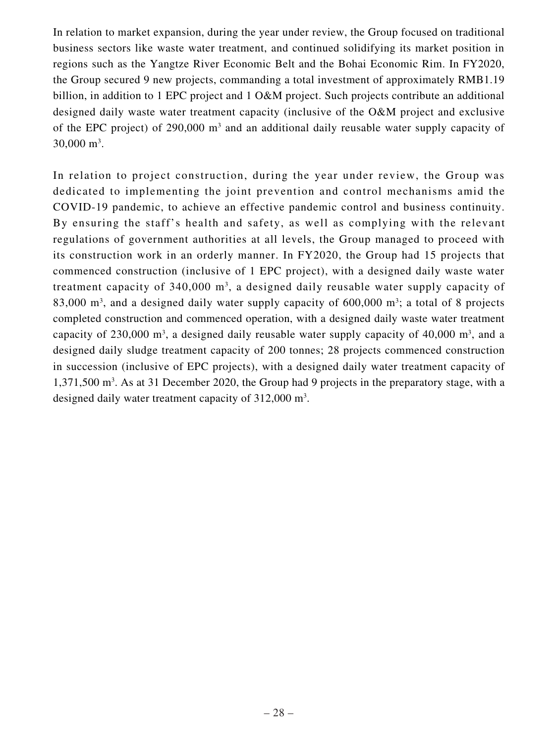In relation to market expansion, during the year under review, the Group focused on traditional business sectors like waste water treatment, and continued solidifying its market position in regions such as the Yangtze River Economic Belt and the Bohai Economic Rim. In FY2020, the Group secured 9 new projects, commanding a total investment of approximately RMB1.19 billion, in addition to 1 EPC project and 1 O&M project. Such projects contribute an additional designed daily waste water treatment capacity (inclusive of the O&M project and exclusive of the EPC project) of 290,000 m<sup>3</sup> and an additional daily reusable water supply capacity of  $30,000 \text{ m}^3$ .

In relation to project construction, during the year under review, the Group was dedicated to implementing the joint prevention and control mechanisms amid the COVID-19 pandemic, to achieve an effective pandemic control and business continuity. By ensuring the staff's health and safety, as well as complying with the relevant regulations of government authorities at all levels, the Group managed to proceed with its construction work in an orderly manner. In FY2020, the Group had 15 projects that commenced construction (inclusive of 1 EPC project), with a designed daily waste water treatment capacity of  $340,000$  m<sup>3</sup>, a designed daily reusable water supply capacity of 83,000  $\mathrm{m}^3$ , and a designed daily water supply capacity of 600,000  $\mathrm{m}^3$ ; a total of 8 projects completed construction and commenced operation, with a designed daily waste water treatment capacity of 230,000  $m^3$ , a designed daily reusable water supply capacity of 40,000  $m^3$ , and a designed daily sludge treatment capacity of 200 tonnes; 28 projects commenced construction in succession (inclusive of EPC projects), with a designed daily water treatment capacity of 1,371,500 m<sup>3</sup>. As at 31 December 2020, the Group had 9 projects in the preparatory stage, with a designed daily water treatment capacity of 312,000 m<sup>3</sup>.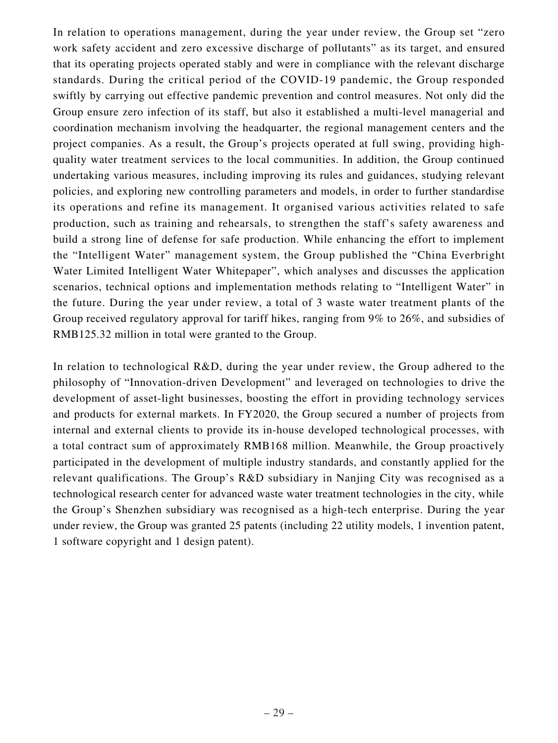In relation to operations management, during the year under review, the Group set "zero work safety accident and zero excessive discharge of pollutants" as its target, and ensured that its operating projects operated stably and were in compliance with the relevant discharge standards. During the critical period of the COVID-19 pandemic, the Group responded swiftly by carrying out effective pandemic prevention and control measures. Not only did the Group ensure zero infection of its staff, but also it established a multi-level managerial and coordination mechanism involving the headquarter, the regional management centers and the project companies. As a result, the Group's projects operated at full swing, providing highquality water treatment services to the local communities. In addition, the Group continued undertaking various measures, including improving its rules and guidances, studying relevant policies, and exploring new controlling parameters and models, in order to further standardise its operations and refine its management. It organised various activities related to safe production, such as training and rehearsals, to strengthen the staff's safety awareness and build a strong line of defense for safe production. While enhancing the effort to implement the "Intelligent Water" management system, the Group published the "China Everbright Water Limited Intelligent Water Whitepaper", which analyses and discusses the application scenarios, technical options and implementation methods relating to "Intelligent Water" in the future. During the year under review, a total of 3 waste water treatment plants of the Group received regulatory approval for tariff hikes, ranging from 9% to 26%, and subsidies of RMB125.32 million in total were granted to the Group.

In relation to technological R&D, during the year under review, the Group adhered to the philosophy of "Innovation-driven Development" and leveraged on technologies to drive the development of asset-light businesses, boosting the effort in providing technology services and products for external markets. In FY2020, the Group secured a number of projects from internal and external clients to provide its in-house developed technological processes, with a total contract sum of approximately RMB168 million. Meanwhile, the Group proactively participated in the development of multiple industry standards, and constantly applied for the relevant qualifications. The Group's R&D subsidiary in Nanjing City was recognised as a technological research center for advanced waste water treatment technologies in the city, while the Group's Shenzhen subsidiary was recognised as a high-tech enterprise. During the year under review, the Group was granted 25 patents (including 22 utility models, 1 invention patent, 1 software copyright and 1 design patent).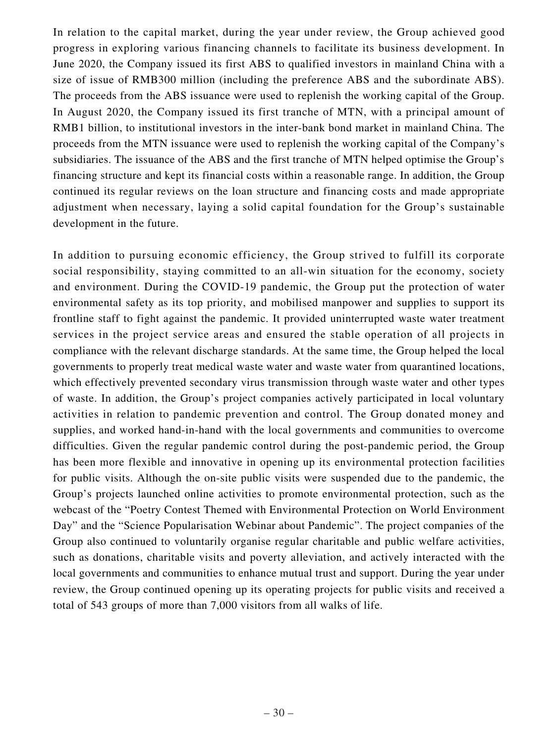In relation to the capital market, during the year under review, the Group achieved good progress in exploring various financing channels to facilitate its business development. In June 2020, the Company issued its first ABS to qualified investors in mainland China with a size of issue of RMB300 million (including the preference ABS and the subordinate ABS). The proceeds from the ABS issuance were used to replenish the working capital of the Group. In August 2020, the Company issued its first tranche of MTN, with a principal amount of RMB1 billion, to institutional investors in the inter-bank bond market in mainland China. The proceeds from the MTN issuance were used to replenish the working capital of the Company's subsidiaries. The issuance of the ABS and the first tranche of MTN helped optimise the Group's financing structure and kept its financial costs within a reasonable range. In addition, the Group continued its regular reviews on the loan structure and financing costs and made appropriate adjustment when necessary, laying a solid capital foundation for the Group's sustainable development in the future.

In addition to pursuing economic efficiency, the Group strived to fulfill its corporate social responsibility, staying committed to an all-win situation for the economy, society and environment. During the COVID-19 pandemic, the Group put the protection of water environmental safety as its top priority, and mobilised manpower and supplies to support its frontline staff to fight against the pandemic. It provided uninterrupted waste water treatment services in the project service areas and ensured the stable operation of all projects in compliance with the relevant discharge standards. At the same time, the Group helped the local governments to properly treat medical waste water and waste water from quarantined locations, which effectively prevented secondary virus transmission through waste water and other types of waste. In addition, the Group's project companies actively participated in local voluntary activities in relation to pandemic prevention and control. The Group donated money and supplies, and worked hand-in-hand with the local governments and communities to overcome difficulties. Given the regular pandemic control during the post-pandemic period, the Group has been more flexible and innovative in opening up its environmental protection facilities for public visits. Although the on-site public visits were suspended due to the pandemic, the Group's projects launched online activities to promote environmental protection, such as the webcast of the "Poetry Contest Themed with Environmental Protection on World Environment Day" and the "Science Popularisation Webinar about Pandemic". The project companies of the Group also continued to voluntarily organise regular charitable and public welfare activities, such as donations, charitable visits and poverty alleviation, and actively interacted with the local governments and communities to enhance mutual trust and support. During the year under review, the Group continued opening up its operating projects for public visits and received a total of 543 groups of more than 7,000 visitors from all walks of life.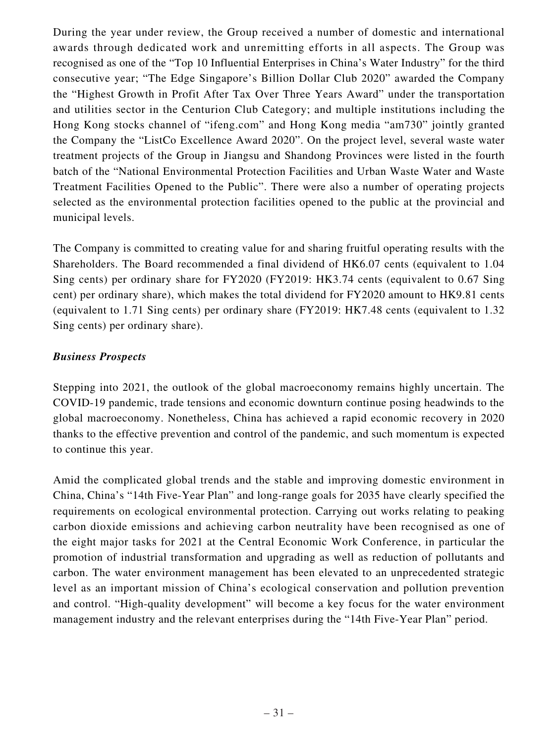During the year under review, the Group received a number of domestic and international awards through dedicated work and unremitting efforts in all aspects. The Group was recognised as one of the "Top 10 Influential Enterprises in China's Water Industry" for the third consecutive year; "The Edge Singapore's Billion Dollar Club 2020" awarded the Company the "Highest Growth in Profit After Tax Over Three Years Award" under the transportation and utilities sector in the Centurion Club Category; and multiple institutions including the Hong Kong stocks channel of "ifeng.com" and Hong Kong media "am730" jointly granted the Company the "ListCo Excellence Award 2020". On the project level, several waste water treatment projects of the Group in Jiangsu and Shandong Provinces were listed in the fourth batch of the "National Environmental Protection Facilities and Urban Waste Water and Waste Treatment Facilities Opened to the Public". There were also a number of operating projects selected as the environmental protection facilities opened to the public at the provincial and municipal levels.

The Company is committed to creating value for and sharing fruitful operating results with the Shareholders. The Board recommended a final dividend of HK6.07 cents (equivalent to 1.04 Sing cents) per ordinary share for FY2020 (FY2019: HK3.74 cents (equivalent to 0.67 Sing cent) per ordinary share), which makes the total dividend for FY2020 amount to HK9.81 cents (equivalent to 1.71 Sing cents) per ordinary share (FY2019: HK7.48 cents (equivalent to 1.32 Sing cents) per ordinary share).

## *Business Prospects*

Stepping into 2021, the outlook of the global macroeconomy remains highly uncertain. The COVID-19 pandemic, trade tensions and economic downturn continue posing headwinds to the global macroeconomy. Nonetheless, China has achieved a rapid economic recovery in 2020 thanks to the effective prevention and control of the pandemic, and such momentum is expected to continue this year.

Amid the complicated global trends and the stable and improving domestic environment in China, China's "14th Five-Year Plan" and long-range goals for 2035 have clearly specified the requirements on ecological environmental protection. Carrying out works relating to peaking carbon dioxide emissions and achieving carbon neutrality have been recognised as one of the eight major tasks for 2021 at the Central Economic Work Conference, in particular the promotion of industrial transformation and upgrading as well as reduction of pollutants and carbon. The water environment management has been elevated to an unprecedented strategic level as an important mission of China's ecological conservation and pollution prevention and control. "High-quality development" will become a key focus for the water environment management industry and the relevant enterprises during the "14th Five-Year Plan" period.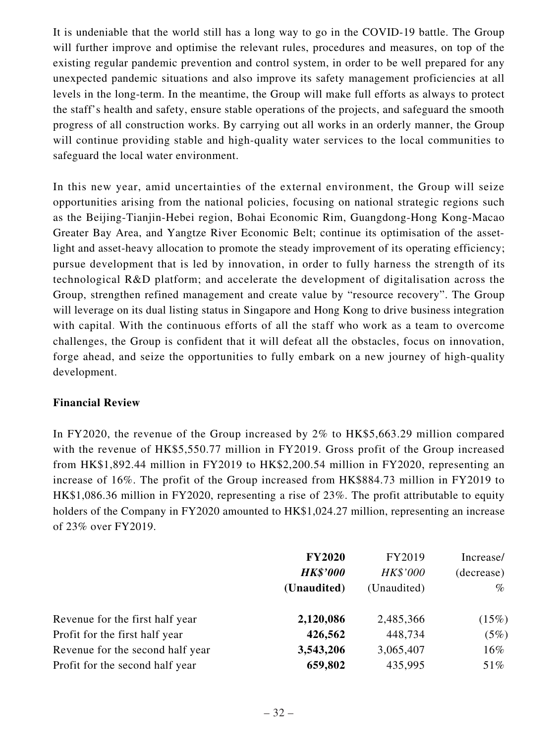It is undeniable that the world still has a long way to go in the COVID-19 battle. The Group will further improve and optimise the relevant rules, procedures and measures, on top of the existing regular pandemic prevention and control system, in order to be well prepared for any unexpected pandemic situations and also improve its safety management proficiencies at all levels in the long-term. In the meantime, the Group will make full efforts as always to protect the staff's health and safety, ensure stable operations of the projects, and safeguard the smooth progress of all construction works. By carrying out all works in an orderly manner, the Group will continue providing stable and high-quality water services to the local communities to safeguard the local water environment.

In this new year, amid uncertainties of the external environment, the Group will seize opportunities arising from the national policies, focusing on national strategic regions such as the Beijing-Tianjin-Hebei region, Bohai Economic Rim, Guangdong-Hong Kong-Macao Greater Bay Area, and Yangtze River Economic Belt; continue its optimisation of the assetlight and asset-heavy allocation to promote the steady improvement of its operating efficiency; pursue development that is led by innovation, in order to fully harness the strength of its technological R&D platform; and accelerate the development of digitalisation across the Group, strengthen refined management and create value by "resource recovery". The Group will leverage on its dual listing status in Singapore and Hong Kong to drive business integration with capital. With the continuous efforts of all the staff who work as a team to overcome challenges, the Group is confident that it will defeat all the obstacles, focus on innovation, forge ahead, and seize the opportunities to fully embark on a new journey of high-quality development.

### **Financial Review**

In FY2020, the revenue of the Group increased by 2% to HK\$5,663.29 million compared with the revenue of HK\$5,550.77 million in FY2019. Gross profit of the Group increased from HK\$1,892.44 million in FY2019 to HK\$2,200.54 million in FY2020, representing an increase of 16%. The profit of the Group increased from HK\$884.73 million in FY2019 to HK\$1,086.36 million in FY2020, representing a rise of 23%. The profit attributable to equity holders of the Company in FY2020 amounted to HK\$1,024.27 million, representing an increase of 23% over FY2019.

|                                  | <b>FY2020</b><br><b>HK\$'000</b> | FY2019<br>HK\$'000 | Increase/<br>(decrease) |
|----------------------------------|----------------------------------|--------------------|-------------------------|
|                                  | (Unaudited)                      | (Unaudited)        | $\%$                    |
| Revenue for the first half year  | 2,120,086                        | 2,485,366          | (15%)                   |
| Profit for the first half year   | 426,562                          | 448,734            | (5%)                    |
| Revenue for the second half year | 3,543,206                        | 3,065,407          | $16\%$                  |
| Profit for the second half year  | 659,802                          | 435,995            | 51%                     |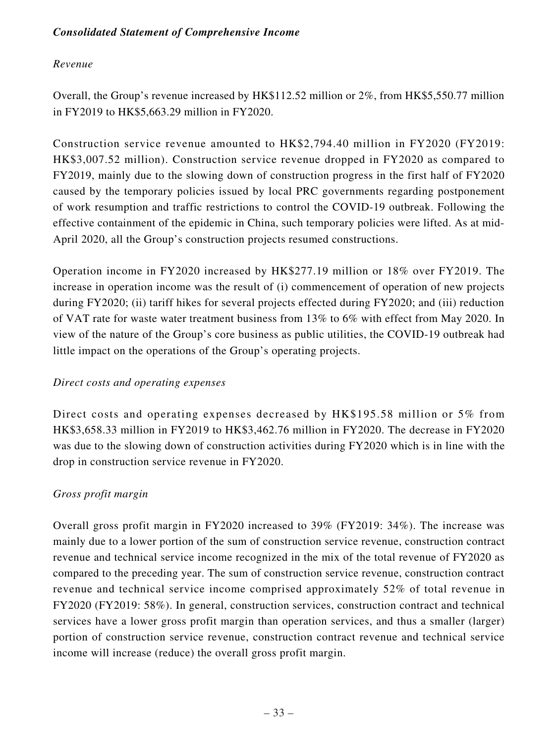# *Consolidated Statement of Comprehensive Income*

# *Revenue*

Overall, the Group's revenue increased by HK\$112.52 million or 2%, from HK\$5,550.77 million in FY2019 to HK\$5,663.29 million in FY2020.

Construction service revenue amounted to HK\$2,794.40 million in FY2020 (FY2019: HK\$3,007.52 million). Construction service revenue dropped in FY2020 as compared to FY2019, mainly due to the slowing down of construction progress in the first half of FY2020 caused by the temporary policies issued by local PRC governments regarding postponement of work resumption and traffic restrictions to control the COVID-19 outbreak. Following the effective containment of the epidemic in China, such temporary policies were lifted. As at mid-April 2020, all the Group's construction projects resumed constructions.

Operation income in FY2020 increased by HK\$277.19 million or 18% over FY2019. The increase in operation income was the result of (i) commencement of operation of new projects during FY2020; (ii) tariff hikes for several projects effected during FY2020; and (iii) reduction of VAT rate for waste water treatment business from 13% to 6% with effect from May 2020. In view of the nature of the Group's core business as public utilities, the COVID-19 outbreak had little impact on the operations of the Group's operating projects.

### *Direct costs and operating expenses*

Direct costs and operating expenses decreased by HK\$195.58 million or 5% from HK\$3,658.33 million in FY2019 to HK\$3,462.76 million in FY2020. The decrease in FY2020 was due to the slowing down of construction activities during FY2020 which is in line with the drop in construction service revenue in FY2020.

### *Gross profit margin*

Overall gross profit margin in FY2020 increased to 39% (FY2019: 34%). The increase was mainly due to a lower portion of the sum of construction service revenue, construction contract revenue and technical service income recognized in the mix of the total revenue of FY2020 as compared to the preceding year. The sum of construction service revenue, construction contract revenue and technical service income comprised approximately 52% of total revenue in FY2020 (FY2019: 58%). In general, construction services, construction contract and technical services have a lower gross profit margin than operation services, and thus a smaller (larger) portion of construction service revenue, construction contract revenue and technical service income will increase (reduce) the overall gross profit margin.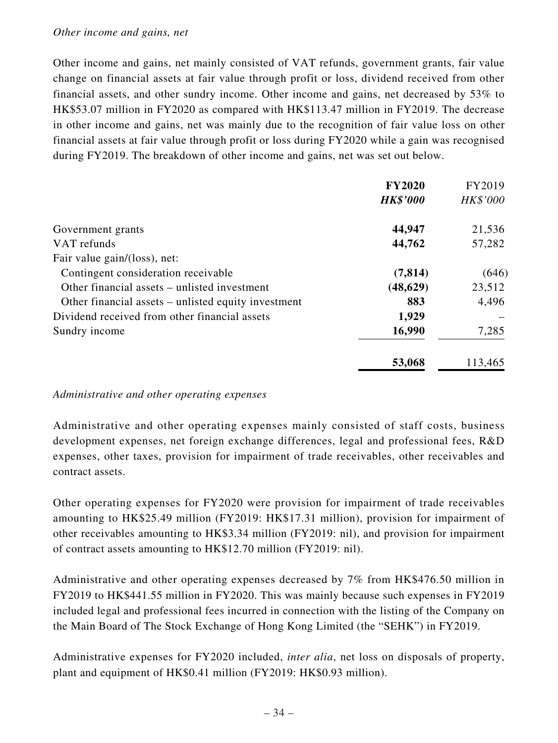#### *Other income and gains, net*

Other income and gains, net mainly consisted of VAT refunds, government grants, fair value change on financial assets at fair value through profit or loss, dividend received from other financial assets, and other sundry income. Other income and gains, net decreased by 53% to HK\$53.07 million in FY2020 as compared with HK\$113.47 million in FY2019. The decrease in other income and gains, net was mainly due to the recognition of fair value loss on other financial assets at fair value through profit or loss during FY2020 while a gain was recognised during FY2019. The breakdown of other income and gains, net was set out below.

|                                                     | <b>FY2020</b>   | FY2019   |
|-----------------------------------------------------|-----------------|----------|
|                                                     | <b>HK\$'000</b> | HK\$'000 |
| Government grants                                   | 44,947          | 21,536   |
| VAT refunds                                         | 44,762          | 57,282   |
| Fair value gain/(loss), net:                        |                 |          |
| Contingent consideration receivable                 | (7, 814)        | (646)    |
| Other financial assets – unlisted investment        | (48, 629)       | 23,512   |
| Other financial assets – unlisted equity investment | 883             | 4,496    |
| Dividend received from other financial assets       | 1,929           |          |
| Sundry income                                       | 16,990          | 7,285    |
|                                                     | 53,068          | 113,465  |

#### *Administrative and other operating expenses*

Administrative and other operating expenses mainly consisted of staff costs, business development expenses, net foreign exchange differences, legal and professional fees, R&D expenses, other taxes, provision for impairment of trade receivables, other receivables and contract assets.

Other operating expenses for FY2020 were provision for impairment of trade receivables amounting to HK\$25.49 million (FY2019: HK\$17.31 million), provision for impairment of other receivables amounting to HK\$3.34 million (FY2019: nil), and provision for impairment of contract assets amounting to HK\$12.70 million (FY2019: nil).

Administrative and other operating expenses decreased by 7% from HK\$476.50 million in FY2019 to HK\$441.55 million in FY2020. This was mainly because such expenses in FY2019 included legal and professional fees incurred in connection with the listing of the Company on the Main Board of The Stock Exchange of Hong Kong Limited (the "SEHK") in FY2019.

Administrative expenses for FY2020 included, *inter alia*, net loss on disposals of property, plant and equipment of HK\$0.41 million (FY2019: HK\$0.93 million).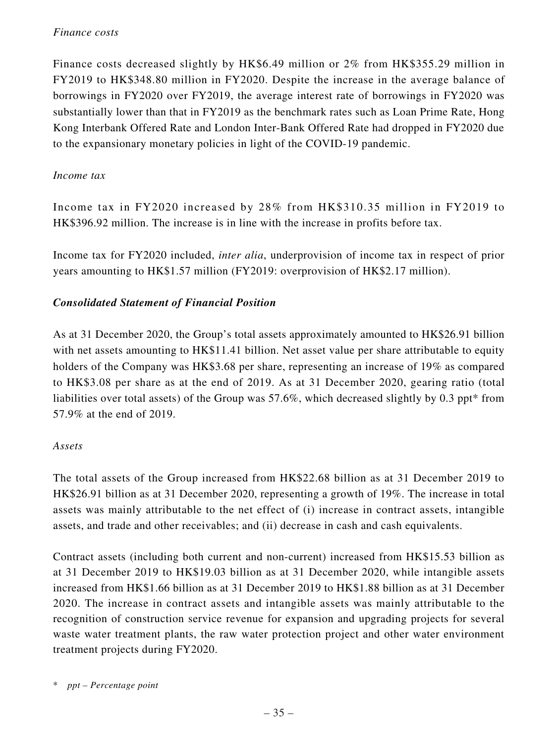### *Finance costs*

Finance costs decreased slightly by HK\$6.49 million or 2% from HK\$355.29 million in FY2019 to HK\$348.80 million in FY2020. Despite the increase in the average balance of borrowings in FY2020 over FY2019, the average interest rate of borrowings in FY2020 was substantially lower than that in FY2019 as the benchmark rates such as Loan Prime Rate, Hong Kong Interbank Offered Rate and London Inter-Bank Offered Rate had dropped in FY2020 due to the expansionary monetary policies in light of the COVID-19 pandemic.

### *Income tax*

Income tax in FY2020 increased by 28% from HK\$310.35 million in FY2019 to HK\$396.92 million. The increase is in line with the increase in profits before tax.

Income tax for FY2020 included, *inter alia*, underprovision of income tax in respect of prior years amounting to HK\$1.57 million (FY2019: overprovision of HK\$2.17 million).

### *Consolidated Statement of Financial Position*

As at 31 December 2020, the Group's total assets approximately amounted to HK\$26.91 billion with net assets amounting to HK\$11.41 billion. Net asset value per share attributable to equity holders of the Company was HK\$3.68 per share, representing an increase of 19% as compared to HK\$3.08 per share as at the end of 2019. As at 31 December 2020, gearing ratio (total liabilities over total assets) of the Group was 57.6%, which decreased slightly by 0.3 ppt\* from 57.9% at the end of 2019.

#### *Assets*

The total assets of the Group increased from HK\$22.68 billion as at 31 December 2019 to HK\$26.91 billion as at 31 December 2020, representing a growth of 19%. The increase in total assets was mainly attributable to the net effect of (i) increase in contract assets, intangible assets, and trade and other receivables; and (ii) decrease in cash and cash equivalents.

Contract assets (including both current and non-current) increased from HK\$15.53 billion as at 31 December 2019 to HK\$19.03 billion as at 31 December 2020, while intangible assets increased from HK\$1.66 billion as at 31 December 2019 to HK\$1.88 billion as at 31 December 2020. The increase in contract assets and intangible assets was mainly attributable to the recognition of construction service revenue for expansion and upgrading projects for several waste water treatment plants, the raw water protection project and other water environment treatment projects during FY2020.

<sup>\*</sup> *ppt – Percentage point*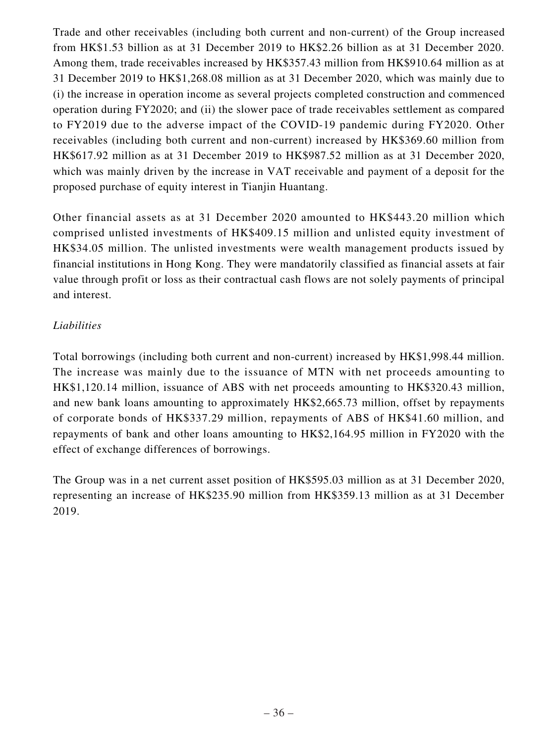Trade and other receivables (including both current and non-current) of the Group increased from HK\$1.53 billion as at 31 December 2019 to HK\$2.26 billion as at 31 December 2020. Among them, trade receivables increased by HK\$357.43 million from HK\$910.64 million as at 31 December 2019 to HK\$1,268.08 million as at 31 December 2020, which was mainly due to (i) the increase in operation income as several projects completed construction and commenced operation during FY2020; and (ii) the slower pace of trade receivables settlement as compared to FY2019 due to the adverse impact of the COVID-19 pandemic during FY2020. Other receivables (including both current and non-current) increased by HK\$369.60 million from HK\$617.92 million as at 31 December 2019 to HK\$987.52 million as at 31 December 2020, which was mainly driven by the increase in VAT receivable and payment of a deposit for the proposed purchase of equity interest in Tianjin Huantang.

Other financial assets as at 31 December 2020 amounted to HK\$443.20 million which comprised unlisted investments of HK\$409.15 million and unlisted equity investment of HK\$34.05 million. The unlisted investments were wealth management products issued by financial institutions in Hong Kong. They were mandatorily classified as financial assets at fair value through profit or loss as their contractual cash flows are not solely payments of principal and interest.

# *Liabilities*

Total borrowings (including both current and non-current) increased by HK\$1,998.44 million. The increase was mainly due to the issuance of MTN with net proceeds amounting to HK\$1,120.14 million, issuance of ABS with net proceeds amounting to HK\$320.43 million, and new bank loans amounting to approximately HK\$2,665.73 million, offset by repayments of corporate bonds of HK\$337.29 million, repayments of ABS of HK\$41.60 million, and repayments of bank and other loans amounting to HK\$2,164.95 million in FY2020 with the effect of exchange differences of borrowings.

The Group was in a net current asset position of HK\$595.03 million as at 31 December 2020, representing an increase of HK\$235.90 million from HK\$359.13 million as at 31 December 2019.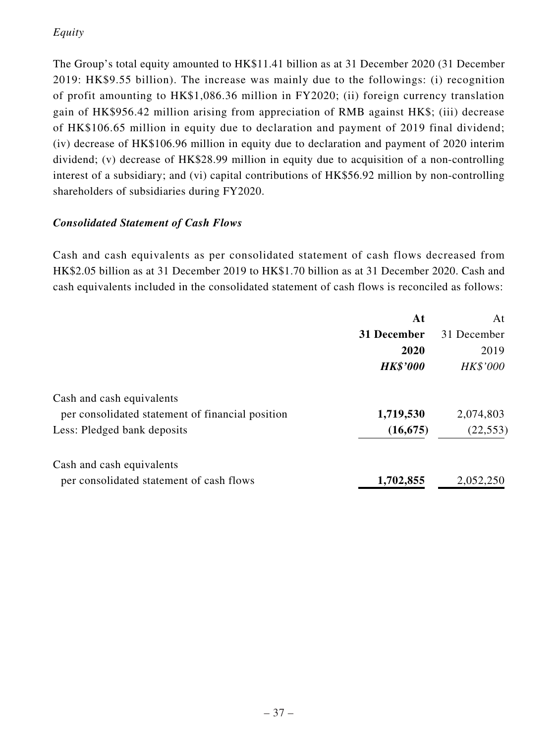# *Equity*

The Group's total equity amounted to HK\$11.41 billion as at 31 December 2020 (31 December 2019: HK\$9.55 billion). The increase was mainly due to the followings: (i) recognition of profit amounting to HK\$1,086.36 million in FY2020; (ii) foreign currency translation gain of HK\$956.42 million arising from appreciation of RMB against HK\$; (iii) decrease of HK\$106.65 million in equity due to declaration and payment of 2019 final dividend; (iv) decrease of HK\$106.96 million in equity due to declaration and payment of 2020 interim dividend; (v) decrease of HK\$28.99 million in equity due to acquisition of a non-controlling interest of a subsidiary; and (vi) capital contributions of HK\$56.92 million by non-controlling shareholders of subsidiaries during FY2020.

# *Consolidated Statement of Cash Flows*

Cash and cash equivalents as per consolidated statement of cash flows decreased from HK\$2.05 billion as at 31 December 2019 to HK\$1.70 billion as at 31 December 2020. Cash and cash equivalents included in the consolidated statement of cash flows is reconciled as follows:

|                                                  | At              | At          |
|--------------------------------------------------|-----------------|-------------|
|                                                  | 31 December     | 31 December |
|                                                  | 2020            | 2019        |
|                                                  | <b>HK\$'000</b> | HK\$'000    |
| Cash and cash equivalents                        |                 |             |
| per consolidated statement of financial position | 1,719,530       | 2,074,803   |
| Less: Pledged bank deposits                      | (16, 675)       | (22, 553)   |
| Cash and cash equivalents                        |                 |             |
| per consolidated statement of cash flows         | 1,702,855       | 2,052,250   |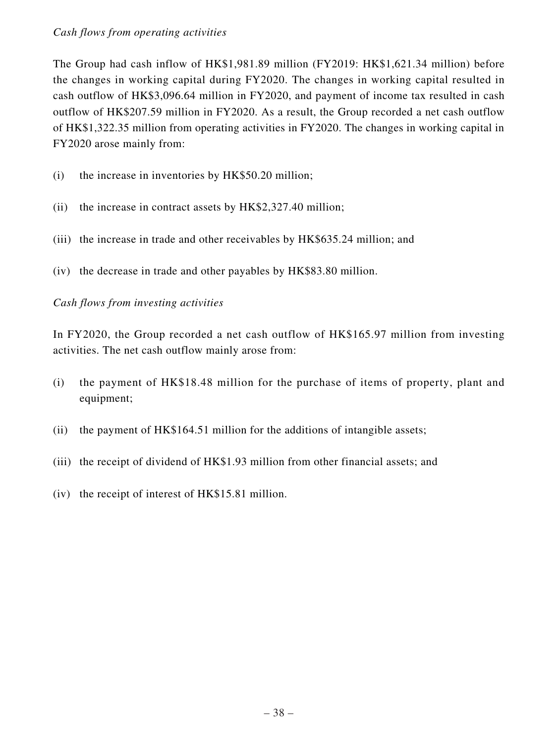### *Cash flows from operating activities*

The Group had cash inflow of HK\$1,981.89 million (FY2019: HK\$1,621.34 million) before the changes in working capital during FY2020. The changes in working capital resulted in cash outflow of HK\$3,096.64 million in FY2020, and payment of income tax resulted in cash outflow of HK\$207.59 million in FY2020. As a result, the Group recorded a net cash outflow of HK\$1,322.35 million from operating activities in FY2020. The changes in working capital in FY2020 arose mainly from:

- (i) the increase in inventories by HK\$50.20 million;
- (ii) the increase in contract assets by HK\$2,327.40 million;
- (iii) the increase in trade and other receivables by HK\$635.24 million; and
- (iv) the decrease in trade and other payables by HK\$83.80 million.

## *Cash flows from investing activities*

In FY2020, the Group recorded a net cash outflow of HK\$165.97 million from investing activities. The net cash outflow mainly arose from:

- (i) the payment of HK\$18.48 million for the purchase of items of property, plant and equipment;
- (ii) the payment of HK\$164.51 million for the additions of intangible assets;
- (iii) the receipt of dividend of HK\$1.93 million from other financial assets; and
- (iv) the receipt of interest of HK\$15.81 million.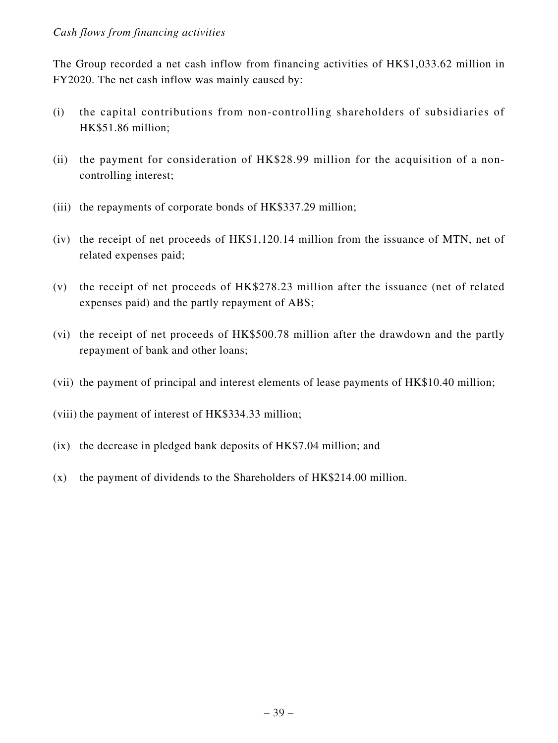### *Cash flows from financing activities*

The Group recorded a net cash inflow from financing activities of HK\$1,033.62 million in FY2020. The net cash inflow was mainly caused by:

- (i) the capital contributions from non-controlling shareholders of subsidiaries of HK\$51.86 million;
- (ii) the payment for consideration of HK\$28.99 million for the acquisition of a noncontrolling interest;
- (iii) the repayments of corporate bonds of HK\$337.29 million;
- (iv) the receipt of net proceeds of HK\$1,120.14 million from the issuance of MTN, net of related expenses paid;
- (v) the receipt of net proceeds of HK\$278.23 million after the issuance (net of related expenses paid) and the partly repayment of ABS;
- (vi) the receipt of net proceeds of HK\$500.78 million after the drawdown and the partly repayment of bank and other loans;
- (vii) the payment of principal and interest elements of lease payments of HK\$10.40 million;
- (viii) the payment of interest of HK\$334.33 million;
- (ix) the decrease in pledged bank deposits of HK\$7.04 million; and
- (x) the payment of dividends to the Shareholders of HK\$214.00 million.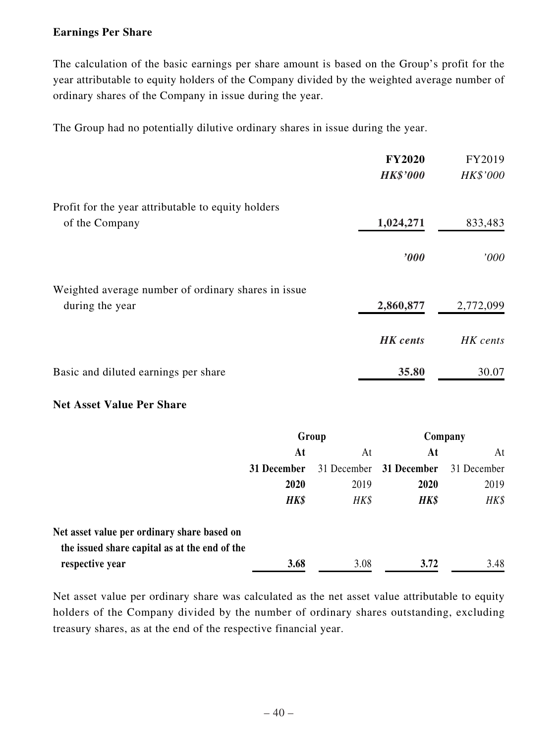### **Earnings Per Share**

The calculation of the basic earnings per share amount is based on the Group's profit for the year attributable to equity holders of the Company divided by the weighted average number of ordinary shares of the Company in issue during the year.

The Group had no potentially dilutive ordinary shares in issue during the year.

|                                                     | <b>FY2020</b><br><b>HK\$'000</b> | FY2019<br>HK\$'000 |
|-----------------------------------------------------|----------------------------------|--------------------|
| Profit for the year attributable to equity holders  |                                  |                    |
| of the Company                                      | 1,024,271                        | 833,483            |
|                                                     | $\bm{v}$                         | '000               |
| Weighted average number of ordinary shares in issue |                                  |                    |
| during the year                                     | 2,860,877                        | 2,772,099          |
|                                                     | <b>HK</b> cents                  | HK cents           |
| Basic and diluted earnings per share                | 35.80                            | 30.07              |

### **Net Asset Value Per Share**

|                                               | Group       |             | Company     |             |
|-----------------------------------------------|-------------|-------------|-------------|-------------|
|                                               | At<br>At    |             | At          | At          |
|                                               | 31 December | 31 December | 31 December | 31 December |
|                                               | 2020        | 2019        | 2020        | 2019        |
|                                               | HK\$        | HK\$        | HK\$        | HK\$        |
| Net asset value per ordinary share based on   |             |             |             |             |
| the issued share capital as at the end of the |             |             |             |             |
| respective year                               | 3.68        | 3.08        | 3.72        | 3.48        |

Net asset value per ordinary share was calculated as the net asset value attributable to equity holders of the Company divided by the number of ordinary shares outstanding, excluding treasury shares, as at the end of the respective financial year.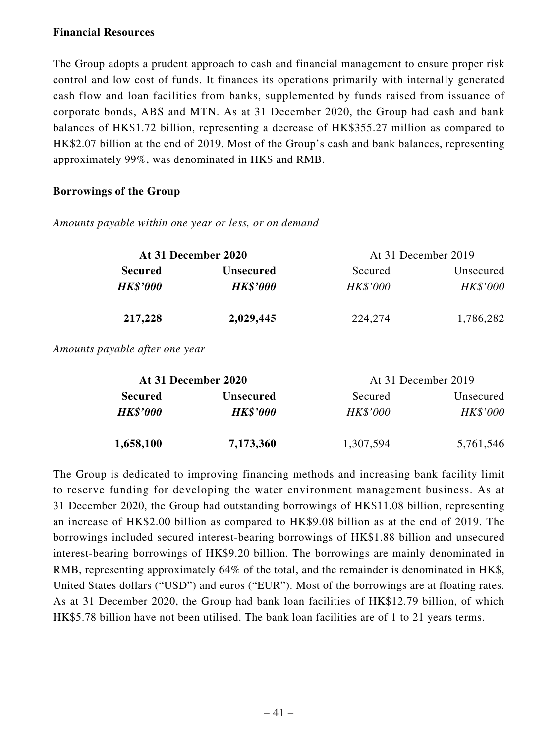#### **Financial Resources**

The Group adopts a prudent approach to cash and financial management to ensure proper risk control and low cost of funds. It finances its operations primarily with internally generated cash flow and loan facilities from banks, supplemented by funds raised from issuance of corporate bonds, ABS and MTN. As at 31 December 2020, the Group had cash and bank balances of HK\$1.72 billion, representing a decrease of HK\$355.27 million as compared to HK\$2.07 billion at the end of 2019. Most of the Group's cash and bank balances, representing approximately 99%, was denominated in HK\$ and RMB.

### **Borrowings of the Group**

*Amounts payable within one year or less, or on demand*

| At 31 December 2020 |                  |                 | At 31 December 2019 |
|---------------------|------------------|-----------------|---------------------|
| <b>Secured</b>      | <b>Unsecured</b> | Secured         | Unsecured           |
| <b>HK\$'000</b>     | <b>HK\$'000</b>  | <b>HK\$'000</b> | HK\$'000            |
| 217,228             | 2,029,445        | 224,274         | 1,786,282           |

*Amounts payable after one year*

| At 31 December 2020 |                  | At 31 December 2019 |           |
|---------------------|------------------|---------------------|-----------|
| <b>Secured</b>      | <b>Unsecured</b> | Secured             | Unsecured |
| <b>HK\$'000</b>     | <b>HK\$'000</b>  | <b>HK\$'000</b>     | HK\$'000  |
| 1,658,100           | 7,173,360        | 1,307,594           | 5,761,546 |

The Group is dedicated to improving financing methods and increasing bank facility limit to reserve funding for developing the water environment management business. As at 31 December 2020, the Group had outstanding borrowings of HK\$11.08 billion, representing an increase of HK\$2.00 billion as compared to HK\$9.08 billion as at the end of 2019. The borrowings included secured interest-bearing borrowings of HK\$1.88 billion and unsecured interest-bearing borrowings of HK\$9.20 billion. The borrowings are mainly denominated in RMB, representing approximately 64% of the total, and the remainder is denominated in HK\$, United States dollars ("USD") and euros ("EUR"). Most of the borrowings are at floating rates. As at 31 December 2020, the Group had bank loan facilities of HK\$12.79 billion, of which HK\$5.78 billion have not been utilised. The bank loan facilities are of 1 to 21 years terms.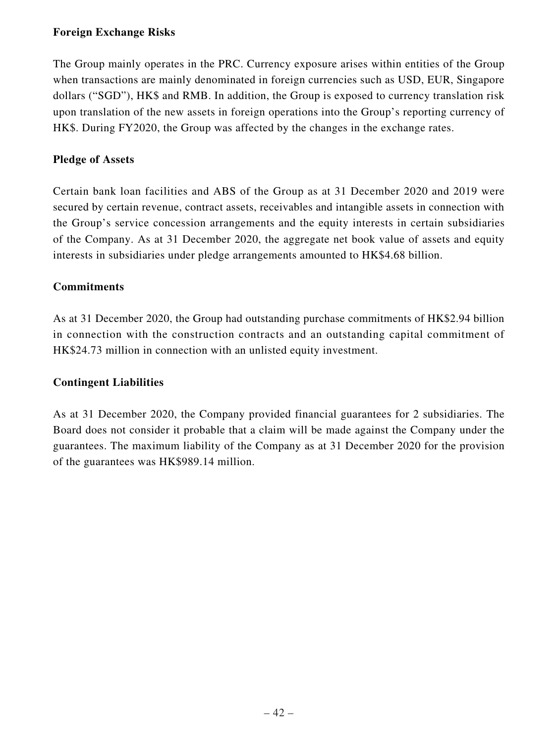## **Foreign Exchange Risks**

The Group mainly operates in the PRC. Currency exposure arises within entities of the Group when transactions are mainly denominated in foreign currencies such as USD, EUR, Singapore dollars ("SGD"), HK\$ and RMB. In addition, the Group is exposed to currency translation risk upon translation of the new assets in foreign operations into the Group's reporting currency of HK\$. During FY2020, the Group was affected by the changes in the exchange rates.

## **Pledge of Assets**

Certain bank loan facilities and ABS of the Group as at 31 December 2020 and 2019 were secured by certain revenue, contract assets, receivables and intangible assets in connection with the Group's service concession arrangements and the equity interests in certain subsidiaries of the Company. As at 31 December 2020, the aggregate net book value of assets and equity interests in subsidiaries under pledge arrangements amounted to HK\$4.68 billion.

## **Commitments**

As at 31 December 2020, the Group had outstanding purchase commitments of HK\$2.94 billion in connection with the construction contracts and an outstanding capital commitment of HK\$24.73 million in connection with an unlisted equity investment.

### **Contingent Liabilities**

As at 31 December 2020, the Company provided financial guarantees for 2 subsidiaries. The Board does not consider it probable that a claim will be made against the Company under the guarantees. The maximum liability of the Company as at 31 December 2020 for the provision of the guarantees was HK\$989.14 million.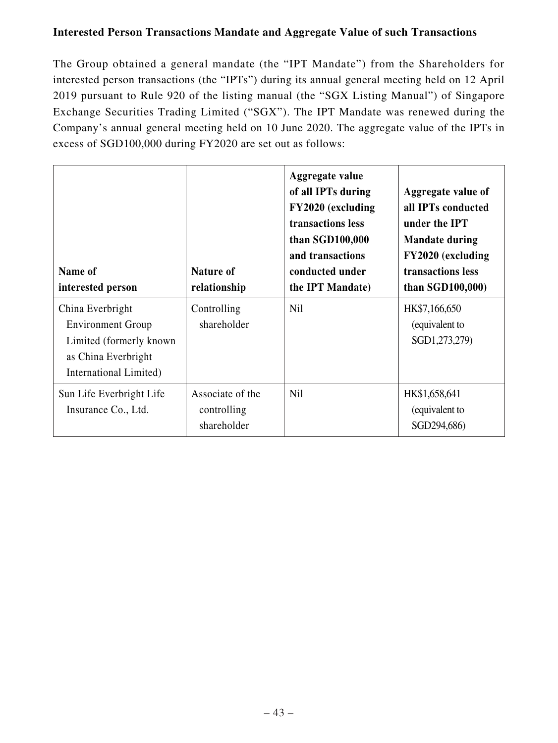## **Interested Person Transactions Mandate and Aggregate Value of such Transactions**

The Group obtained a general mandate (the "IPT Mandate") from the Shareholders for interested person transactions (the "IPTs") during its annual general meeting held on 12 April 2019 pursuant to Rule 920 of the listing manual (the "SGX Listing Manual") of Singapore Exchange Securities Trading Limited ("SGX"). The IPT Mandate was renewed during the Company's annual general meeting held on 10 June 2020. The aggregate value of the IPTs in excess of SGD100,000 during FY2020 are set out as follows:

| Name of<br>interested person                                                                                              | Nature of<br>relationship                      | Aggregate value<br>of all IPTs during<br>FY2020 (excluding<br>transactions less<br>than SGD100,000<br>and transactions<br>conducted under<br>the IPT Mandate) | Aggregate value of<br>all IPTs conducted<br>under the IPT<br><b>Mandate during</b><br>FY2020 (excluding<br>transactions less<br>than $SGD100,000$ |
|---------------------------------------------------------------------------------------------------------------------------|------------------------------------------------|---------------------------------------------------------------------------------------------------------------------------------------------------------------|---------------------------------------------------------------------------------------------------------------------------------------------------|
| China Everbright<br><b>Environment Group</b><br>Limited (formerly known)<br>as China Everbright<br>International Limited) | Controlling<br>shareholder                     | <b>Nil</b>                                                                                                                                                    | HK\$7,166,650<br>(equivalent to<br>SGD1,273,279)                                                                                                  |
| Sun Life Everbright Life<br>Insurance Co., Ltd.                                                                           | Associate of the<br>controlling<br>shareholder | <b>Nil</b>                                                                                                                                                    | HK\$1,658,641<br>(equivalent to<br>SGD294,686)                                                                                                    |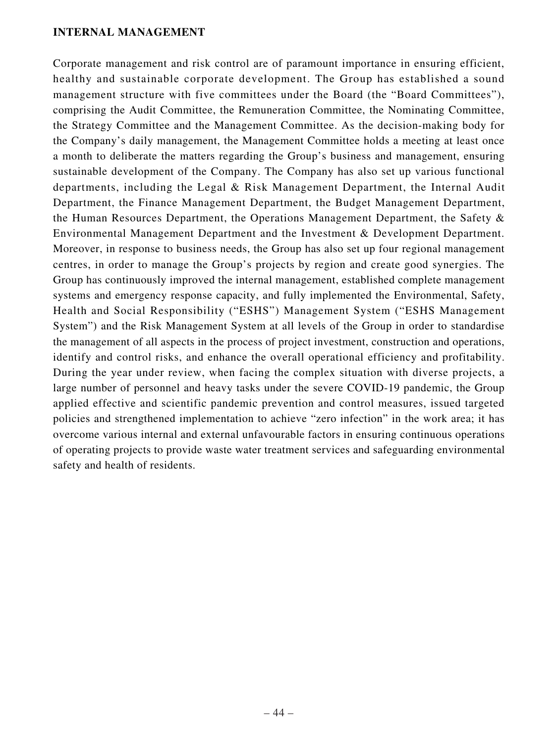#### **INTERNAL MANAGEMENT**

Corporate management and risk control are of paramount importance in ensuring efficient, healthy and sustainable corporate development. The Group has established a sound management structure with five committees under the Board (the "Board Committees"), comprising the Audit Committee, the Remuneration Committee, the Nominating Committee, the Strategy Committee and the Management Committee. As the decision-making body for the Company's daily management, the Management Committee holds a meeting at least once a month to deliberate the matters regarding the Group's business and management, ensuring sustainable development of the Company. The Company has also set up various functional departments, including the Legal & Risk Management Department, the Internal Audit Department, the Finance Management Department, the Budget Management Department, the Human Resources Department, the Operations Management Department, the Safety & Environmental Management Department and the Investment & Development Department. Moreover, in response to business needs, the Group has also set up four regional management centres, in order to manage the Group's projects by region and create good synergies. The Group has continuously improved the internal management, established complete management systems and emergency response capacity, and fully implemented the Environmental, Safety, Health and Social Responsibility ("ESHS") Management System ("ESHS Management System") and the Risk Management System at all levels of the Group in order to standardise the management of all aspects in the process of project investment, construction and operations, identify and control risks, and enhance the overall operational efficiency and profitability. During the year under review, when facing the complex situation with diverse projects, a large number of personnel and heavy tasks under the severe COVID-19 pandemic, the Group applied effective and scientific pandemic prevention and control measures, issued targeted policies and strengthened implementation to achieve "zero infection" in the work area; it has overcome various internal and external unfavourable factors in ensuring continuous operations of operating projects to provide waste water treatment services and safeguarding environmental safety and health of residents.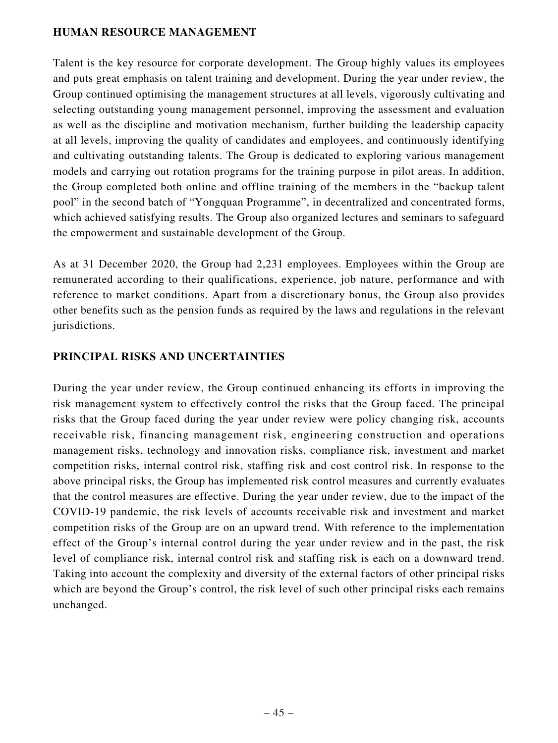### **HUMAN RESOURCE MANAGEMENT**

Talent is the key resource for corporate development. The Group highly values its employees and puts great emphasis on talent training and development. During the year under review, the Group continued optimising the management structures at all levels, vigorously cultivating and selecting outstanding young management personnel, improving the assessment and evaluation as well as the discipline and motivation mechanism, further building the leadership capacity at all levels, improving the quality of candidates and employees, and continuously identifying and cultivating outstanding talents. The Group is dedicated to exploring various management models and carrying out rotation programs for the training purpose in pilot areas. In addition, the Group completed both online and offline training of the members in the "backup talent pool" in the second batch of "Yongquan Programme", in decentralized and concentrated forms, which achieved satisfying results. The Group also organized lectures and seminars to safeguard the empowerment and sustainable development of the Group.

As at 31 December 2020, the Group had 2,231 employees. Employees within the Group are remunerated according to their qualifications, experience, job nature, performance and with reference to market conditions. Apart from a discretionary bonus, the Group also provides other benefits such as the pension funds as required by the laws and regulations in the relevant jurisdictions.

## **PRINCIPAL RISKS AND UNCERTAINTIES**

During the year under review, the Group continued enhancing its efforts in improving the risk management system to effectively control the risks that the Group faced. The principal risks that the Group faced during the year under review were policy changing risk, accounts receivable risk, financing management risk, engineering construction and operations management risks, technology and innovation risks, compliance risk, investment and market competition risks, internal control risk, staffing risk and cost control risk. In response to the above principal risks, the Group has implemented risk control measures and currently evaluates that the control measures are effective. During the year under review, due to the impact of the COVID-19 pandemic, the risk levels of accounts receivable risk and investment and market competition risks of the Group are on an upward trend. With reference to the implementation effect of the Group's internal control during the year under review and in the past, the risk level of compliance risk, internal control risk and staffing risk is each on a downward trend. Taking into account the complexity and diversity of the external factors of other principal risks which are beyond the Group's control, the risk level of such other principal risks each remains unchanged.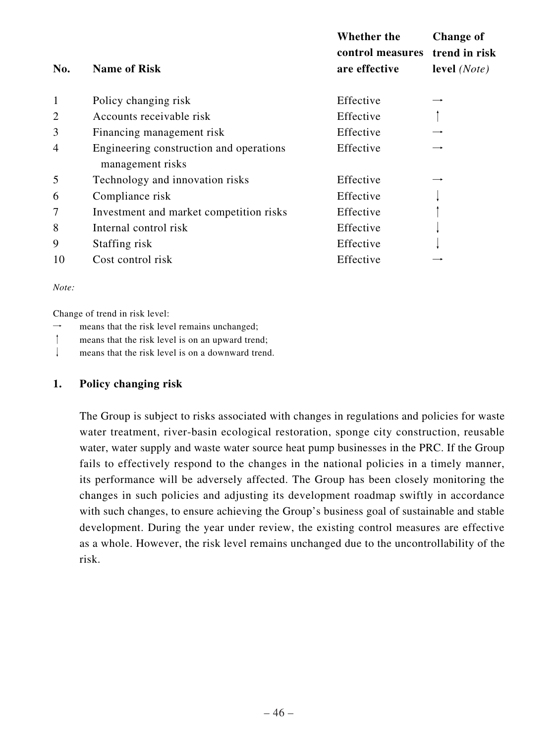|                |                                                             | <b>Whether the</b><br>control measures | <b>Change of</b><br>trend in risk |
|----------------|-------------------------------------------------------------|----------------------------------------|-----------------------------------|
| No.            | <b>Name of Risk</b>                                         | are effective                          | level $(Note)$                    |
| $\mathbf{1}$   | Policy changing risk                                        | Effective                              |                                   |
| $\overline{2}$ | Accounts receivable risk                                    | Effective                              |                                   |
| 3              | Financing management risk                                   | Effective                              |                                   |
| $\overline{4}$ | Engineering construction and operations<br>management risks | Effective                              |                                   |
| 5              | Technology and innovation risks                             | Effective                              |                                   |
| 6              | Compliance risk                                             | Effective                              |                                   |
| 7              | Investment and market competition risks                     | Effective                              |                                   |
| 8              | Internal control risk                                       | Effective                              |                                   |
| 9              | Staffing risk                                               | Effective                              |                                   |
| 10             | Cost control risk                                           | Effective                              |                                   |

*Note:* 

Change of trend in risk level:

- $\rightarrow$  means that the risk level remains unchanged;
- ↑ means that the risk level is on an upward trend;
- ↓ means that the risk level is on a downward trend.

#### **1. Policy changing risk**

The Group is subject to risks associated with changes in regulations and policies for waste water treatment, river-basin ecological restoration, sponge city construction, reusable water, water supply and waste water source heat pump businesses in the PRC. If the Group fails to effectively respond to the changes in the national policies in a timely manner, its performance will be adversely affected. The Group has been closely monitoring the changes in such policies and adjusting its development roadmap swiftly in accordance with such changes, to ensure achieving the Group's business goal of sustainable and stable development. During the year under review, the existing control measures are effective as a whole. However, the risk level remains unchanged due to the uncontrollability of the risk.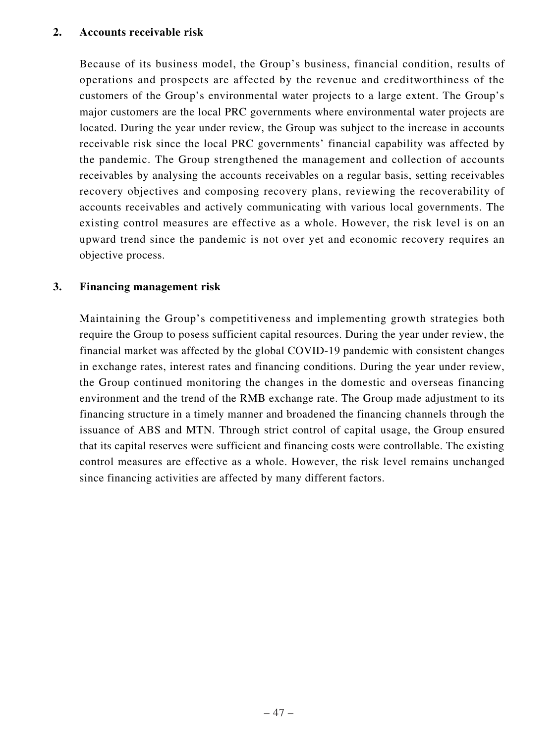#### **2. Accounts receivable risk**

Because of its business model, the Group's business, financial condition, results of operations and prospects are affected by the revenue and creditworthiness of the customers of the Group's environmental water projects to a large extent. The Group's major customers are the local PRC governments where environmental water projects are located. During the year under review, the Group was subject to the increase in accounts receivable risk since the local PRC governments' financial capability was affected by the pandemic. The Group strengthened the management and collection of accounts receivables by analysing the accounts receivables on a regular basis, setting receivables recovery objectives and composing recovery plans, reviewing the recoverability of accounts receivables and actively communicating with various local governments. The existing control measures are effective as a whole. However, the risk level is on an upward trend since the pandemic is not over yet and economic recovery requires an objective process.

### **3. Financing management risk**

Maintaining the Group's competitiveness and implementing growth strategies both require the Group to posess sufficient capital resources. During the year under review, the financial market was affected by the global COVID-19 pandemic with consistent changes in exchange rates, interest rates and financing conditions. During the year under review, the Group continued monitoring the changes in the domestic and overseas financing environment and the trend of the RMB exchange rate. The Group made adjustment to its financing structure in a timely manner and broadened the financing channels through the issuance of ABS and MTN. Through strict control of capital usage, the Group ensured that its capital reserves were sufficient and financing costs were controllable. The existing control measures are effective as a whole. However, the risk level remains unchanged since financing activities are affected by many different factors.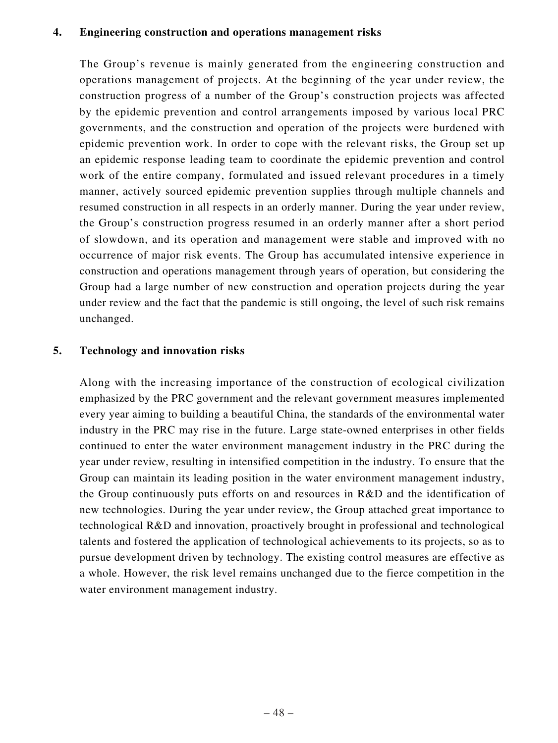#### **4. Engineering construction and operations management risks**

The Group's revenue is mainly generated from the engineering construction and operations management of projects. At the beginning of the year under review, the construction progress of a number of the Group's construction projects was affected by the epidemic prevention and control arrangements imposed by various local PRC governments, and the construction and operation of the projects were burdened with epidemic prevention work. In order to cope with the relevant risks, the Group set up an epidemic response leading team to coordinate the epidemic prevention and control work of the entire company, formulated and issued relevant procedures in a timely manner, actively sourced epidemic prevention supplies through multiple channels and resumed construction in all respects in an orderly manner. During the year under review, the Group's construction progress resumed in an orderly manner after a short period of slowdown, and its operation and management were stable and improved with no occurrence of major risk events. The Group has accumulated intensive experience in construction and operations management through years of operation, but considering the Group had a large number of new construction and operation projects during the year under review and the fact that the pandemic is still ongoing, the level of such risk remains unchanged.

### **5. Technology and innovation risks**

Along with the increasing importance of the construction of ecological civilization emphasized by the PRC government and the relevant government measures implemented every year aiming to building a beautiful China, the standards of the environmental water industry in the PRC may rise in the future. Large state-owned enterprises in other fields continued to enter the water environment management industry in the PRC during the year under review, resulting in intensified competition in the industry. To ensure that the Group can maintain its leading position in the water environment management industry, the Group continuously puts efforts on and resources in R&D and the identification of new technologies. During the year under review, the Group attached great importance to technological R&D and innovation, proactively brought in professional and technological talents and fostered the application of technological achievements to its projects, so as to pursue development driven by technology. The existing control measures are effective as a whole. However, the risk level remains unchanged due to the fierce competition in the water environment management industry.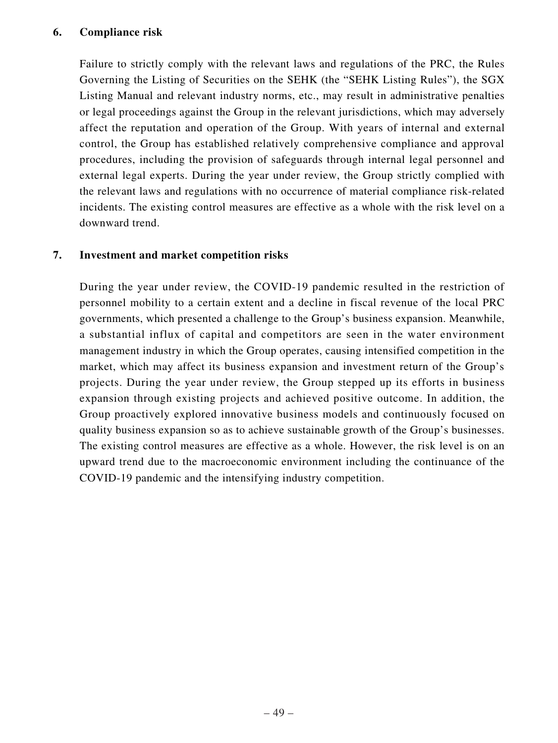### **6. Compliance risk**

Failure to strictly comply with the relevant laws and regulations of the PRC, the Rules Governing the Listing of Securities on the SEHK (the "SEHK Listing Rules"), the SGX Listing Manual and relevant industry norms, etc., may result in administrative penalties or legal proceedings against the Group in the relevant jurisdictions, which may adversely affect the reputation and operation of the Group. With years of internal and external control, the Group has established relatively comprehensive compliance and approval procedures, including the provision of safeguards through internal legal personnel and external legal experts. During the year under review, the Group strictly complied with the relevant laws and regulations with no occurrence of material compliance risk-related incidents. The existing control measures are effective as a whole with the risk level on a downward trend.

## **7. Investment and market competition risks**

During the year under review, the COVID-19 pandemic resulted in the restriction of personnel mobility to a certain extent and a decline in fiscal revenue of the local PRC governments, which presented a challenge to the Group's business expansion. Meanwhile, a substantial influx of capital and competitors are seen in the water environment management industry in which the Group operates, causing intensified competition in the market, which may affect its business expansion and investment return of the Group's projects. During the year under review, the Group stepped up its efforts in business expansion through existing projects and achieved positive outcome. In addition, the Group proactively explored innovative business models and continuously focused on quality business expansion so as to achieve sustainable growth of the Group's businesses. The existing control measures are effective as a whole. However, the risk level is on an upward trend due to the macroeconomic environment including the continuance of the COVID-19 pandemic and the intensifying industry competition.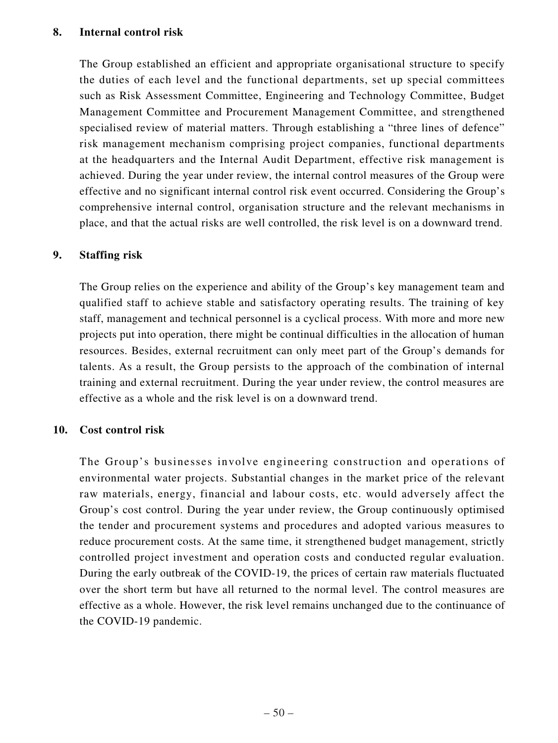### **8. Internal control risk**

The Group established an efficient and appropriate organisational structure to specify the duties of each level and the functional departments, set up special committees such as Risk Assessment Committee, Engineering and Technology Committee, Budget Management Committee and Procurement Management Committee, and strengthened specialised review of material matters. Through establishing a "three lines of defence" risk management mechanism comprising project companies, functional departments at the headquarters and the Internal Audit Department, effective risk management is achieved. During the year under review, the internal control measures of the Group were effective and no significant internal control risk event occurred. Considering the Group's comprehensive internal control, organisation structure and the relevant mechanisms in place, and that the actual risks are well controlled, the risk level is on a downward trend.

# **9. Staffing risk**

The Group relies on the experience and ability of the Group's key management team and qualified staff to achieve stable and satisfactory operating results. The training of key staff, management and technical personnel is a cyclical process. With more and more new projects put into operation, there might be continual difficulties in the allocation of human resources. Besides, external recruitment can only meet part of the Group's demands for talents. As a result, the Group persists to the approach of the combination of internal training and external recruitment. During the year under review, the control measures are effective as a whole and the risk level is on a downward trend.

# **10. Cost control risk**

The Group's businesses involve engineering construction and operations of environmental water projects. Substantial changes in the market price of the relevant raw materials, energy, financial and labour costs, etc. would adversely affect the Group's cost control. During the year under review, the Group continuously optimised the tender and procurement systems and procedures and adopted various measures to reduce procurement costs. At the same time, it strengthened budget management, strictly controlled project investment and operation costs and conducted regular evaluation. During the early outbreak of the COVID-19, the prices of certain raw materials fluctuated over the short term but have all returned to the normal level. The control measures are effective as a whole. However, the risk level remains unchanged due to the continuance of the COVID-19 pandemic.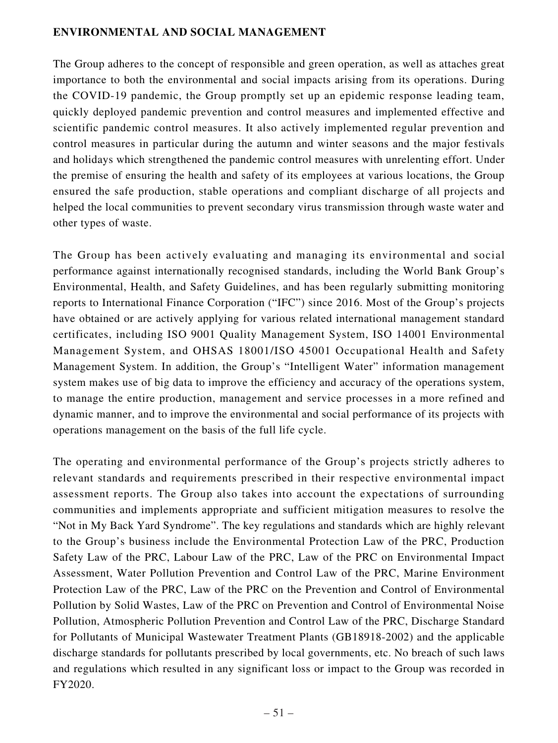### **ENVIRONMENTAL AND SOCIAL MANAGEMENT**

The Group adheres to the concept of responsible and green operation, as well as attaches great importance to both the environmental and social impacts arising from its operations. During the COVID-19 pandemic, the Group promptly set up an epidemic response leading team, quickly deployed pandemic prevention and control measures and implemented effective and scientific pandemic control measures. It also actively implemented regular prevention and control measures in particular during the autumn and winter seasons and the major festivals and holidays which strengthened the pandemic control measures with unrelenting effort. Under the premise of ensuring the health and safety of its employees at various locations, the Group ensured the safe production, stable operations and compliant discharge of all projects and helped the local communities to prevent secondary virus transmission through waste water and other types of waste.

The Group has been actively evaluating and managing its environmental and social performance against internationally recognised standards, including the World Bank Group's Environmental, Health, and Safety Guidelines, and has been regularly submitting monitoring reports to International Finance Corporation ("IFC") since 2016. Most of the Group's projects have obtained or are actively applying for various related international management standard certificates, including ISO 9001 Quality Management System, ISO 14001 Environmental Management System, and OHSAS 18001/ISO 45001 Occupational Health and Safety Management System. In addition, the Group's "Intelligent Water" information management system makes use of big data to improve the efficiency and accuracy of the operations system, to manage the entire production, management and service processes in a more refined and dynamic manner, and to improve the environmental and social performance of its projects with operations management on the basis of the full life cycle.

The operating and environmental performance of the Group's projects strictly adheres to relevant standards and requirements prescribed in their respective environmental impact assessment reports. The Group also takes into account the expectations of surrounding communities and implements appropriate and sufficient mitigation measures to resolve the "Not in My Back Yard Syndrome". The key regulations and standards which are highly relevant to the Group's business include the Environmental Protection Law of the PRC, Production Safety Law of the PRC, Labour Law of the PRC, Law of the PRC on Environmental Impact Assessment, Water Pollution Prevention and Control Law of the PRC, Marine Environment Protection Law of the PRC, Law of the PRC on the Prevention and Control of Environmental Pollution by Solid Wastes, Law of the PRC on Prevention and Control of Environmental Noise Pollution, Atmospheric Pollution Prevention and Control Law of the PRC, Discharge Standard for Pollutants of Municipal Wastewater Treatment Plants (GB18918-2002) and the applicable discharge standards for pollutants prescribed by local governments, etc. No breach of such laws and regulations which resulted in any significant loss or impact to the Group was recorded in FY2020.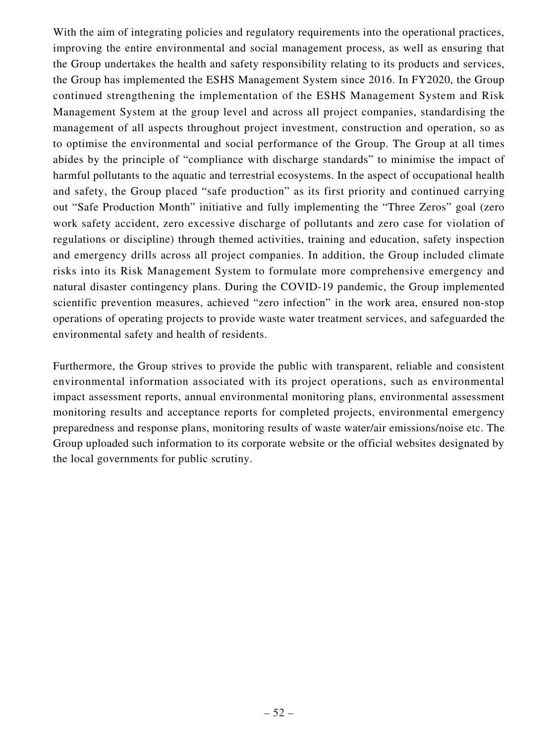With the aim of integrating policies and regulatory requirements into the operational practices, improving the entire environmental and social management process, as well as ensuring that the Group undertakes the health and safety responsibility relating to its products and services, the Group has implemented the ESHS Management System since 2016. In FY2020, the Group continued strengthening the implementation of the ESHS Management System and Risk Management System at the group level and across all project companies, standardising the management of all aspects throughout project investment, construction and operation, so as to optimise the environmental and social performance of the Group. The Group at all times abides by the principle of "compliance with discharge standards" to minimise the impact of harmful pollutants to the aquatic and terrestrial ecosystems. In the aspect of occupational health and safety, the Group placed "safe production" as its first priority and continued carrying out "Safe Production Month" initiative and fully implementing the "Three Zeros" goal (zero work safety accident, zero excessive discharge of pollutants and zero case for violation of regulations or discipline) through themed activities, training and education, safety inspection and emergency drills across all project companies. In addition, the Group included climate risks into its Risk Management System to formulate more comprehensive emergency and natural disaster contingency plans. During the COVID-19 pandemic, the Group implemented scientific prevention measures, achieved "zero infection" in the work area, ensured non-stop operations of operating projects to provide waste water treatment services, and safeguarded the environmental safety and health of residents.

Furthermore, the Group strives to provide the public with transparent, reliable and consistent environmental information associated with its project operations, such as environmental impact assessment reports, annual environmental monitoring plans, environmental assessment monitoring results and acceptance reports for completed projects, environmental emergency preparedness and response plans, monitoring results of waste water/air emissions/noise etc. The Group uploaded such information to its corporate website or the official websites designated by the local governments for public scrutiny.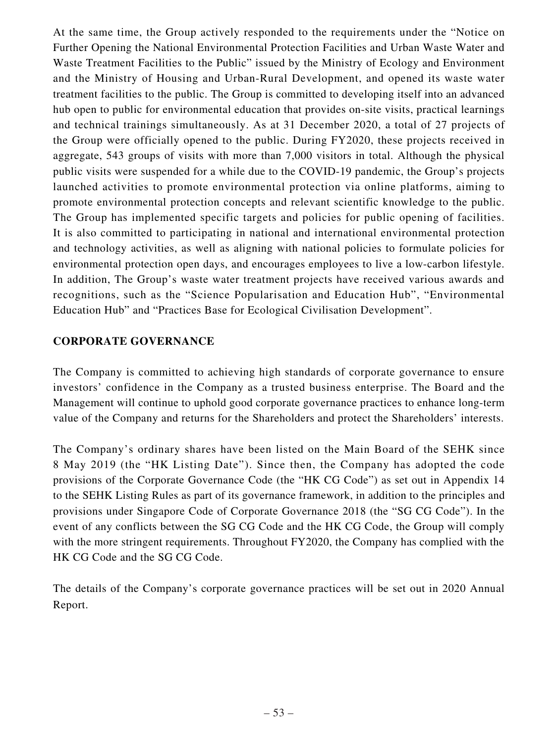At the same time, the Group actively responded to the requirements under the "Notice on Further Opening the National Environmental Protection Facilities and Urban Waste Water and Waste Treatment Facilities to the Public" issued by the Ministry of Ecology and Environment and the Ministry of Housing and Urban-Rural Development, and opened its waste water treatment facilities to the public. The Group is committed to developing itself into an advanced hub open to public for environmental education that provides on-site visits, practical learnings and technical trainings simultaneously. As at 31 December 2020, a total of 27 projects of the Group were officially opened to the public. During FY2020, these projects received in aggregate, 543 groups of visits with more than 7,000 visitors in total. Although the physical public visits were suspended for a while due to the COVID-19 pandemic, the Group's projects launched activities to promote environmental protection via online platforms, aiming to promote environmental protection concepts and relevant scientific knowledge to the public. The Group has implemented specific targets and policies for public opening of facilities. It is also committed to participating in national and international environmental protection and technology activities, as well as aligning with national policies to formulate policies for environmental protection open days, and encourages employees to live a low-carbon lifestyle. In addition, The Group's waste water treatment projects have received various awards and recognitions, such as the "Science Popularisation and Education Hub", "Environmental Education Hub" and "Practices Base for Ecological Civilisation Development".

## **CORPORATE GOVERNANCE**

The Company is committed to achieving high standards of corporate governance to ensure investors' confidence in the Company as a trusted business enterprise. The Board and the Management will continue to uphold good corporate governance practices to enhance long-term value of the Company and returns for the Shareholders and protect the Shareholders' interests.

The Company's ordinary shares have been listed on the Main Board of the SEHK since 8 May 2019 (the "HK Listing Date"). Since then, the Company has adopted the code provisions of the Corporate Governance Code (the "HK CG Code") as set out in Appendix 14 to the SEHK Listing Rules as part of its governance framework, in addition to the principles and provisions under Singapore Code of Corporate Governance 2018 (the "SG CG Code"). In the event of any conflicts between the SG CG Code and the HK CG Code, the Group will comply with the more stringent requirements. Throughout FY2020, the Company has complied with the HK CG Code and the SG CG Code.

The details of the Company's corporate governance practices will be set out in 2020 Annual Report.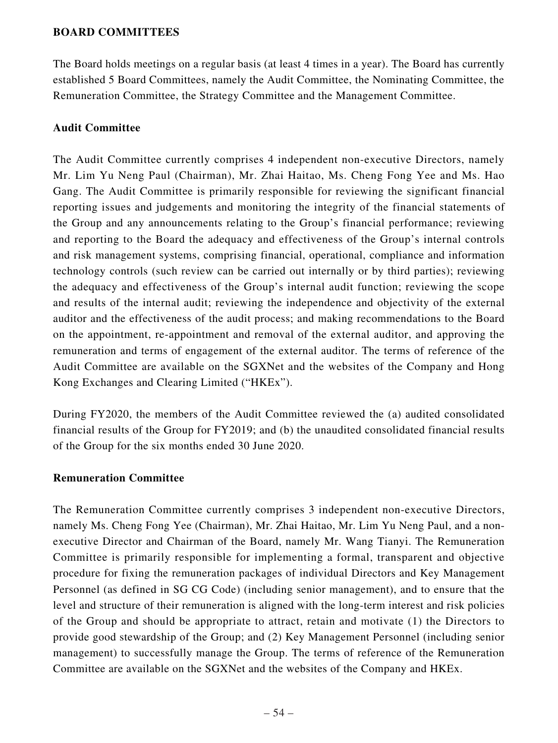### **BOARD COMMITTEES**

The Board holds meetings on a regular basis (at least 4 times in a year). The Board has currently established 5 Board Committees, namely the Audit Committee, the Nominating Committee, the Remuneration Committee, the Strategy Committee and the Management Committee.

#### **Audit Committee**

The Audit Committee currently comprises 4 independent non-executive Directors, namely Mr. Lim Yu Neng Paul (Chairman), Mr. Zhai Haitao, Ms. Cheng Fong Yee and Ms. Hao Gang. The Audit Committee is primarily responsible for reviewing the significant financial reporting issues and judgements and monitoring the integrity of the financial statements of the Group and any announcements relating to the Group's financial performance; reviewing and reporting to the Board the adequacy and effectiveness of the Group's internal controls and risk management systems, comprising financial, operational, compliance and information technology controls (such review can be carried out internally or by third parties); reviewing the adequacy and effectiveness of the Group's internal audit function; reviewing the scope and results of the internal audit; reviewing the independence and objectivity of the external auditor and the effectiveness of the audit process; and making recommendations to the Board on the appointment, re-appointment and removal of the external auditor, and approving the remuneration and terms of engagement of the external auditor. The terms of reference of the Audit Committee are available on the SGXNet and the websites of the Company and Hong Kong Exchanges and Clearing Limited ("HKEx").

During FY2020, the members of the Audit Committee reviewed the (a) audited consolidated financial results of the Group for FY2019; and (b) the unaudited consolidated financial results of the Group for the six months ended 30 June 2020.

#### **Remuneration Committee**

The Remuneration Committee currently comprises 3 independent non-executive Directors, namely Ms. Cheng Fong Yee (Chairman), Mr. Zhai Haitao, Mr. Lim Yu Neng Paul, and a nonexecutive Director and Chairman of the Board, namely Mr. Wang Tianyi. The Remuneration Committee is primarily responsible for implementing a formal, transparent and objective procedure for fixing the remuneration packages of individual Directors and Key Management Personnel (as defined in SG CG Code) (including senior management), and to ensure that the level and structure of their remuneration is aligned with the long-term interest and risk policies of the Group and should be appropriate to attract, retain and motivate (1) the Directors to provide good stewardship of the Group; and (2) Key Management Personnel (including senior management) to successfully manage the Group. The terms of reference of the Remuneration Committee are available on the SGXNet and the websites of the Company and HKEx.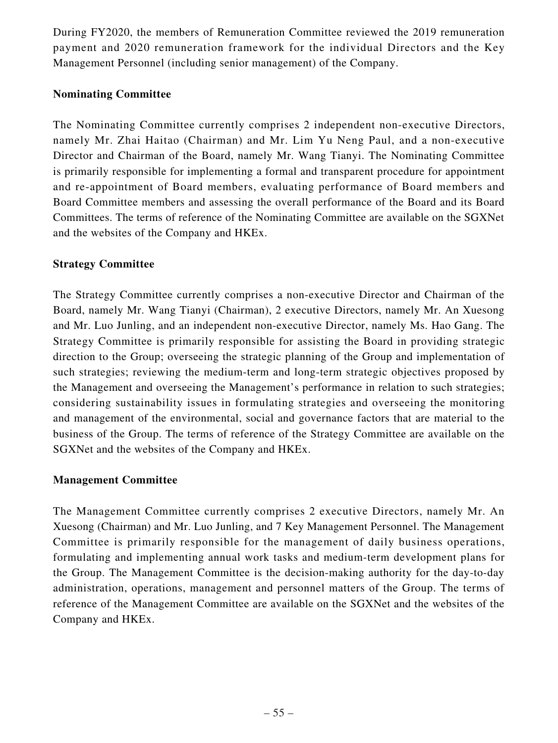During FY2020, the members of Remuneration Committee reviewed the 2019 remuneration payment and 2020 remuneration framework for the individual Directors and the Key Management Personnel (including senior management) of the Company.

## **Nominating Committee**

The Nominating Committee currently comprises 2 independent non-executive Directors, namely Mr. Zhai Haitao (Chairman) and Mr. Lim Yu Neng Paul, and a non-executive Director and Chairman of the Board, namely Mr. Wang Tianyi. The Nominating Committee is primarily responsible for implementing a formal and transparent procedure for appointment and re-appointment of Board members, evaluating performance of Board members and Board Committee members and assessing the overall performance of the Board and its Board Committees. The terms of reference of the Nominating Committee are available on the SGXNet and the websites of the Company and HKEx.

## **Strategy Committee**

The Strategy Committee currently comprises a non-executive Director and Chairman of the Board, namely Mr. Wang Tianyi (Chairman), 2 executive Directors, namely Mr. An Xuesong and Mr. Luo Junling, and an independent non-executive Director, namely Ms. Hao Gang. The Strategy Committee is primarily responsible for assisting the Board in providing strategic direction to the Group; overseeing the strategic planning of the Group and implementation of such strategies; reviewing the medium-term and long-term strategic objectives proposed by the Management and overseeing the Management's performance in relation to such strategies; considering sustainability issues in formulating strategies and overseeing the monitoring and management of the environmental, social and governance factors that are material to the business of the Group. The terms of reference of the Strategy Committee are available on the SGXNet and the websites of the Company and HKEx.

### **Management Committee**

The Management Committee currently comprises 2 executive Directors, namely Mr. An Xuesong (Chairman) and Mr. Luo Junling, and 7 Key Management Personnel. The Management Committee is primarily responsible for the management of daily business operations, formulating and implementing annual work tasks and medium-term development plans for the Group. The Management Committee is the decision-making authority for the day-to-day administration, operations, management and personnel matters of the Group. The terms of reference of the Management Committee are available on the SGXNet and the websites of the Company and HKEx.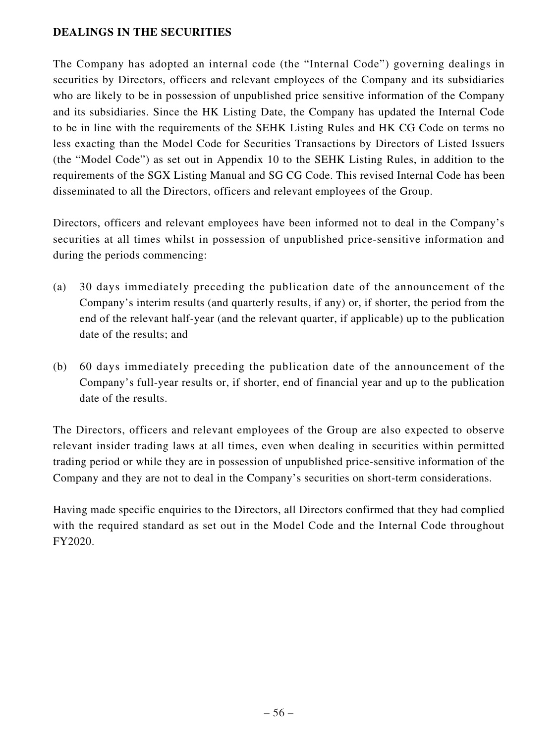### **DEALINGS IN THE SECURITIES**

The Company has adopted an internal code (the "Internal Code") governing dealings in securities by Directors, officers and relevant employees of the Company and its subsidiaries who are likely to be in possession of unpublished price sensitive information of the Company and its subsidiaries. Since the HK Listing Date, the Company has updated the Internal Code to be in line with the requirements of the SEHK Listing Rules and HK CG Code on terms no less exacting than the Model Code for Securities Transactions by Directors of Listed Issuers (the "Model Code") as set out in Appendix 10 to the SEHK Listing Rules, in addition to the requirements of the SGX Listing Manual and SG CG Code. This revised Internal Code has been disseminated to all the Directors, officers and relevant employees of the Group.

Directors, officers and relevant employees have been informed not to deal in the Company's securities at all times whilst in possession of unpublished price-sensitive information and during the periods commencing:

- (a) 30 days immediately preceding the publication date of the announcement of the Company's interim results (and quarterly results, if any) or, if shorter, the period from the end of the relevant half-year (and the relevant quarter, if applicable) up to the publication date of the results; and
- (b) 60 days immediately preceding the publication date of the announcement of the Company's full-year results or, if shorter, end of financial year and up to the publication date of the results.

The Directors, officers and relevant employees of the Group are also expected to observe relevant insider trading laws at all times, even when dealing in securities within permitted trading period or while they are in possession of unpublished price-sensitive information of the Company and they are not to deal in the Company's securities on short-term considerations.

Having made specific enquiries to the Directors, all Directors confirmed that they had complied with the required standard as set out in the Model Code and the Internal Code throughout FY2020.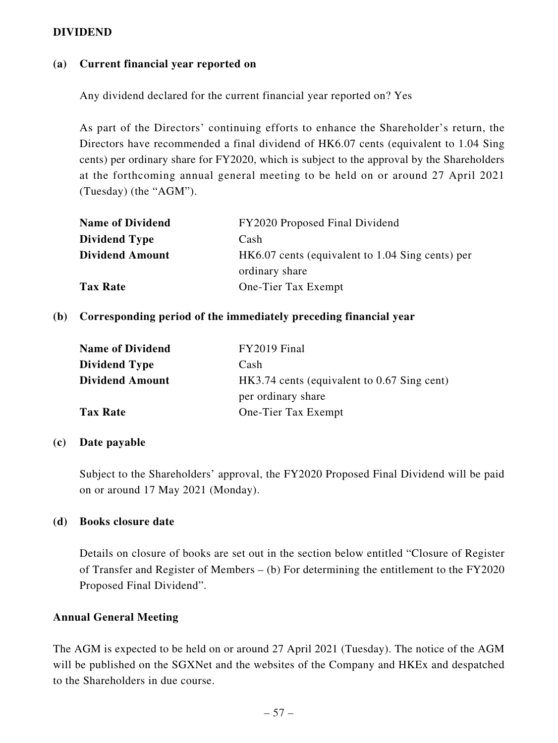#### **DIVIDEND**

#### **(a) Current financial year reported on**

Any dividend declared for the current financial year reported on? Yes

As part of the Directors' continuing efforts to enhance the Shareholder's return, the Directors have recommended a final dividend of HK6.07 cents (equivalent to 1.04 Sing cents) per ordinary share for FY2020, which is subject to the approval by the Shareholders at the forthcoming annual general meeting to be held on or around 27 April 2021 (Tuesday) (the "AGM").

| <b>Name of Dividend</b> | FY2020 Proposed Final Dividend                   |
|-------------------------|--------------------------------------------------|
| <b>Dividend Type</b>    | Cash                                             |
| <b>Dividend Amount</b>  | HK6.07 cents (equivalent to 1.04 Sing cents) per |
|                         | ordinary share                                   |
| <b>Tax Rate</b>         | One-Tier Tax Exempt                              |

#### **(b) Corresponding period of the immediately preceding financial year**

| <b>Name of Dividend</b> | FY2019 Final                                |
|-------------------------|---------------------------------------------|
| <b>Dividend Type</b>    | Cash                                        |
| <b>Dividend Amount</b>  | HK3.74 cents (equivalent to 0.67 Sing cent) |
|                         | per ordinary share                          |
| <b>Tax Rate</b>         | One-Tier Tax Exempt                         |

#### **(c) Date payable**

Subject to the Shareholders' approval, the FY2020 Proposed Final Dividend will be paid on or around 17 May 2021 (Monday).

#### **(d) Books closure date**

Details on closure of books are set out in the section below entitled "Closure of Register of Transfer and Register of Members – (b) For determining the entitlement to the FY2020 Proposed Final Dividend".

#### **Annual General Meeting**

The AGM is expected to be held on or around 27 April 2021 (Tuesday). The notice of the AGM will be published on the SGXNet and the websites of the Company and HKEx and despatched to the Shareholders in due course.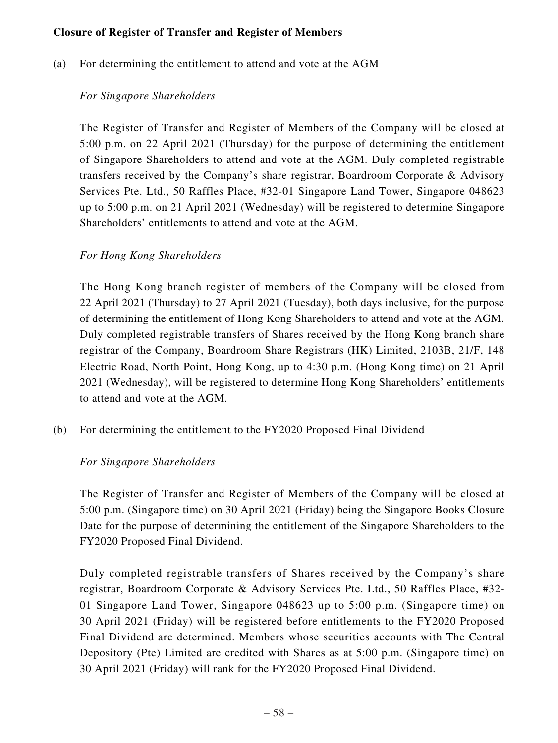### **Closure of Register of Transfer and Register of Members**

(a) For determining the entitlement to attend and vote at the AGM

## *For Singapore Shareholders*

The Register of Transfer and Register of Members of the Company will be closed at 5:00 p.m. on 22 April 2021 (Thursday) for the purpose of determining the entitlement of Singapore Shareholders to attend and vote at the AGM. Duly completed registrable transfers received by the Company's share registrar, Boardroom Corporate & Advisory Services Pte. Ltd., 50 Raffles Place, #32-01 Singapore Land Tower, Singapore 048623 up to 5:00 p.m. on 21 April 2021 (Wednesday) will be registered to determine Singapore Shareholders' entitlements to attend and vote at the AGM.

## *For Hong Kong Shareholders*

The Hong Kong branch register of members of the Company will be closed from 22 April 2021 (Thursday) to 27 April 2021 (Tuesday), both days inclusive, for the purpose of determining the entitlement of Hong Kong Shareholders to attend and vote at the AGM. Duly completed registrable transfers of Shares received by the Hong Kong branch share registrar of the Company, Boardroom Share Registrars (HK) Limited, 2103B, 21/F, 148 Electric Road, North Point, Hong Kong, up to 4:30 p.m. (Hong Kong time) on 21 April 2021 (Wednesday), will be registered to determine Hong Kong Shareholders' entitlements to attend and vote at the AGM.

(b) For determining the entitlement to the FY2020 Proposed Final Dividend

### *For Singapore Shareholders*

The Register of Transfer and Register of Members of the Company will be closed at 5:00 p.m. (Singapore time) on 30 April 2021 (Friday) being the Singapore Books Closure Date for the purpose of determining the entitlement of the Singapore Shareholders to the FY2020 Proposed Final Dividend.

Duly completed registrable transfers of Shares received by the Company's share registrar, Boardroom Corporate & Advisory Services Pte. Ltd., 50 Raffles Place, #32- 01 Singapore Land Tower, Singapore 048623 up to 5:00 p.m. (Singapore time) on 30 April 2021 (Friday) will be registered before entitlements to the FY2020 Proposed Final Dividend are determined. Members whose securities accounts with The Central Depository (Pte) Limited are credited with Shares as at 5:00 p.m. (Singapore time) on 30 April 2021 (Friday) will rank for the FY2020 Proposed Final Dividend.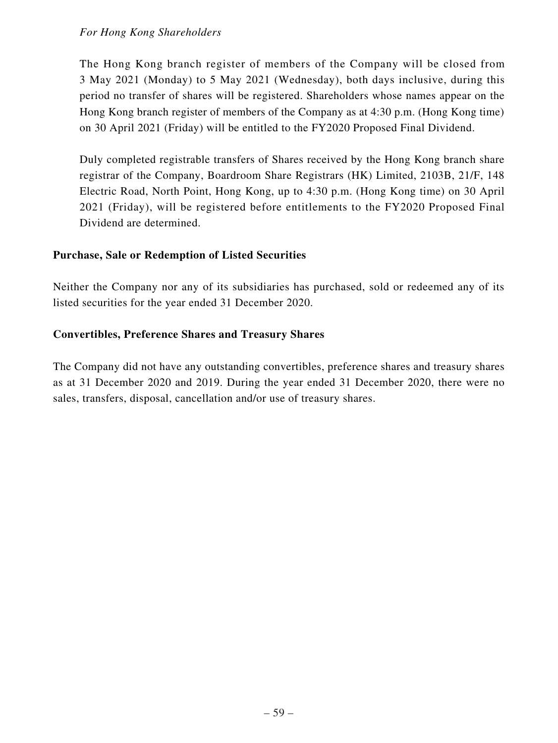## *For Hong Kong Shareholders*

The Hong Kong branch register of members of the Company will be closed from 3 May 2021 (Monday) to 5 May 2021 (Wednesday), both days inclusive, during this period no transfer of shares will be registered. Shareholders whose names appear on the Hong Kong branch register of members of the Company as at 4:30 p.m. (Hong Kong time) on 30 April 2021 (Friday) will be entitled to the FY2020 Proposed Final Dividend.

Duly completed registrable transfers of Shares received by the Hong Kong branch share registrar of the Company, Boardroom Share Registrars (HK) Limited, 2103B, 21/F, 148 Electric Road, North Point, Hong Kong, up to 4:30 p.m. (Hong Kong time) on 30 April 2021 (Friday), will be registered before entitlements to the FY2020 Proposed Final Dividend are determined.

### **Purchase, Sale or Redemption of Listed Securities**

Neither the Company nor any of its subsidiaries has purchased, sold or redeemed any of its listed securities for the year ended 31 December 2020.

## **Convertibles, Preference Shares and Treasury Shares**

The Company did not have any outstanding convertibles, preference shares and treasury shares as at 31 December 2020 and 2019. During the year ended 31 December 2020, there were no sales, transfers, disposal, cancellation and/or use of treasury shares.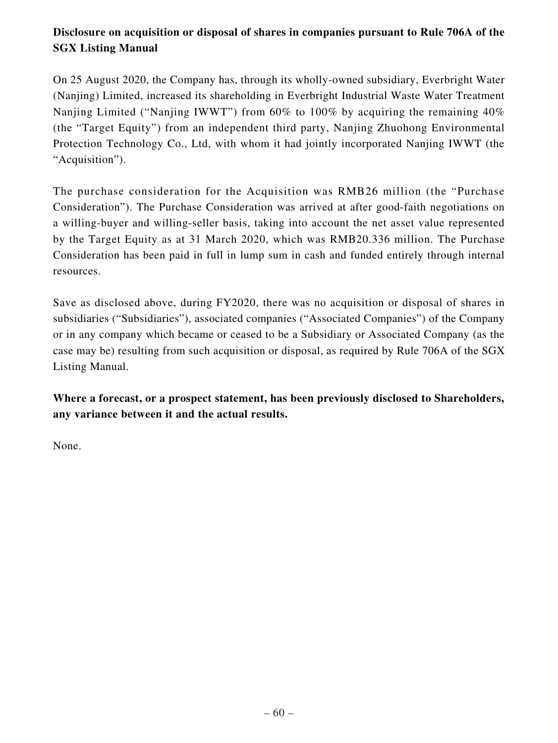# **Disclosure on acquisition or disposal of shares in companies pursuant to Rule 706A of the SGX Listing Manual**

On 25 August 2020, the Company has, through its wholly-owned subsidiary, Everbright Water (Nanjing) Limited, increased its shareholding in Everbright Industrial Waste Water Treatment Nanjing Limited ("Nanjing IWWT") from  $60\%$  to  $100\%$  by acquiring the remaining  $40\%$ (the "Target Equity") from an independent third party, Nanjing Zhuohong Environmental Protection Technology Co., Ltd, with whom it had jointly incorporated Nanjing IWWT (the "Acquisition").

The purchase consideration for the Acquisition was RMB26 million (the "Purchase Consideration"). The Purchase Consideration was arrived at after good-faith negotiations on a willing-buyer and willing-seller basis, taking into account the net asset value represented by the Target Equity as at 31 March 2020, which was RMB20.336 million. The Purchase Consideration has been paid in full in lump sum in cash and funded entirely through internal resources.

Save as disclosed above, during FY2020, there was no acquisition or disposal of shares in subsidiaries ("Subsidiaries"), associated companies ("Associated Companies") of the Company or in any company which became or ceased to be a Subsidiary or Associated Company (as the case may be) resulting from such acquisition or disposal, as required by Rule 706A of the SGX Listing Manual.

**Where a forecast, or a prospect statement, has been previously disclosed to Shareholders, any variance between it and the actual results.**

None.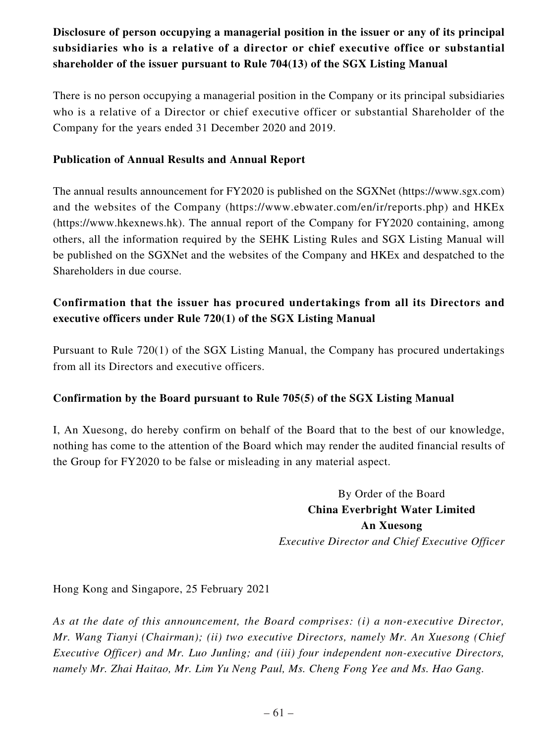# **Disclosure of person occupying a managerial position in the issuer or any of its principal subsidiaries who is a relative of a director or chief executive office or substantial shareholder of the issuer pursuant to Rule 704(13) of the SGX Listing Manual**

There is no person occupying a managerial position in the Company or its principal subsidiaries who is a relative of a Director or chief executive officer or substantial Shareholder of the Company for the years ended 31 December 2020 and 2019.

## **Publication of Annual Results and Annual Report**

The annual results announcement for FY2020 is published on the SGXNet (https://www.sgx.com) and the websites of the Company (https://www.ebwater.com/en/ir/reports.php) and HKEx (https://www.hkexnews.hk). The annual report of the Company for FY2020 containing, among others, all the information required by the SEHK Listing Rules and SGX Listing Manual will be published on the SGXNet and the websites of the Company and HKEx and despatched to the Shareholders in due course.

# **Confirmation that the issuer has procured undertakings from all its Directors and executive officers under Rule 720(1) of the SGX Listing Manual**

Pursuant to Rule 720(1) of the SGX Listing Manual, the Company has procured undertakings from all its Directors and executive officers.

# **Confirmation by the Board pursuant to Rule 705(5) of the SGX Listing Manual**

I, An Xuesong, do hereby confirm on behalf of the Board that to the best of our knowledge, nothing has come to the attention of the Board which may render the audited financial results of the Group for FY2020 to be false or misleading in any material aspect.

> By Order of the Board **China Everbright Water Limited An Xuesong** *Executive Director and Chief Executive Officer*

Hong Kong and Singapore, 25 February 2021

*As at the date of this announcement, the Board comprises: (i) a non-executive Director, Mr. Wang Tianyi (Chairman); (ii) two executive Directors, namely Mr. An Xuesong (Chief Executive Officer) and Mr. Luo Junling; and (iii) four independent non-executive Directors, namely Mr. Zhai Haitao, Mr. Lim Yu Neng Paul, Ms. Cheng Fong Yee and Ms. Hao Gang.*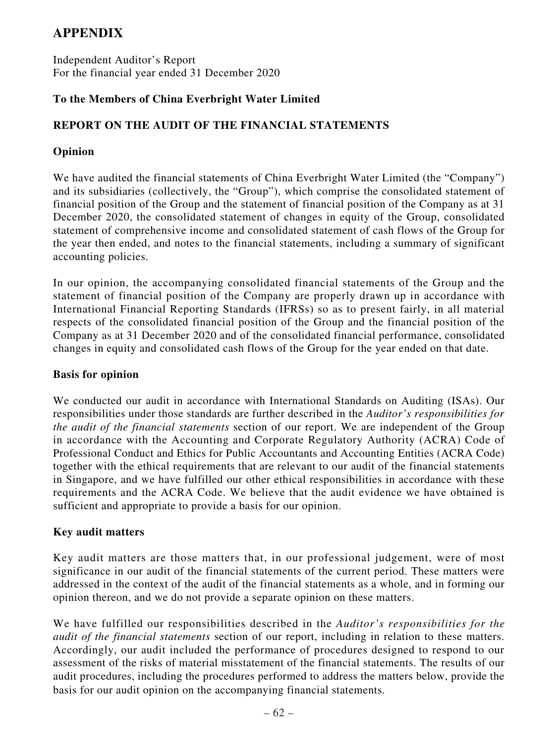# **APPENDIX**

Independent Auditor's Report For the financial year ended 31 December 2020

# **To the Members of China Everbright Water Limited**

# **REPORT ON THE AUDIT OF THE FINANCIAL STATEMENTS**

## **Opinion**

We have audited the financial statements of China Everbright Water Limited (the "Company") and its subsidiaries (collectively, the "Group"), which comprise the consolidated statement of financial position of the Group and the statement of financial position of the Company as at 31 December 2020, the consolidated statement of changes in equity of the Group, consolidated statement of comprehensive income and consolidated statement of cash flows of the Group for the year then ended, and notes to the financial statements, including a summary of significant accounting policies.

In our opinion, the accompanying consolidated financial statements of the Group and the statement of financial position of the Company are properly drawn up in accordance with International Financial Reporting Standards (IFRSs) so as to present fairly, in all material respects of the consolidated financial position of the Group and the financial position of the Company as at 31 December 2020 and of the consolidated financial performance, consolidated changes in equity and consolidated cash flows of the Group for the year ended on that date.

### **Basis for opinion**

We conducted our audit in accordance with International Standards on Auditing (ISAs). Our responsibilities under those standards are further described in the *Auditor's responsibilities for the audit of the financial statements* section of our report. We are independent of the Group in accordance with the Accounting and Corporate Regulatory Authority (ACRA) Code of Professional Conduct and Ethics for Public Accountants and Accounting Entities (ACRA Code) together with the ethical requirements that are relevant to our audit of the financial statements in Singapore, and we have fulfilled our other ethical responsibilities in accordance with these requirements and the ACRA Code. We believe that the audit evidence we have obtained is sufficient and appropriate to provide a basis for our opinion.

### **Key audit matters**

Key audit matters are those matters that, in our professional judgement, were of most significance in our audit of the financial statements of the current period. These matters were addressed in the context of the audit of the financial statements as a whole, and in forming our opinion thereon, and we do not provide a separate opinion on these matters.

We have fulfilled our responsibilities described in the *Auditor's responsibilities for the audit of the financial statements* section of our report, including in relation to these matters. Accordingly, our audit included the performance of procedures designed to respond to our assessment of the risks of material misstatement of the financial statements. The results of our audit procedures, including the procedures performed to address the matters below, provide the basis for our audit opinion on the accompanying financial statements.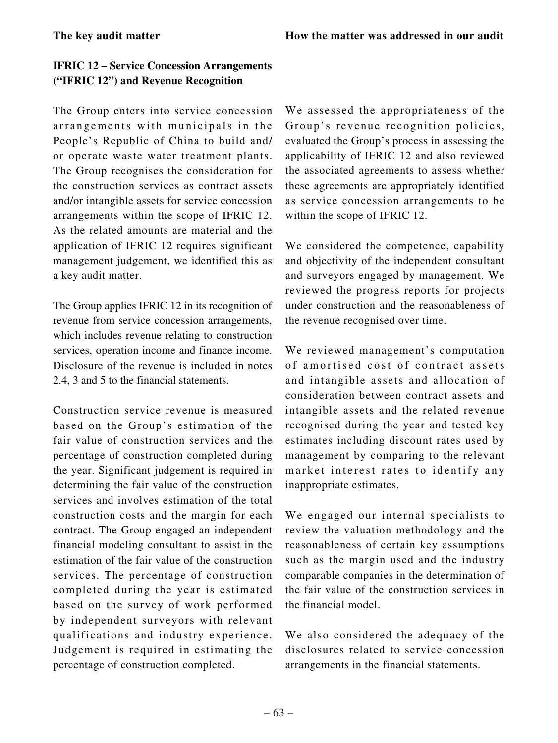# **IFRIC 12 – Service Concession Arrangements ("IFRIC 12") and Revenue Recognition**

The Group enters into service concession arrangements with municipals in the People's Republic of China to build and/ or operate waste water treatment plants. The Group recognises the consideration for the construction services as contract assets and/or intangible assets for service concession arrangements within the scope of IFRIC 12. As the related amounts are material and the application of IFRIC 12 requires significant management judgement, we identified this as a key audit matter.

The Group applies IFRIC 12 in its recognition of revenue from service concession arrangements, which includes revenue relating to construction services, operation income and finance income. Disclosure of the revenue is included in notes 2.4, 3 and 5 to the financial statements.

Construction service revenue is measured based on the Group's estimation of the fair value of construction services and the percentage of construction completed during the year. Significant judgement is required in determining the fair value of the construction services and involves estimation of the total construction costs and the margin for each contract. The Group engaged an independent financial modeling consultant to assist in the estimation of the fair value of the construction services. The percentage of construction completed during the year is estimated based on the survey of work performed by independent surveyors with relevant qualifications and industry experience. Judgement is required in estimating the percentage of construction completed.

We assessed the appropriateness of the Group's revenue recognition policies, evaluated the Group's process in assessing the applicability of IFRIC 12 and also reviewed the associated agreements to assess whether these agreements are appropriately identified as service concession arrangements to be within the scope of IFRIC 12.

We considered the competence, capability and objectivity of the independent consultant and surveyors engaged by management. We reviewed the progress reports for projects under construction and the reasonableness of the revenue recognised over time.

We reviewed management's computation of amortised cost of contract assets and intangible assets and allocation of consideration between contract assets and intangible assets and the related revenue recognised during the year and tested key estimates including discount rates used by management by comparing to the relevant market interest rates to identify any inappropriate estimates.

We engaged our internal specialists to review the valuation methodology and the reasonableness of certain key assumptions such as the margin used and the industry comparable companies in the determination of the fair value of the construction services in the financial model.

We also considered the adequacy of the disclosures related to service concession arrangements in the financial statements.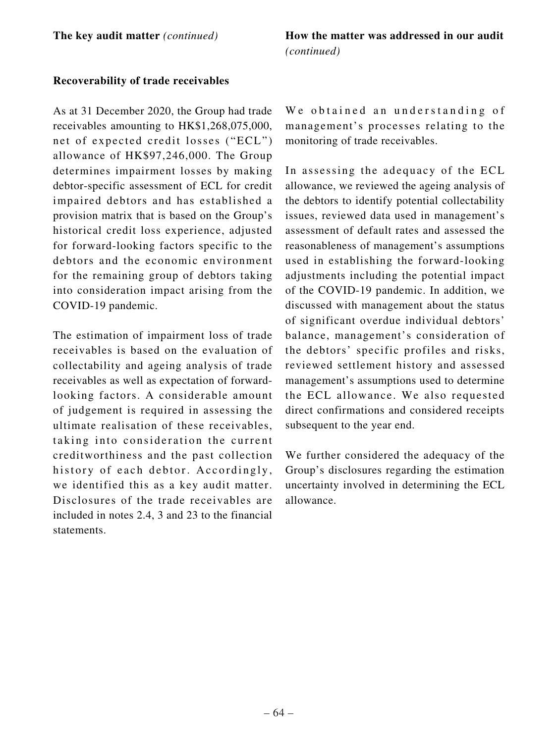### **Recoverability of trade receivables**

As at 31 December 2020, the Group had trade receivables amounting to HK\$1,268,075,000, net of expected credit losses ("ECL") allowance of HK\$97,246,000. The Group determines impairment losses by making debtor-specific assessment of ECL for credit impaired debtors and has established a provision matrix that is based on the Group's historical credit loss experience, adjusted for forward-looking factors specific to the debtors and the economic environment for the remaining group of debtors taking into consideration impact arising from the COVID-19 pandemic.

The estimation of impairment loss of trade receivables is based on the evaluation of collectability and ageing analysis of trade receivables as well as expectation of forwardlooking factors. A considerable amount of judgement is required in assessing the ultimate realisation of these receivables, taking into consideration the current creditworthiness and the past collection history of each debtor. Accordingly, we identified this as a key audit matter. Disclosures of the trade receivables are included in notes 2.4, 3 and 23 to the financial statements.

We obtained an understanding of management's processes relating to the monitoring of trade receivables.

In assessing the adequacy of the ECL allowance, we reviewed the ageing analysis of the debtors to identify potential collectability issues, reviewed data used in management's assessment of default rates and assessed the reasonableness of management's assumptions used in establishing the forward-looking adjustments including the potential impact of the COVID-19 pandemic. In addition, we discussed with management about the status of significant overdue individual debtors' balance, management's consideration of the debtors' specific profiles and risks, reviewed settlement history and assessed management's assumptions used to determine the ECL allowance. We also requested direct confirmations and considered receipts subsequent to the year end.

We further considered the adequacy of the Group's disclosures regarding the estimation uncertainty involved in determining the ECL allowance.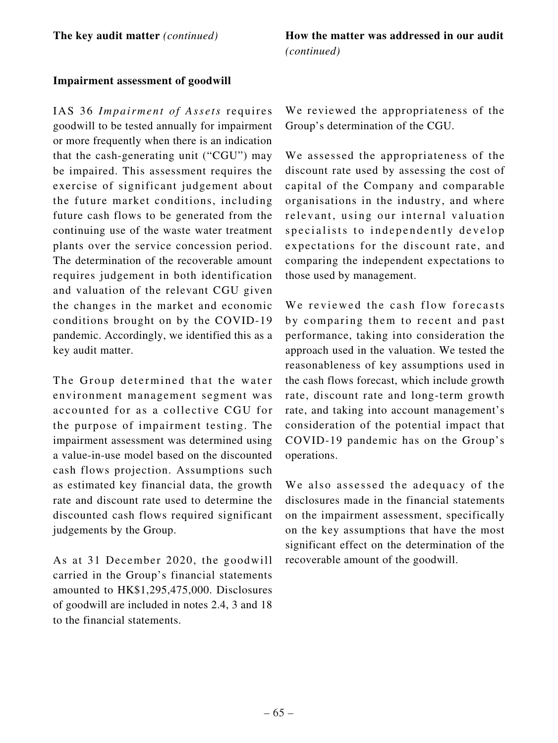### **Impairment assessment of goodwill**

IAS 36 *Impairment of Assets* requires goodwill to be tested annually for impairment or more frequently when there is an indication that the cash-generating unit ("CGU") may be impaired. This assessment requires the exercise of significant judgement about the future market conditions, including future cash flows to be generated from the continuing use of the waste water treatment plants over the service concession period. The determination of the recoverable amount requires judgement in both identification and valuation of the relevant CGU given the changes in the market and economic conditions brought on by the COVID-19 pandemic. Accordingly, we identified this as a key audit matter.

The Group determined that the water environment management segment was accounted for as a collective CGU for the purpose of impairment testing. The impairment assessment was determined using a value-in-use model based on the discounted cash flows projection. Assumptions such as estimated key financial data, the growth rate and discount rate used to determine the discounted cash flows required significant judgements by the Group.

As at 31 December 2020, the goodwill carried in the Group's financial statements amounted to HK\$1,295,475,000. Disclosures of goodwill are included in notes 2.4, 3 and 18 to the financial statements.

We reviewed the appropriateness of the Group's determination of the CGU.

We assessed the appropriateness of the discount rate used by assessing the cost of capital of the Company and comparable organisations in the industry, and where relevant, using our internal valuation specialists to independently develop expectations for the discount rate, and comparing the independent expectations to those used by management.

We reviewed the cash flow forecasts by comparing them to recent and past performance, taking into consideration the approach used in the valuation. We tested the reasonableness of key assumptions used in the cash flows forecast, which include growth rate, discount rate and long-term growth rate, and taking into account management's consideration of the potential impact that COVID-19 pandemic has on the Group's operations.

We also assessed the adequacy of the disclosures made in the financial statements on the impairment assessment, specifically on the key assumptions that have the most significant effect on the determination of the recoverable amount of the goodwill.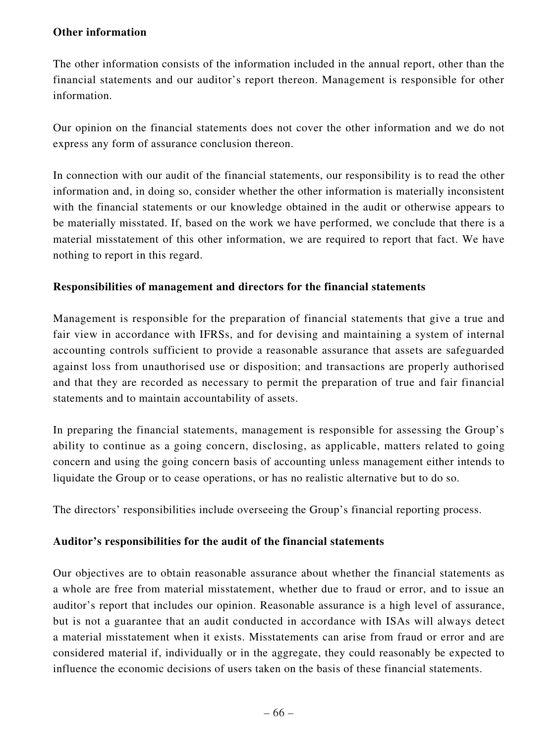### **Other information**

The other information consists of the information included in the annual report, other than the financial statements and our auditor's report thereon. Management is responsible for other information.

Our opinion on the financial statements does not cover the other information and we do not express any form of assurance conclusion thereon.

In connection with our audit of the financial statements, our responsibility is to read the other information and, in doing so, consider whether the other information is materially inconsistent with the financial statements or our knowledge obtained in the audit or otherwise appears to be materially misstated. If, based on the work we have performed, we conclude that there is a material misstatement of this other information, we are required to report that fact. We have nothing to report in this regard.

# **Responsibilities of management and directors for the financial statements**

Management is responsible for the preparation of financial statements that give a true and fair view in accordance with IFRSs, and for devising and maintaining a system of internal accounting controls sufficient to provide a reasonable assurance that assets are safeguarded against loss from unauthorised use or disposition; and transactions are properly authorised and that they are recorded as necessary to permit the preparation of true and fair financial statements and to maintain accountability of assets.

In preparing the financial statements, management is responsible for assessing the Group's ability to continue as a going concern, disclosing, as applicable, matters related to going concern and using the going concern basis of accounting unless management either intends to liquidate the Group or to cease operations, or has no realistic alternative but to do so.

The directors' responsibilities include overseeing the Group's financial reporting process.

# **Auditor's responsibilities for the audit of the financial statements**

Our objectives are to obtain reasonable assurance about whether the financial statements as a whole are free from material misstatement, whether due to fraud or error, and to issue an auditor's report that includes our opinion. Reasonable assurance is a high level of assurance, but is not a guarantee that an audit conducted in accordance with ISAs will always detect a material misstatement when it exists. Misstatements can arise from fraud or error and are considered material if, individually or in the aggregate, they could reasonably be expected to influence the economic decisions of users taken on the basis of these financial statements.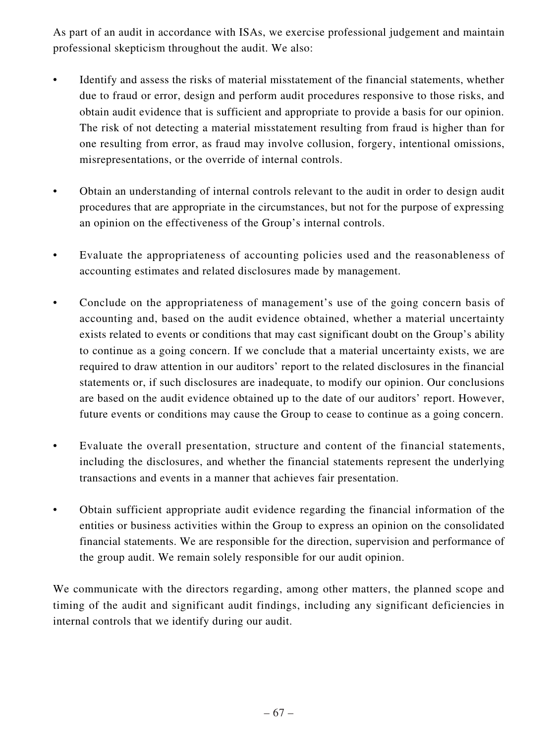As part of an audit in accordance with ISAs, we exercise professional judgement and maintain professional skepticism throughout the audit. We also:

- Identify and assess the risks of material misstatement of the financial statements, whether due to fraud or error, design and perform audit procedures responsive to those risks, and obtain audit evidence that is sufficient and appropriate to provide a basis for our opinion. The risk of not detecting a material misstatement resulting from fraud is higher than for one resulting from error, as fraud may involve collusion, forgery, intentional omissions, misrepresentations, or the override of internal controls.
- Obtain an understanding of internal controls relevant to the audit in order to design audit procedures that are appropriate in the circumstances, but not for the purpose of expressing an opinion on the effectiveness of the Group's internal controls.
- Evaluate the appropriateness of accounting policies used and the reasonableness of accounting estimates and related disclosures made by management.
- Conclude on the appropriateness of management's use of the going concern basis of accounting and, based on the audit evidence obtained, whether a material uncertainty exists related to events or conditions that may cast significant doubt on the Group's ability to continue as a going concern. If we conclude that a material uncertainty exists, we are required to draw attention in our auditors' report to the related disclosures in the financial statements or, if such disclosures are inadequate, to modify our opinion. Our conclusions are based on the audit evidence obtained up to the date of our auditors' report. However, future events or conditions may cause the Group to cease to continue as a going concern.
- Evaluate the overall presentation, structure and content of the financial statements, including the disclosures, and whether the financial statements represent the underlying transactions and events in a manner that achieves fair presentation.
- Obtain sufficient appropriate audit evidence regarding the financial information of the entities or business activities within the Group to express an opinion on the consolidated financial statements. We are responsible for the direction, supervision and performance of the group audit. We remain solely responsible for our audit opinion.

We communicate with the directors regarding, among other matters, the planned scope and timing of the audit and significant audit findings, including any significant deficiencies in internal controls that we identify during our audit.